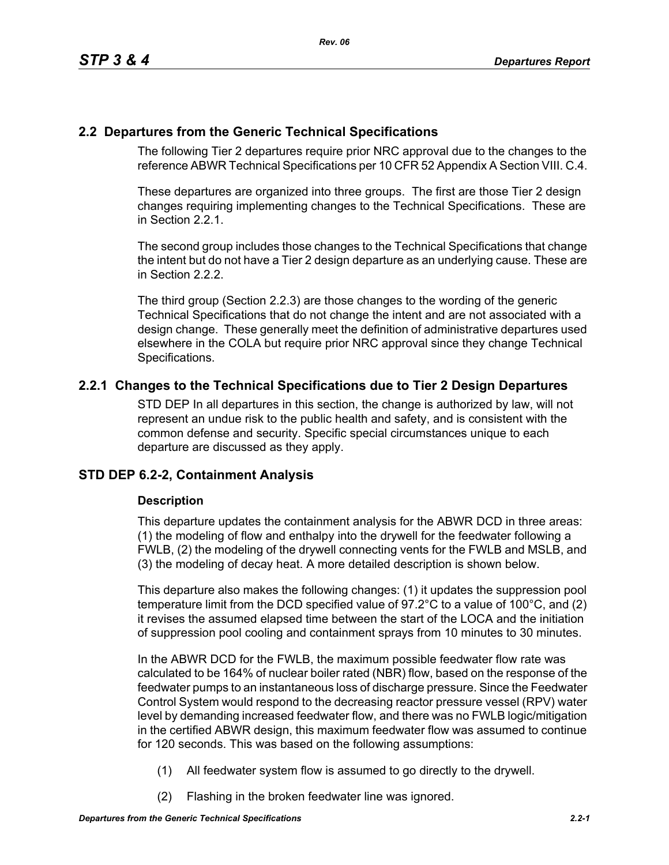# **2.2 Departures from the Generic Technical Specifications**

The following Tier 2 departures require prior NRC approval due to the changes to the reference ABWR Technical Specifications per 10 CFR 52 Appendix A Section VIII. C.4.

These departures are organized into three groups. The first are those Tier 2 design changes requiring implementing changes to the Technical Specifications. These are in Section 2.2.1.

The second group includes those changes to the Technical Specifications that change the intent but do not have a Tier 2 design departure as an underlying cause. These are in Section 2.2.2.

The third group (Section 2.2.3) are those changes to the wording of the generic Technical Specifications that do not change the intent and are not associated with a design change. These generally meet the definition of administrative departures used elsewhere in the COLA but require prior NRC approval since they change Technical Specifications.

# **2.2.1 Changes to the Technical Specifications due to Tier 2 Design Departures**

STD DEP In all departures in this section, the change is authorized by law, will not represent an undue risk to the public health and safety, and is consistent with the common defense and security. Specific special circumstances unique to each departure are discussed as they apply.

# **STD DEP 6.2-2, Containment Analysis**

# **Description**

This departure updates the containment analysis for the ABWR DCD in three areas: (1) the modeling of flow and enthalpy into the drywell for the feedwater following a FWLB, (2) the modeling of the drywell connecting vents for the FWLB and MSLB, and (3) the modeling of decay heat. A more detailed description is shown below.

This departure also makes the following changes: (1) it updates the suppression pool temperature limit from the DCD specified value of 97.2°C to a value of 100°C, and (2) it revises the assumed elapsed time between the start of the LOCA and the initiation of suppression pool cooling and containment sprays from 10 minutes to 30 minutes.

In the ABWR DCD for the FWLB, the maximum possible feedwater flow rate was calculated to be 164% of nuclear boiler rated (NBR) flow, based on the response of the feedwater pumps to an instantaneous loss of discharge pressure. Since the Feedwater Control System would respond to the decreasing reactor pressure vessel (RPV) water level by demanding increased feedwater flow, and there was no FWLB logic/mitigation in the certified ABWR design, this maximum feedwater flow was assumed to continue for 120 seconds. This was based on the following assumptions:

- (1) All feedwater system flow is assumed to go directly to the drywell.
- (2) Flashing in the broken feedwater line was ignored.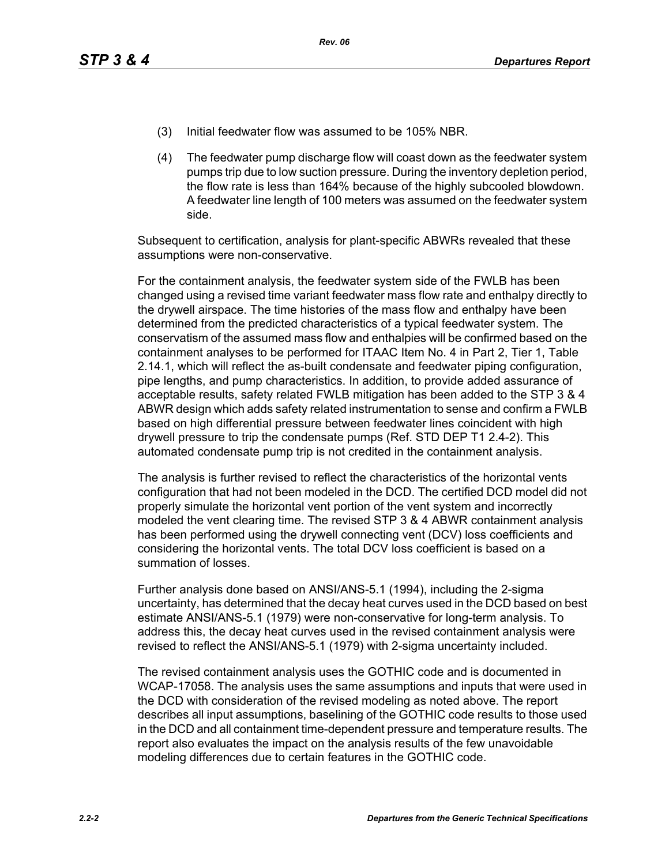- (3) Initial feedwater flow was assumed to be 105% NBR.
- (4) The feedwater pump discharge flow will coast down as the feedwater system pumps trip due to low suction pressure. During the inventory depletion period, the flow rate is less than 164% because of the highly subcooled blowdown. A feedwater line length of 100 meters was assumed on the feedwater system side.

Subsequent to certification, analysis for plant-specific ABWRs revealed that these assumptions were non-conservative.

For the containment analysis, the feedwater system side of the FWLB has been changed using a revised time variant feedwater mass flow rate and enthalpy directly to the drywell airspace. The time histories of the mass flow and enthalpy have been determined from the predicted characteristics of a typical feedwater system. The conservatism of the assumed mass flow and enthalpies will be confirmed based on the containment analyses to be performed for ITAAC Item No. 4 in Part 2, Tier 1, Table 2.14.1, which will reflect the as-built condensate and feedwater piping configuration, pipe lengths, and pump characteristics. In addition, to provide added assurance of acceptable results, safety related FWLB mitigation has been added to the STP 3 & 4 ABWR design which adds safety related instrumentation to sense and confirm a FWLB based on high differential pressure between feedwater lines coincident with high drywell pressure to trip the condensate pumps (Ref. STD DEP T1 2.4-2). This automated condensate pump trip is not credited in the containment analysis.

The analysis is further revised to reflect the characteristics of the horizontal vents configuration that had not been modeled in the DCD. The certified DCD model did not properly simulate the horizontal vent portion of the vent system and incorrectly modeled the vent clearing time. The revised STP 3 & 4 ABWR containment analysis has been performed using the drywell connecting vent (DCV) loss coefficients and considering the horizontal vents. The total DCV loss coefficient is based on a summation of losses.

Further analysis done based on ANSI/ANS-5.1 (1994), including the 2-sigma uncertainty, has determined that the decay heat curves used in the DCD based on best estimate ANSI/ANS-5.1 (1979) were non-conservative for long-term analysis. To address this, the decay heat curves used in the revised containment analysis were revised to reflect the ANSI/ANS-5.1 (1979) with 2-sigma uncertainty included.

The revised containment analysis uses the GOTHIC code and is documented in WCAP-17058. The analysis uses the same assumptions and inputs that were used in the DCD with consideration of the revised modeling as noted above. The report describes all input assumptions, baselining of the GOTHIC code results to those used in the DCD and all containment time-dependent pressure and temperature results. The report also evaluates the impact on the analysis results of the few unavoidable modeling differences due to certain features in the GOTHIC code.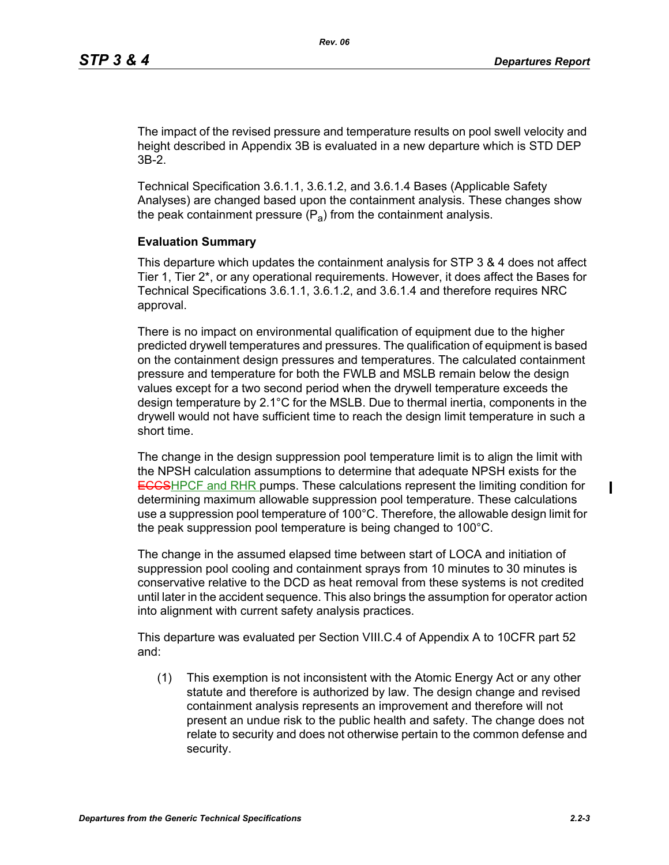The impact of the revised pressure and temperature results on pool swell velocity and height described in Appendix 3B is evaluated in a new departure which is STD DEP 3B-2.

Technical Specification 3.6.1.1, 3.6.1.2, and 3.6.1.4 Bases (Applicable Safety Analyses) are changed based upon the containment analysis. These changes show the peak containment pressure  $(P_a)$  from the containment analysis.

### **Evaluation Summary**

This departure which updates the containment analysis for STP 3 & 4 does not affect Tier 1, Tier 2\*, or any operational requirements. However, it does affect the Bases for Technical Specifications 3.6.1.1, 3.6.1.2, and 3.6.1.4 and therefore requires NRC approval.

There is no impact on environmental qualification of equipment due to the higher predicted drywell temperatures and pressures. The qualification of equipment is based on the containment design pressures and temperatures. The calculated containment pressure and temperature for both the FWLB and MSLB remain below the design values except for a two second period when the drywell temperature exceeds the design temperature by 2.1°C for the MSLB. Due to thermal inertia, components in the drywell would not have sufficient time to reach the design limit temperature in such a short time.

The change in the design suppression pool temperature limit is to align the limit with the NPSH calculation assumptions to determine that adequate NPSH exists for the **ECCSHPCF and RHR pumps. These calculations represent the limiting condition for** determining maximum allowable suppression pool temperature. These calculations use a suppression pool temperature of 100°C. Therefore, the allowable design limit for the peak suppression pool temperature is being changed to 100°C.

The change in the assumed elapsed time between start of LOCA and initiation of suppression pool cooling and containment sprays from 10 minutes to 30 minutes is conservative relative to the DCD as heat removal from these systems is not credited until later in the accident sequence. This also brings the assumption for operator action into alignment with current safety analysis practices.

This departure was evaluated per Section VIII.C.4 of Appendix A to 10CFR part 52 and:

(1) This exemption is not inconsistent with the Atomic Energy Act or any other statute and therefore is authorized by law. The design change and revised containment analysis represents an improvement and therefore will not present an undue risk to the public health and safety. The change does not relate to security and does not otherwise pertain to the common defense and security.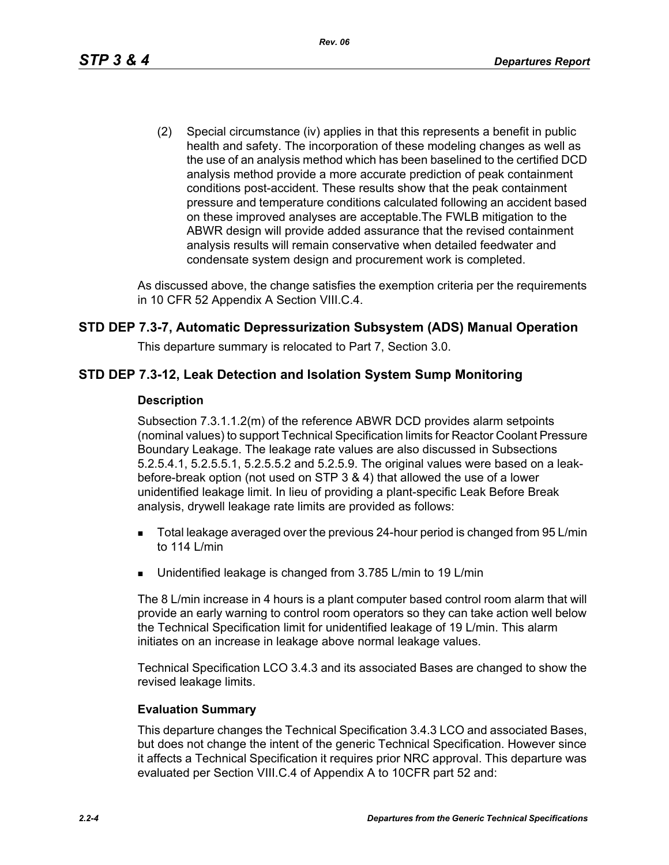(2) Special circumstance (iv) applies in that this represents a benefit in public health and safety. The incorporation of these modeling changes as well as the use of an analysis method which has been baselined to the certified DCD analysis method provide a more accurate prediction of peak containment conditions post-accident. These results show that the peak containment pressure and temperature conditions calculated following an accident based on these improved analyses are acceptable.The FWLB mitigation to the ABWR design will provide added assurance that the revised containment analysis results will remain conservative when detailed feedwater and condensate system design and procurement work is completed.

As discussed above, the change satisfies the exemption criteria per the requirements in 10 CFR 52 Appendix A Section VIII.C.4.

# **STD DEP 7.3-7, Automatic Depressurization Subsystem (ADS) Manual Operation**

This departure summary is relocated to Part 7, Section 3.0.

# **STD DEP 7.3-12, Leak Detection and Isolation System Sump Monitoring**

### **Description**

Subsection 7.3.1.1.2(m) of the reference ABWR DCD provides alarm setpoints (nominal values) to support Technical Specification limits for Reactor Coolant Pressure Boundary Leakage. The leakage rate values are also discussed in Subsections 5.2.5.4.1, 5.2.5.5.1, 5.2.5.5.2 and 5.2.5.9. The original values were based on a leakbefore-break option (not used on STP 3 & 4) that allowed the use of a lower unidentified leakage limit. In lieu of providing a plant-specific Leak Before Break analysis, drywell leakage rate limits are provided as follows:

- **Total leakage averaged over the previous 24-hour period is changed from 95 L/min** to 114 L/min
- Unidentified leakage is changed from 3.785 L/min to 19 L/min

The 8 L/min increase in 4 hours is a plant computer based control room alarm that will provide an early warning to control room operators so they can take action well below the Technical Specification limit for unidentified leakage of 19 L/min. This alarm initiates on an increase in leakage above normal leakage values.

Technical Specification LCO 3.4.3 and its associated Bases are changed to show the revised leakage limits.

### **Evaluation Summary**

This departure changes the Technical Specification 3.4.3 LCO and associated Bases, but does not change the intent of the generic Technical Specification. However since it affects a Technical Specification it requires prior NRC approval. This departure was evaluated per Section VIII.C.4 of Appendix A to 10CFR part 52 and: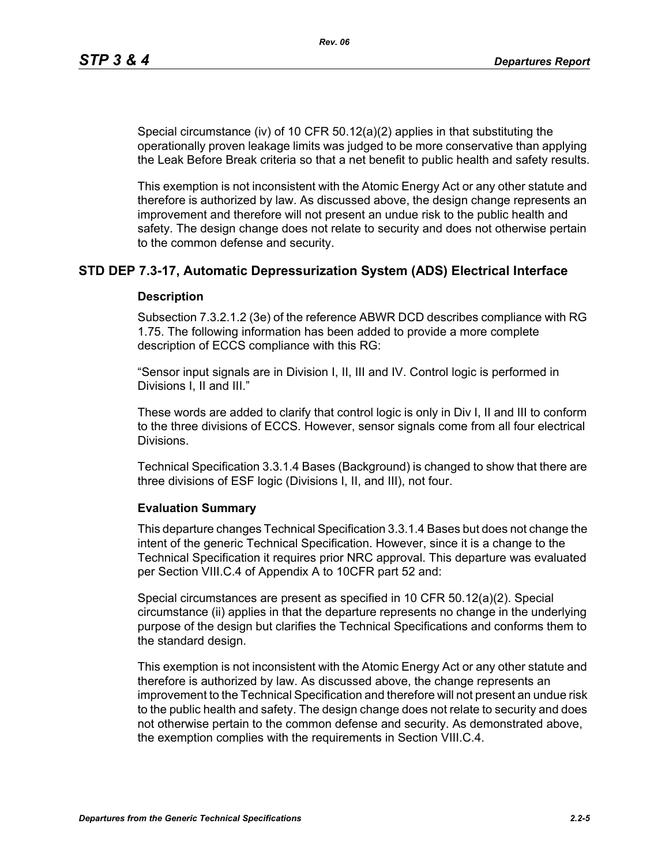Special circumstance (iv) of 10 CFR 50.12(a)(2) applies in that substituting the operationally proven leakage limits was judged to be more conservative than applying the Leak Before Break criteria so that a net benefit to public health and safety results.

This exemption is not inconsistent with the Atomic Energy Act or any other statute and therefore is authorized by law. As discussed above, the design change represents an improvement and therefore will not present an undue risk to the public health and safety. The design change does not relate to security and does not otherwise pertain to the common defense and security.

# **STD DEP 7.3-17, Automatic Depressurization System (ADS) Electrical Interface**

### **Description**

Subsection 7.3.2.1.2 (3e) of the reference ABWR DCD describes compliance with RG 1.75. The following information has been added to provide a more complete description of ECCS compliance with this RG:

"Sensor input signals are in Division I, II, III and IV. Control logic is performed in Divisions I, II and III."

These words are added to clarify that control logic is only in Div I, II and III to conform to the three divisions of ECCS. However, sensor signals come from all four electrical Divisions.

Technical Specification 3.3.1.4 Bases (Background) is changed to show that there are three divisions of ESF logic (Divisions I, II, and III), not four.

### **Evaluation Summary**

This departure changes Technical Specification 3.3.1.4 Bases but does not change the intent of the generic Technical Specification. However, since it is a change to the Technical Specification it requires prior NRC approval. This departure was evaluated per Section VIII.C.4 of Appendix A to 10CFR part 52 and:

Special circumstances are present as specified in 10 CFR 50.12(a)(2). Special circumstance (ii) applies in that the departure represents no change in the underlying purpose of the design but clarifies the Technical Specifications and conforms them to the standard design.

This exemption is not inconsistent with the Atomic Energy Act or any other statute and therefore is authorized by law. As discussed above, the change represents an improvement to the Technical Specification and therefore will not present an undue risk to the public health and safety. The design change does not relate to security and does not otherwise pertain to the common defense and security. As demonstrated above, the exemption complies with the requirements in Section VIII.C.4.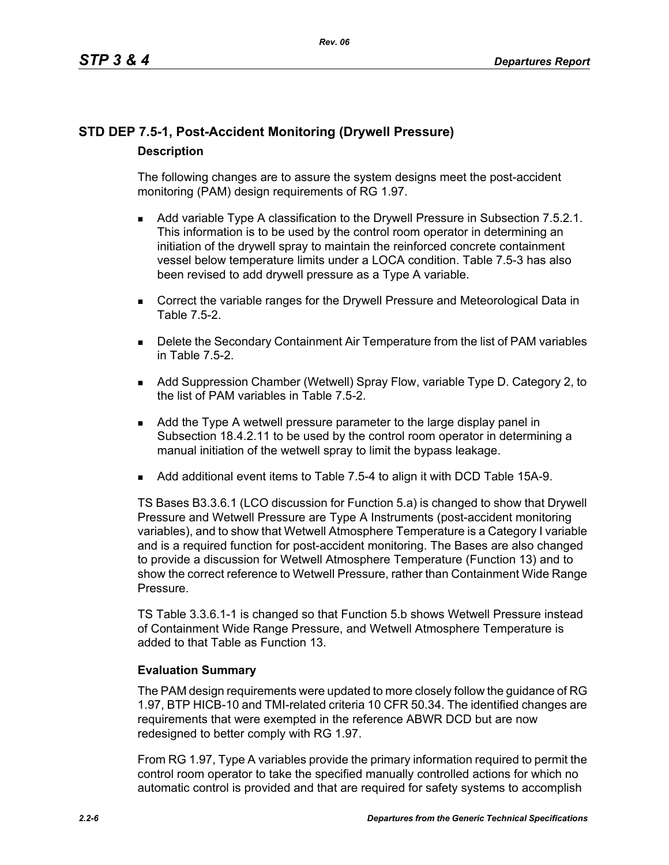# **STD DEP 7.5-1, Post-Accident Monitoring (Drywell Pressure) Description**

The following changes are to assure the system designs meet the post-accident monitoring (PAM) design requirements of RG 1.97.

- **Add variable Type A classification to the Drywell Pressure in Subsection 7.5.2.1.** This information is to be used by the control room operator in determining an initiation of the drywell spray to maintain the reinforced concrete containment vessel below temperature limits under a LOCA condition. Table 7.5-3 has also been revised to add drywell pressure as a Type A variable.
- **Correct the variable ranges for the Drywell Pressure and Meteorological Data in** Table 7.5-2.
- **Delete the Secondary Containment Air Temperature from the list of PAM variables** in Table 7.5-2.
- Add Suppression Chamber (Wetwell) Spray Flow, variable Type D. Category 2, to the list of PAM variables in Table 7.5-2.
- Add the Type A wetwell pressure parameter to the large display panel in Subsection 18.4.2.11 to be used by the control room operator in determining a manual initiation of the wetwell spray to limit the bypass leakage.
- Add additional event items to Table 7.5-4 to align it with DCD Table 15A-9.

TS Bases B3.3.6.1 (LCO discussion for Function 5.a) is changed to show that Drywell Pressure and Wetwell Pressure are Type A Instruments (post-accident monitoring variables), and to show that Wetwell Atmosphere Temperature is a Category I variable and is a required function for post-accident monitoring. The Bases are also changed to provide a discussion for Wetwell Atmosphere Temperature (Function 13) and to show the correct reference to Wetwell Pressure, rather than Containment Wide Range Pressure.

TS Table 3.3.6.1-1 is changed so that Function 5.b shows Wetwell Pressure instead of Containment Wide Range Pressure, and Wetwell Atmosphere Temperature is added to that Table as Function 13.

# **Evaluation Summary**

The PAM design requirements were updated to more closely follow the guidance of RG 1.97, BTP HICB-10 and TMI-related criteria 10 CFR 50.34. The identified changes are requirements that were exempted in the reference ABWR DCD but are now redesigned to better comply with RG 1.97.

From RG 1.97, Type A variables provide the primary information required to permit the control room operator to take the specified manually controlled actions for which no automatic control is provided and that are required for safety systems to accomplish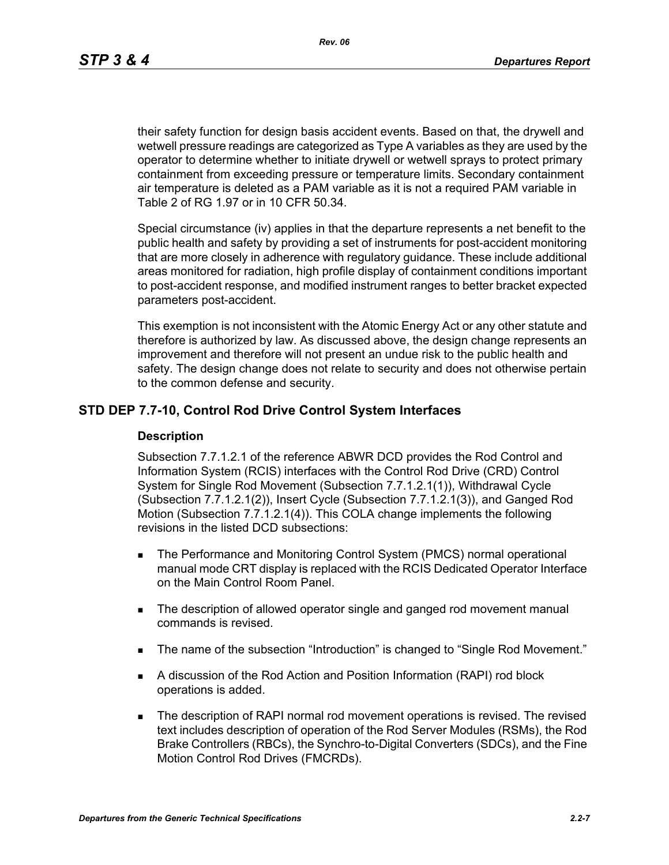*Rev. 06*

their safety function for design basis accident events. Based on that, the drywell and wetwell pressure readings are categorized as Type A variables as they are used by the operator to determine whether to initiate drywell or wetwell sprays to protect primary containment from exceeding pressure or temperature limits. Secondary containment air temperature is deleted as a PAM variable as it is not a required PAM variable in Table 2 of RG 1.97 or in 10 CFR 50.34.

Special circumstance (iv) applies in that the departure represents a net benefit to the public health and safety by providing a set of instruments for post-accident monitoring that are more closely in adherence with regulatory guidance. These include additional areas monitored for radiation, high profile display of containment conditions important to post-accident response, and modified instrument ranges to better bracket expected parameters post-accident.

This exemption is not inconsistent with the Atomic Energy Act or any other statute and therefore is authorized by law. As discussed above, the design change represents an improvement and therefore will not present an undue risk to the public health and safety. The design change does not relate to security and does not otherwise pertain to the common defense and security.

# **STD DEP 7.7-10, Control Rod Drive Control System Interfaces**

### **Description**

Subsection 7.7.1.2.1 of the reference ABWR DCD provides the Rod Control and Information System (RCIS) interfaces with the Control Rod Drive (CRD) Control System for Single Rod Movement (Subsection 7.7.1.2.1(1)), Withdrawal Cycle (Subsection 7.7.1.2.1(2)), Insert Cycle (Subsection 7.7.1.2.1(3)), and Ganged Rod Motion (Subsection 7.7.1.2.1(4)). This COLA change implements the following revisions in the listed DCD subsections:

- **The Performance and Monitoring Control System (PMCS) normal operational** manual mode CRT display is replaced with the RCIS Dedicated Operator Interface on the Main Control Room Panel.
- The description of allowed operator single and ganged rod movement manual commands is revised.
- The name of the subsection "Introduction" is changed to "Single Rod Movement."
- A discussion of the Rod Action and Position Information (RAPI) rod block operations is added.
- **The description of RAPI normal rod movement operations is revised. The revised** text includes description of operation of the Rod Server Modules (RSMs), the Rod Brake Controllers (RBCs), the Synchro-to-Digital Converters (SDCs), and the Fine Motion Control Rod Drives (FMCRDs).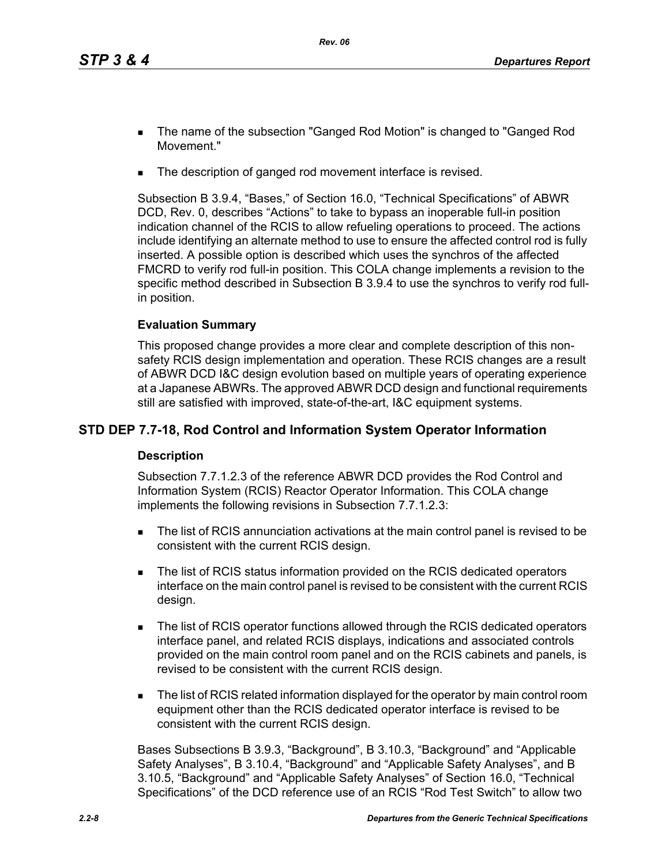- The name of the subsection "Ganged Rod Motion" is changed to "Ganged Rod Movement."
- The description of ganged rod movement interface is revised.

Subsection B 3.9.4, "Bases," of Section 16.0, "Technical Specifications" of ABWR DCD, Rev. 0, describes "Actions" to take to bypass an inoperable full-in position indication channel of the RCIS to allow refueling operations to proceed. The actions include identifying an alternate method to use to ensure the affected control rod is fully inserted. A possible option is described which uses the synchros of the affected FMCRD to verify rod full-in position. This COLA change implements a revision to the specific method described in Subsection B 3.9.4 to use the synchros to verify rod fullin position.

# **Evaluation Summary**

This proposed change provides a more clear and complete description of this nonsafety RCIS design implementation and operation. These RCIS changes are a result of ABWR DCD I&C design evolution based on multiple years of operating experience at a Japanese ABWRs. The approved ABWR DCD design and functional requirements still are satisfied with improved, state-of-the-art, I&C equipment systems.

# **STD DEP 7.7-18, Rod Control and Information System Operator Information**

# **Description**

Subsection 7.7.1.2.3 of the reference ABWR DCD provides the Rod Control and Information System (RCIS) Reactor Operator Information. This COLA change implements the following revisions in Subsection 7.7.1.2.3:

- **The list of RCIS annunciation activations at the main control panel is revised to be** consistent with the current RCIS design.
- The list of RCIS status information provided on the RCIS dedicated operators interface on the main control panel is revised to be consistent with the current RCIS design.
- The list of RCIS operator functions allowed through the RCIS dedicated operators interface panel, and related RCIS displays, indications and associated controls provided on the main control room panel and on the RCIS cabinets and panels, is revised to be consistent with the current RCIS design.
- The list of RCIS related information displayed for the operator by main control room equipment other than the RCIS dedicated operator interface is revised to be consistent with the current RCIS design.

Bases Subsections B 3.9.3, "Background", B 3.10.3, "Background" and "Applicable Safety Analyses", B 3.10.4, "Background" and "Applicable Safety Analyses", and B 3.10.5, "Background" and "Applicable Safety Analyses" of Section 16.0, "Technical Specifications" of the DCD reference use of an RCIS "Rod Test Switch" to allow two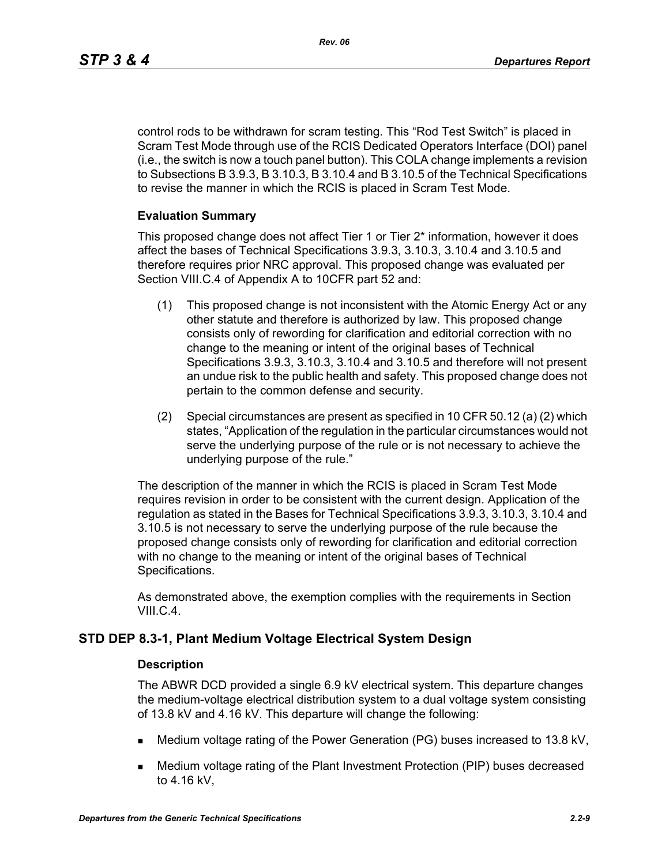*Rev. 06*

control rods to be withdrawn for scram testing. This "Rod Test Switch" is placed in Scram Test Mode through use of the RCIS Dedicated Operators Interface (DOI) panel (i.e., the switch is now a touch panel button). This COLA change implements a revision to Subsections B 3.9.3, B 3.10.3, B 3.10.4 and B 3.10.5 of the Technical Specifications to revise the manner in which the RCIS is placed in Scram Test Mode.

# **Evaluation Summary**

This proposed change does not affect Tier 1 or Tier 2\* information, however it does affect the bases of Technical Specifications 3.9.3, 3.10.3, 3.10.4 and 3.10.5 and therefore requires prior NRC approval. This proposed change was evaluated per Section VIII.C.4 of Appendix A to 10CFR part 52 and:

- (1) This proposed change is not inconsistent with the Atomic Energy Act or any other statute and therefore is authorized by law. This proposed change consists only of rewording for clarification and editorial correction with no change to the meaning or intent of the original bases of Technical Specifications 3.9.3, 3.10.3, 3.10.4 and 3.10.5 and therefore will not present an undue risk to the public health and safety. This proposed change does not pertain to the common defense and security.
- (2) Special circumstances are present as specified in 10 CFR 50.12 (a) (2) which states, "Application of the regulation in the particular circumstances would not serve the underlying purpose of the rule or is not necessary to achieve the underlying purpose of the rule."

The description of the manner in which the RCIS is placed in Scram Test Mode requires revision in order to be consistent with the current design. Application of the regulation as stated in the Bases for Technical Specifications 3.9.3, 3.10.3, 3.10.4 and 3.10.5 is not necessary to serve the underlying purpose of the rule because the proposed change consists only of rewording for clarification and editorial correction with no change to the meaning or intent of the original bases of Technical Specifications.

As demonstrated above, the exemption complies with the requirements in Section VIII.C.4.

# **STD DEP 8.3-1, Plant Medium Voltage Electrical System Design**

# **Description**

The ABWR DCD provided a single 6.9 kV electrical system. This departure changes the medium-voltage electrical distribution system to a dual voltage system consisting of 13.8 kV and 4.16 kV. This departure will change the following:

- Medium voltage rating of the Power Generation (PG) buses increased to 13.8 kV,
- Medium voltage rating of the Plant Investment Protection (PIP) buses decreased to 4.16 kV,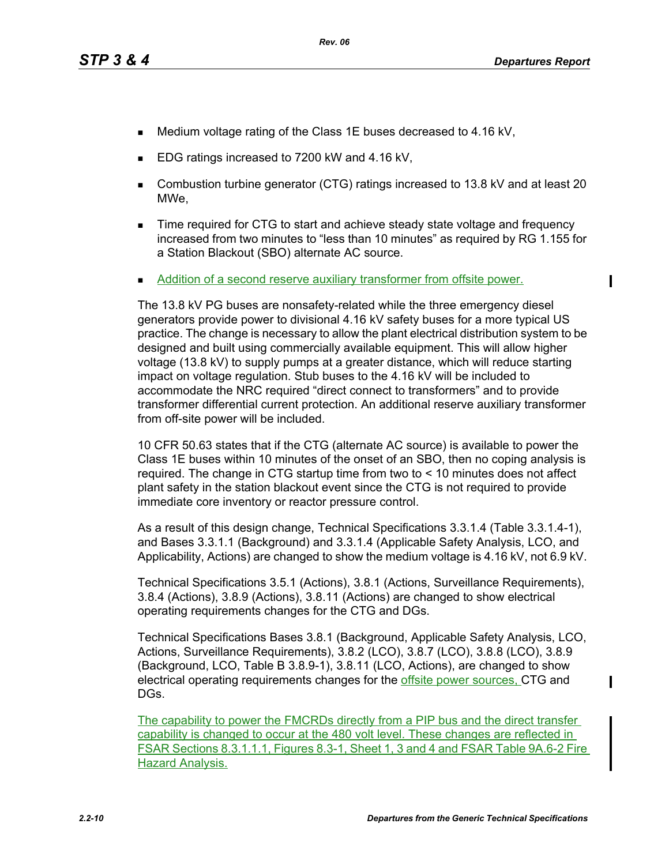П

- Medium voltage rating of the Class 1E buses decreased to 4.16 kV,
- EDG ratings increased to 7200 kW and 4.16 kV,
- Combustion turbine generator (CTG) ratings increased to 13.8 kV and at least 20 MWe,
- **Time required for CTG to start and achieve steady state voltage and frequency** increased from two minutes to "less than 10 minutes" as required by RG 1.155 for a Station Blackout (SBO) alternate AC source.
- Addition of a second reserve auxiliary transformer from offsite power.

The 13.8 kV PG buses are nonsafety-related while the three emergency diesel generators provide power to divisional 4.16 kV safety buses for a more typical US practice. The change is necessary to allow the plant electrical distribution system to be designed and built using commercially available equipment. This will allow higher voltage (13.8 kV) to supply pumps at a greater distance, which will reduce starting impact on voltage regulation. Stub buses to the 4.16 kV will be included to accommodate the NRC required "direct connect to transformers" and to provide transformer differential current protection. An additional reserve auxiliary transformer from off-site power will be included.

10 CFR 50.63 states that if the CTG (alternate AC source) is available to power the Class 1E buses within 10 minutes of the onset of an SBO, then no coping analysis is required. The change in CTG startup time from two to < 10 minutes does not affect plant safety in the station blackout event since the CTG is not required to provide immediate core inventory or reactor pressure control.

As a result of this design change, Technical Specifications 3.3.1.4 (Table 3.3.1.4-1), and Bases 3.3.1.1 (Background) and 3.3.1.4 (Applicable Safety Analysis, LCO, and Applicability, Actions) are changed to show the medium voltage is 4.16 kV, not 6.9 kV.

Technical Specifications 3.5.1 (Actions), 3.8.1 (Actions, Surveillance Requirements), 3.8.4 (Actions), 3.8.9 (Actions), 3.8.11 (Actions) are changed to show electrical operating requirements changes for the CTG and DGs.

Technical Specifications Bases 3.8.1 (Background, Applicable Safety Analysis, LCO, Actions, Surveillance Requirements), 3.8.2 (LCO), 3.8.7 (LCO), 3.8.8 (LCO), 3.8.9 (Background, LCO, Table B 3.8.9-1), 3.8.11 (LCO, Actions), are changed to show electrical operating requirements changes for the offsite power sources, CTG and DGs.

The capability to power the FMCRDs directly from a PIP bus and the direct transfer capability is changed to occur at the 480 volt level. These changes are reflected in FSAR Sections 8.3.1.1.1, Figures 8.3-1, Sheet 1, 3 and 4 and FSAR Table 9A.6-2 Fire Hazard Analysis.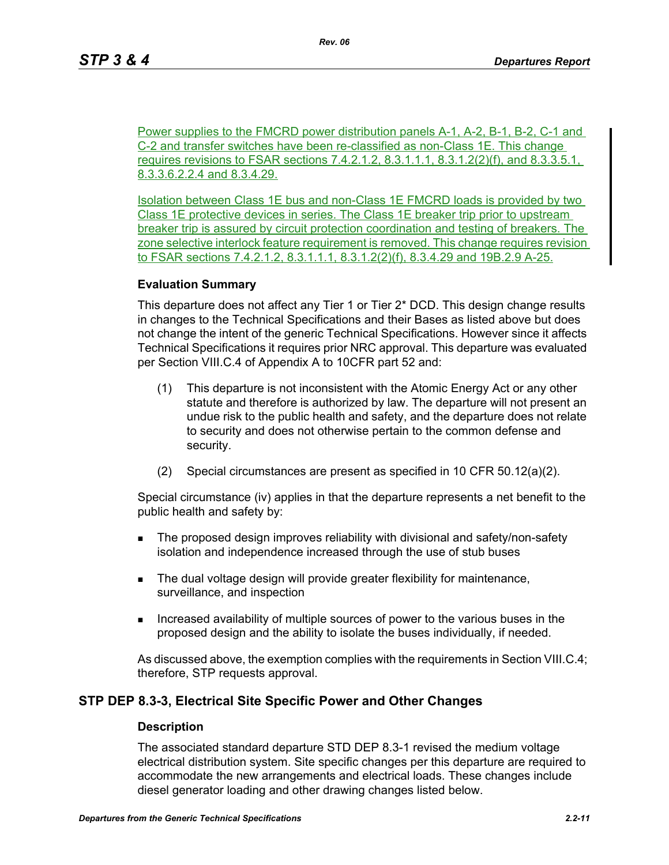Power supplies to the FMCRD power distribution panels A-1, A-2, B-1, B-2, C-1 and C-2 and transfer switches have been re-classified as non-Class 1E. This change requires revisions to FSAR sections 7.4.2.1.2, 8.3.1.1.1, 8.3.1.2(2)(f), and 8.3.3.5.1, 8.3.3.6.2.2.4 and 8.3.4.29.

Isolation between Class 1E bus and non-Class 1E FMCRD loads is provided by two Class 1E protective devices in series. The Class 1E breaker trip prior to upstream breaker trip is assured by circuit protection coordination and testing of breakers. The zone selective interlock feature requirement is removed. This change requires revision to FSAR sections 7.4.2.1.2, 8.3.1.1.1, 8.3.1.2(2)(f), 8.3.4.29 and 19B.2.9 A-25.

### **Evaluation Summary**

This departure does not affect any Tier 1 or Tier 2\* DCD. This design change results in changes to the Technical Specifications and their Bases as listed above but does not change the intent of the generic Technical Specifications. However since it affects Technical Specifications it requires prior NRC approval. This departure was evaluated per Section VIII.C.4 of Appendix A to 10CFR part 52 and:

- (1) This departure is not inconsistent with the Atomic Energy Act or any other statute and therefore is authorized by law. The departure will not present an undue risk to the public health and safety, and the departure does not relate to security and does not otherwise pertain to the common defense and security.
- (2) Special circumstances are present as specified in 10 CFR 50.12(a)(2).

Special circumstance (iv) applies in that the departure represents a net benefit to the public health and safety by:

- **The proposed design improves reliability with divisional and safety/non-safety** isolation and independence increased through the use of stub buses
- The dual voltage design will provide greater flexibility for maintenance, surveillance, and inspection
- Increased availability of multiple sources of power to the various buses in the proposed design and the ability to isolate the buses individually, if needed.

As discussed above, the exemption complies with the requirements in Section VIII.C.4; therefore, STP requests approval.

# **STP DEP 8.3-3, Electrical Site Specific Power and Other Changes**

### **Description**

The associated standard departure STD DEP 8.3-1 revised the medium voltage electrical distribution system. Site specific changes per this departure are required to accommodate the new arrangements and electrical loads. These changes include diesel generator loading and other drawing changes listed below.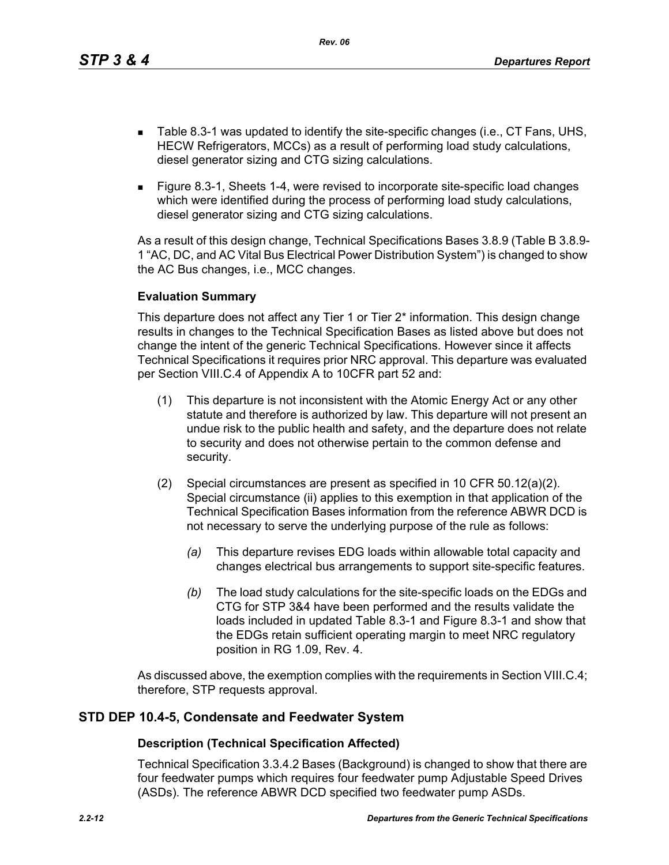*Rev. 06*

- Table 8.3-1 was updated to identify the site-specific changes (i.e., CT Fans, UHS, HECW Refrigerators, MCCs) as a result of performing load study calculations, diesel generator sizing and CTG sizing calculations.
- Figure 8.3-1, Sheets 1-4, were revised to incorporate site-specific load changes which were identified during the process of performing load study calculations, diesel generator sizing and CTG sizing calculations.

As a result of this design change, Technical Specifications Bases 3.8.9 (Table B 3.8.9- 1 "AC, DC, and AC Vital Bus Electrical Power Distribution System") is changed to show the AC Bus changes, i.e., MCC changes.

# **Evaluation Summary**

This departure does not affect any Tier 1 or Tier 2\* information. This design change results in changes to the Technical Specification Bases as listed above but does not change the intent of the generic Technical Specifications. However since it affects Technical Specifications it requires prior NRC approval. This departure was evaluated per Section VIII.C.4 of Appendix A to 10CFR part 52 and:

- (1) This departure is not inconsistent with the Atomic Energy Act or any other statute and therefore is authorized by law. This departure will not present an undue risk to the public health and safety, and the departure does not relate to security and does not otherwise pertain to the common defense and security.
- (2) Special circumstances are present as specified in 10 CFR 50.12(a)(2). Special circumstance (ii) applies to this exemption in that application of the Technical Specification Bases information from the reference ABWR DCD is not necessary to serve the underlying purpose of the rule as follows:
	- *(a)* This departure revises EDG loads within allowable total capacity and changes electrical bus arrangements to support site-specific features.
	- *(b)* The load study calculations for the site-specific loads on the EDGs and CTG for STP 3&4 have been performed and the results validate the loads included in updated Table 8.3-1 and Figure 8.3-1 and show that the EDGs retain sufficient operating margin to meet NRC regulatory position in RG 1.09, Rev. 4.

As discussed above, the exemption complies with the requirements in Section VIII.C.4; therefore, STP requests approval.

# **STD DEP 10.4-5, Condensate and Feedwater System**

# **Description (Technical Specification Affected)**

Technical Specification 3.3.4.2 Bases (Background) is changed to show that there are four feedwater pumps which requires four feedwater pump Adjustable Speed Drives (ASDs). The reference ABWR DCD specified two feedwater pump ASDs.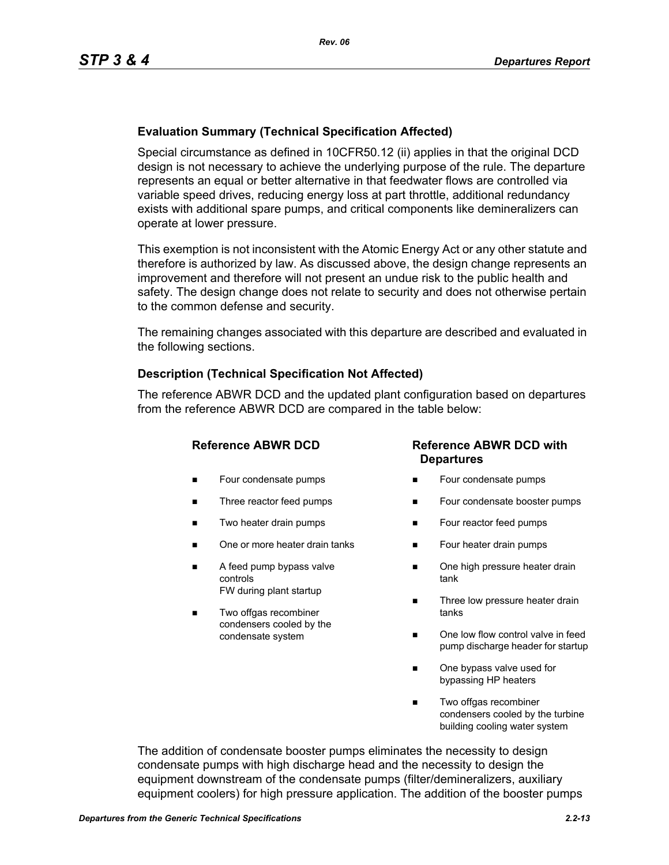# **Evaluation Summary (Technical Specification Affected)**

Special circumstance as defined in 10CFR50.12 (ii) applies in that the original DCD design is not necessary to achieve the underlying purpose of the rule. The departure represents an equal or better alternative in that feedwater flows are controlled via variable speed drives, reducing energy loss at part throttle, additional redundancy exists with additional spare pumps, and critical components like demineralizers can operate at lower pressure.

This exemption is not inconsistent with the Atomic Energy Act or any other statute and therefore is authorized by law. As discussed above, the design change represents an improvement and therefore will not present an undue risk to the public health and safety. The design change does not relate to security and does not otherwise pertain to the common defense and security.

The remaining changes associated with this departure are described and evaluated in the following sections.

# **Description (Technical Specification Not Affected)**

The reference ABWR DCD and the updated plant configuration based on departures from the reference ABWR DCD are compared in the table below:

- **Four condensate pumps**
- Three reactor feed pumps
- Two heater drain pumps
- One or more heater drain tanks
- A feed pump bypass valve controls FW during plant startup
- Two offgas recombiner condensers cooled by the condensate system

# **Reference ABWR DCD Reference ABWR DCD with Departures**

- Four condensate pumps
- Four condensate booster pumps
- **Four reactor feed pumps**
- Four heater drain pumps
- One high pressure heater drain tank
- Three low pressure heater drain tanks
- One low flow control valve in feed pump discharge header for startup
- One bypass valve used for bypassing HP heaters
- Two offgas recombiner condensers cooled by the turbine building cooling water system

The addition of condensate booster pumps eliminates the necessity to design condensate pumps with high discharge head and the necessity to design the equipment downstream of the condensate pumps (filter/demineralizers, auxiliary equipment coolers) for high pressure application. The addition of the booster pumps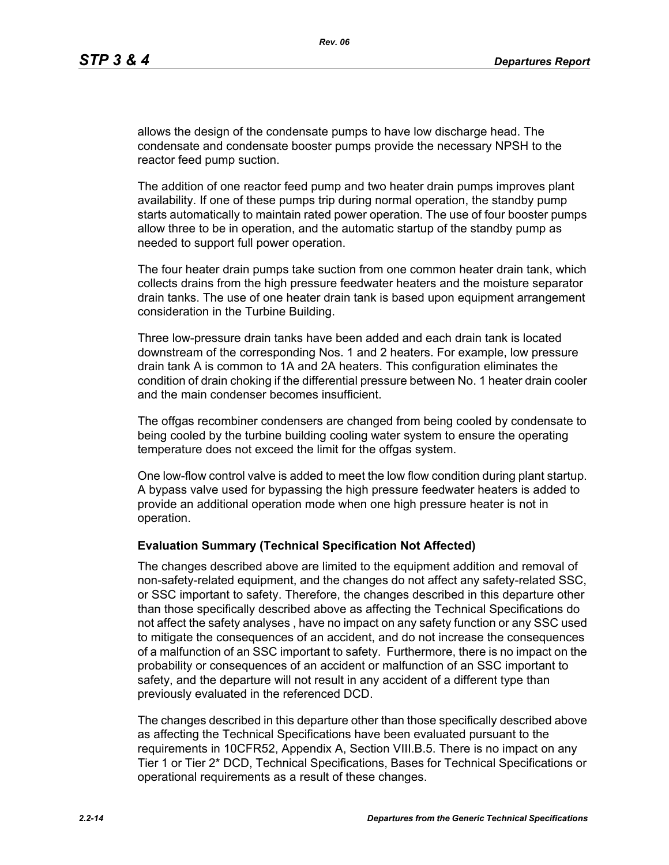allows the design of the condensate pumps to have low discharge head. The condensate and condensate booster pumps provide the necessary NPSH to the reactor feed pump suction.

The addition of one reactor feed pump and two heater drain pumps improves plant availability. If one of these pumps trip during normal operation, the standby pump starts automatically to maintain rated power operation. The use of four booster pumps allow three to be in operation, and the automatic startup of the standby pump as needed to support full power operation.

The four heater drain pumps take suction from one common heater drain tank, which collects drains from the high pressure feedwater heaters and the moisture separator drain tanks. The use of one heater drain tank is based upon equipment arrangement consideration in the Turbine Building.

Three low-pressure drain tanks have been added and each drain tank is located downstream of the corresponding Nos. 1 and 2 heaters. For example, low pressure drain tank A is common to 1A and 2A heaters. This configuration eliminates the condition of drain choking if the differential pressure between No. 1 heater drain cooler and the main condenser becomes insufficient.

The offgas recombiner condensers are changed from being cooled by condensate to being cooled by the turbine building cooling water system to ensure the operating temperature does not exceed the limit for the offgas system.

One low-flow control valve is added to meet the low flow condition during plant startup. A bypass valve used for bypassing the high pressure feedwater heaters is added to provide an additional operation mode when one high pressure heater is not in operation.

### **Evaluation Summary (Technical Specification Not Affected)**

The changes described above are limited to the equipment addition and removal of non-safety-related equipment, and the changes do not affect any safety-related SSC, or SSC important to safety. Therefore, the changes described in this departure other than those specifically described above as affecting the Technical Specifications do not affect the safety analyses , have no impact on any safety function or any SSC used to mitigate the consequences of an accident, and do not increase the consequences of a malfunction of an SSC important to safety. Furthermore, there is no impact on the probability or consequences of an accident or malfunction of an SSC important to safety, and the departure will not result in any accident of a different type than previously evaluated in the referenced DCD.

The changes described in this departure other than those specifically described above as affecting the Technical Specifications have been evaluated pursuant to the requirements in 10CFR52, Appendix A, Section VIII.B.5. There is no impact on any Tier 1 or Tier 2\* DCD, Technical Specifications, Bases for Technical Specifications or operational requirements as a result of these changes.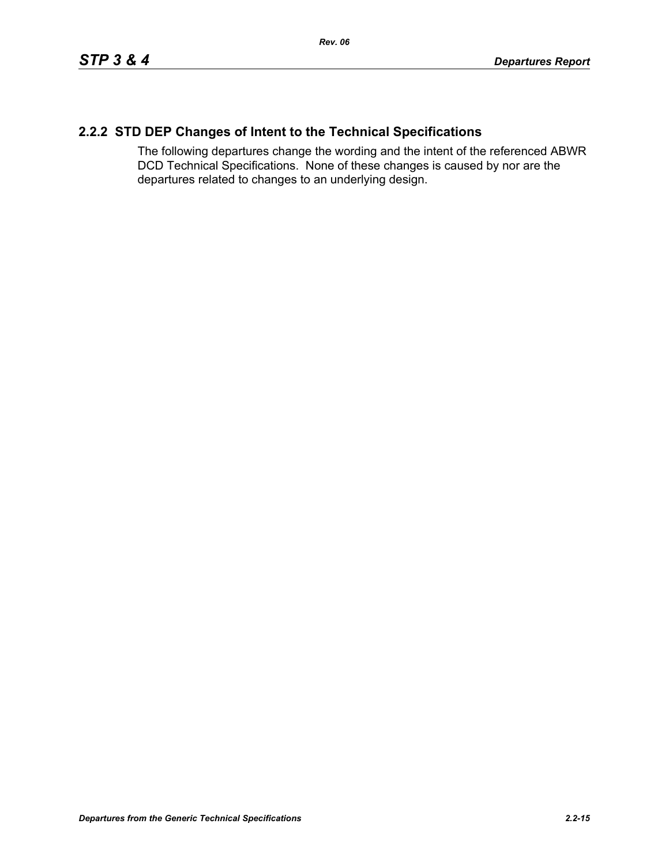# **2.2.2 STD DEP Changes of Intent to the Technical Specifications**

The following departures change the wording and the intent of the referenced ABWR DCD Technical Specifications. None of these changes is caused by nor are the departures related to changes to an underlying design.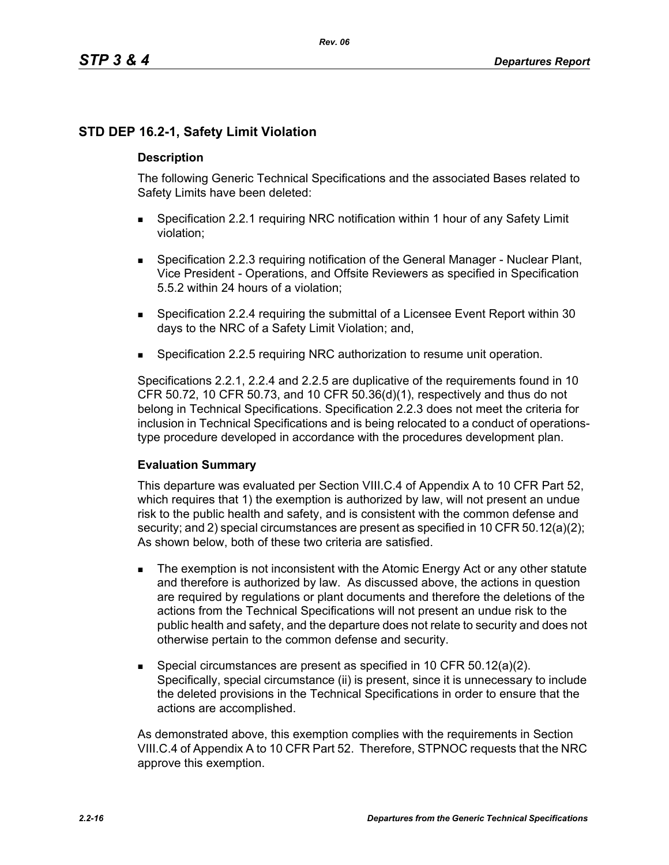# **STD DEP 16.2-1, Safety Limit Violation**

# **Description**

The following Generic Technical Specifications and the associated Bases related to Safety Limits have been deleted:

- Specification 2.2.1 requiring NRC notification within 1 hour of any Safety Limit violation;
- Specification 2.2.3 requiring notification of the General Manager Nuclear Plant, Vice President - Operations, and Offsite Reviewers as specified in Specification 5.5.2 within 24 hours of a violation;
- Specification 2.2.4 requiring the submittal of a Licensee Event Report within 30 days to the NRC of a Safety Limit Violation; and,
- **Specification 2.2.5 requiring NRC authorization to resume unit operation.**

Specifications 2.2.1, 2.2.4 and 2.2.5 are duplicative of the requirements found in 10 CFR 50.72, 10 CFR 50.73, and 10 CFR 50.36(d)(1), respectively and thus do not belong in Technical Specifications. Specification 2.2.3 does not meet the criteria for inclusion in Technical Specifications and is being relocated to a conduct of operationstype procedure developed in accordance with the procedures development plan.

### **Evaluation Summary**

This departure was evaluated per Section VIII.C.4 of Appendix A to 10 CFR Part 52, which requires that 1) the exemption is authorized by law, will not present an undue risk to the public health and safety, and is consistent with the common defense and security; and 2) special circumstances are present as specified in 10 CFR 50.12(a)(2); As shown below, both of these two criteria are satisfied.

- **The exemption is not inconsistent with the Atomic Energy Act or any other statute** and therefore is authorized by law. As discussed above, the actions in question are required by regulations or plant documents and therefore the deletions of the actions from the Technical Specifications will not present an undue risk to the public health and safety, and the departure does not relate to security and does not otherwise pertain to the common defense and security.
- Special circumstances are present as specified in 10 CFR 50.12(a)(2). Specifically, special circumstance (ii) is present, since it is unnecessary to include the deleted provisions in the Technical Specifications in order to ensure that the actions are accomplished.

As demonstrated above, this exemption complies with the requirements in Section VIII.C.4 of Appendix A to 10 CFR Part 52. Therefore, STPNOC requests that the NRC approve this exemption.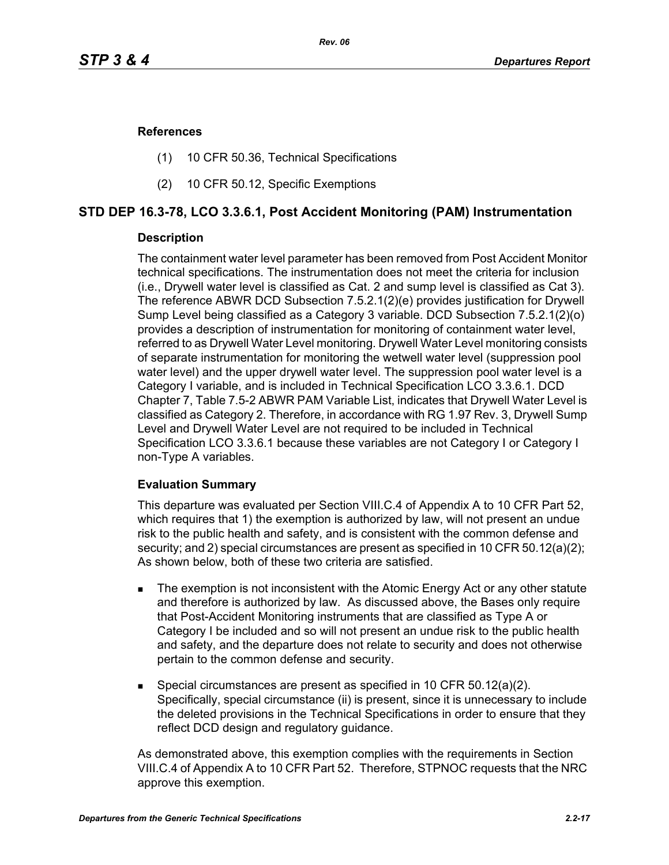### **References**

- (1) 10 CFR 50.36, Technical Specifications
- (2) 10 CFR 50.12, Specific Exemptions

# **STD DEP 16.3-78, LCO 3.3.6.1, Post Accident Monitoring (PAM) Instrumentation**

### **Description**

The containment water level parameter has been removed from Post Accident Monitor technical specifications. The instrumentation does not meet the criteria for inclusion (i.e., Drywell water level is classified as Cat. 2 and sump level is classified as Cat 3). The reference ABWR DCD Subsection 7.5.2.1(2)(e) provides justification for Drywell Sump Level being classified as a Category 3 variable. DCD Subsection 7.5.2.1(2)(o) provides a description of instrumentation for monitoring of containment water level, referred to as Drywell Water Level monitoring. Drywell Water Level monitoring consists of separate instrumentation for monitoring the wetwell water level (suppression pool water level) and the upper drywell water level. The suppression pool water level is a Category I variable, and is included in Technical Specification LCO 3.3.6.1. DCD Chapter 7, Table 7.5-2 ABWR PAM Variable List, indicates that Drywell Water Level is classified as Category 2. Therefore, in accordance with RG 1.97 Rev. 3, Drywell Sump Level and Drywell Water Level are not required to be included in Technical Specification LCO 3.3.6.1 because these variables are not Category I or Category I non-Type A variables.

# **Evaluation Summary**

This departure was evaluated per Section VIII.C.4 of Appendix A to 10 CFR Part 52, which requires that 1) the exemption is authorized by law, will not present an undue risk to the public health and safety, and is consistent with the common defense and security; and 2) special circumstances are present as specified in 10 CFR 50.12(a)(2); As shown below, both of these two criteria are satisfied.

- The exemption is not inconsistent with the Atomic Energy Act or any other statute and therefore is authorized by law. As discussed above, the Bases only require that Post-Accident Monitoring instruments that are classified as Type A or Category I be included and so will not present an undue risk to the public health and safety, and the departure does not relate to security and does not otherwise pertain to the common defense and security.
- Special circumstances are present as specified in 10 CFR 50.12(a)(2). Specifically, special circumstance (ii) is present, since it is unnecessary to include the deleted provisions in the Technical Specifications in order to ensure that they reflect DCD design and regulatory guidance.

As demonstrated above, this exemption complies with the requirements in Section VIII.C.4 of Appendix A to 10 CFR Part 52. Therefore, STPNOC requests that the NRC approve this exemption.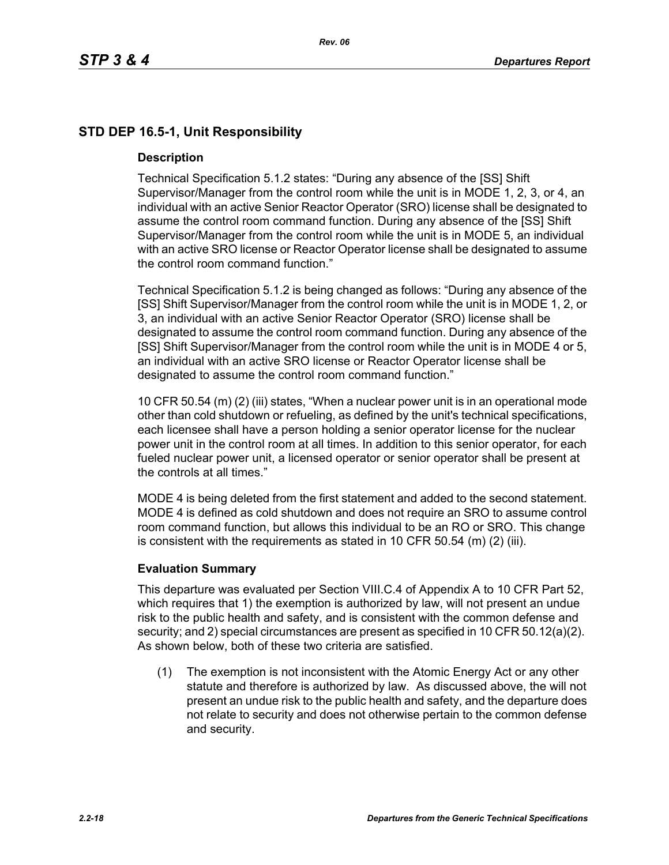# **STD DEP 16.5-1, Unit Responsibility**

### **Description**

Technical Specification 5.1.2 states: "During any absence of the [SS] Shift Supervisor/Manager from the control room while the unit is in MODE 1, 2, 3, or 4, an individual with an active Senior Reactor Operator (SRO) license shall be designated to assume the control room command function. During any absence of the [SS] Shift Supervisor/Manager from the control room while the unit is in MODE 5, an individual with an active SRO license or Reactor Operator license shall be designated to assume the control room command function."

Technical Specification 5.1.2 is being changed as follows: "During any absence of the [SS] Shift Supervisor/Manager from the control room while the unit is in MODE 1, 2, or 3, an individual with an active Senior Reactor Operator (SRO) license shall be designated to assume the control room command function. During any absence of the [SS] Shift Supervisor/Manager from the control room while the unit is in MODE 4 or 5, an individual with an active SRO license or Reactor Operator license shall be designated to assume the control room command function."

10 CFR 50.54 (m) (2) (iii) states, "When a nuclear power unit is in an operational mode other than cold shutdown or refueling, as defined by the unit's technical specifications, each licensee shall have a person holding a senior operator license for the nuclear power unit in the control room at all times. In addition to this senior operator, for each fueled nuclear power unit, a licensed operator or senior operator shall be present at the controls at all times."

MODE 4 is being deleted from the first statement and added to the second statement. MODE 4 is defined as cold shutdown and does not require an SRO to assume control room command function, but allows this individual to be an RO or SRO. This change is consistent with the requirements as stated in 10 CFR 50.54 (m) (2) (iii).

# **Evaluation Summary**

This departure was evaluated per Section VIII.C.4 of Appendix A to 10 CFR Part 52, which requires that 1) the exemption is authorized by law, will not present an undue risk to the public health and safety, and is consistent with the common defense and security; and 2) special circumstances are present as specified in 10 CFR 50.12(a)(2). As shown below, both of these two criteria are satisfied.

(1) The exemption is not inconsistent with the Atomic Energy Act or any other statute and therefore is authorized by law. As discussed above, the will not present an undue risk to the public health and safety, and the departure does not relate to security and does not otherwise pertain to the common defense and security.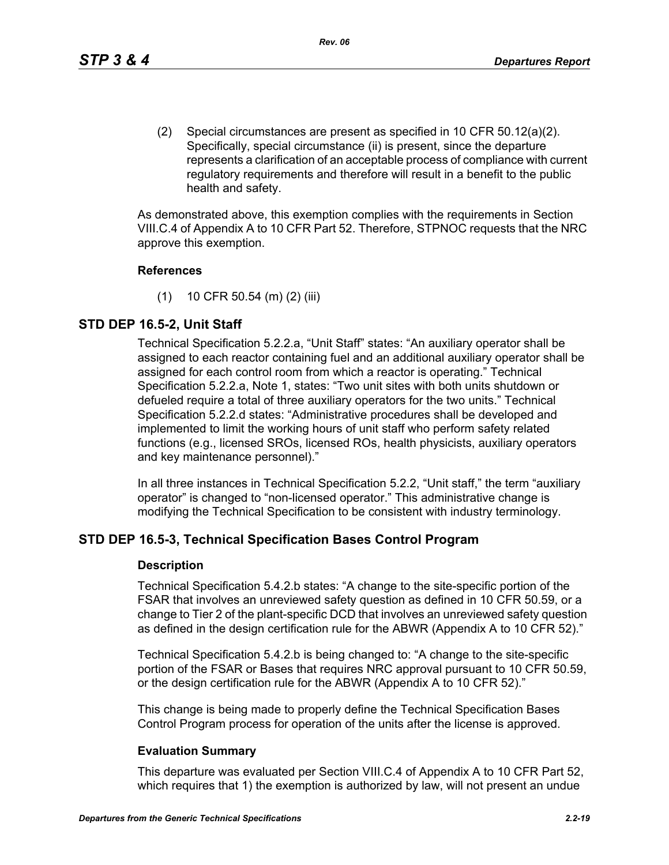(2) Special circumstances are present as specified in 10 CFR 50.12(a)(2). Specifically, special circumstance (ii) is present, since the departure represents a clarification of an acceptable process of compliance with current regulatory requirements and therefore will result in a benefit to the public health and safety.

As demonstrated above, this exemption complies with the requirements in Section VIII.C.4 of Appendix A to 10 CFR Part 52. Therefore, STPNOC requests that the NRC approve this exemption.

### **References**

(1) 10 CFR 50.54 (m) (2) (iii)

# **STD DEP 16.5-2, Unit Staff**

Technical Specification 5.2.2.a, "Unit Staff" states: "An auxiliary operator shall be assigned to each reactor containing fuel and an additional auxiliary operator shall be assigned for each control room from which a reactor is operating." Technical Specification 5.2.2.a, Note 1, states: "Two unit sites with both units shutdown or defueled require a total of three auxiliary operators for the two units." Technical Specification 5.2.2.d states: "Administrative procedures shall be developed and implemented to limit the working hours of unit staff who perform safety related functions (e.g., licensed SROs, licensed ROs, health physicists, auxiliary operators and key maintenance personnel)."

In all three instances in Technical Specification 5.2.2, "Unit staff," the term "auxiliary operator" is changed to "non-licensed operator." This administrative change is modifying the Technical Specification to be consistent with industry terminology.

# **STD DEP 16.5-3, Technical Specification Bases Control Program**

### **Description**

Technical Specification 5.4.2.b states: "A change to the site-specific portion of the FSAR that involves an unreviewed safety question as defined in 10 CFR 50.59, or a change to Tier 2 of the plant-specific DCD that involves an unreviewed safety question as defined in the design certification rule for the ABWR (Appendix A to 10 CFR 52)."

Technical Specification 5.4.2.b is being changed to: "A change to the site-specific portion of the FSAR or Bases that requires NRC approval pursuant to 10 CFR 50.59, or the design certification rule for the ABWR (Appendix A to 10 CFR 52)."

This change is being made to properly define the Technical Specification Bases Control Program process for operation of the units after the license is approved.

# **Evaluation Summary**

This departure was evaluated per Section VIII.C.4 of Appendix A to 10 CFR Part 52, which requires that 1) the exemption is authorized by law, will not present an undue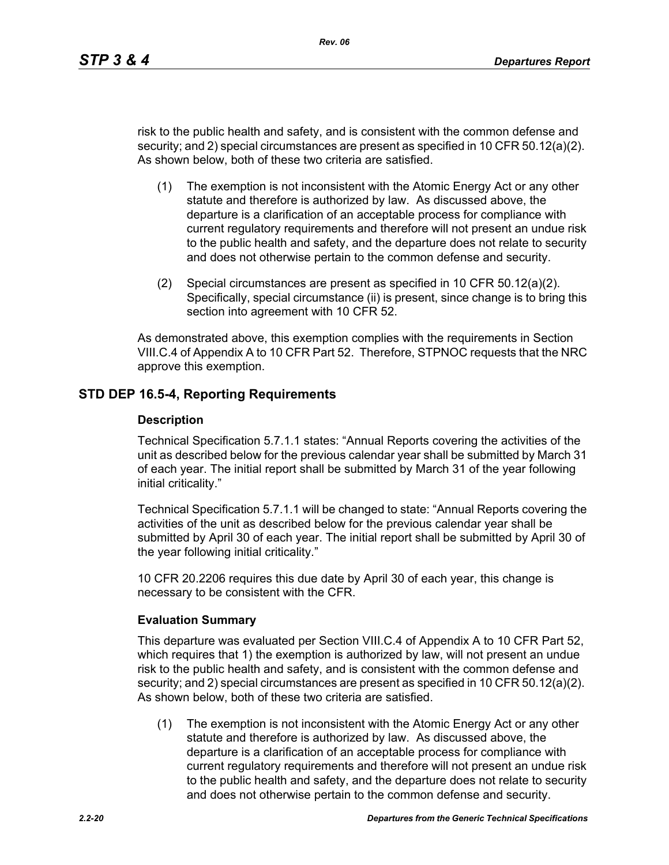risk to the public health and safety, and is consistent with the common defense and security; and 2) special circumstances are present as specified in 10 CFR 50.12(a)(2). As shown below, both of these two criteria are satisfied.

- (1) The exemption is not inconsistent with the Atomic Energy Act or any other statute and therefore is authorized by law. As discussed above, the departure is a clarification of an acceptable process for compliance with current regulatory requirements and therefore will not present an undue risk to the public health and safety, and the departure does not relate to security and does not otherwise pertain to the common defense and security.
- (2) Special circumstances are present as specified in 10 CFR 50.12(a)(2). Specifically, special circumstance (ii) is present, since change is to bring this section into agreement with 10 CFR 52.

As demonstrated above, this exemption complies with the requirements in Section VIII.C.4 of Appendix A to 10 CFR Part 52. Therefore, STPNOC requests that the NRC approve this exemption.

# **STD DEP 16.5-4, Reporting Requirements**

#### **Description**

Technical Specification 5.7.1.1 states: "Annual Reports covering the activities of the unit as described below for the previous calendar year shall be submitted by March 31 of each year. The initial report shall be submitted by March 31 of the year following initial criticality."

Technical Specification 5.7.1.1 will be changed to state: "Annual Reports covering the activities of the unit as described below for the previous calendar year shall be submitted by April 30 of each year. The initial report shall be submitted by April 30 of the year following initial criticality."

10 CFR 20.2206 requires this due date by April 30 of each year, this change is necessary to be consistent with the CFR.

#### **Evaluation Summary**

This departure was evaluated per Section VIII.C.4 of Appendix A to 10 CFR Part 52, which requires that 1) the exemption is authorized by law, will not present an undue risk to the public health and safety, and is consistent with the common defense and security; and 2) special circumstances are present as specified in 10 CFR 50.12(a)(2). As shown below, both of these two criteria are satisfied.

(1) The exemption is not inconsistent with the Atomic Energy Act or any other statute and therefore is authorized by law. As discussed above, the departure is a clarification of an acceptable process for compliance with current regulatory requirements and therefore will not present an undue risk to the public health and safety, and the departure does not relate to security and does not otherwise pertain to the common defense and security.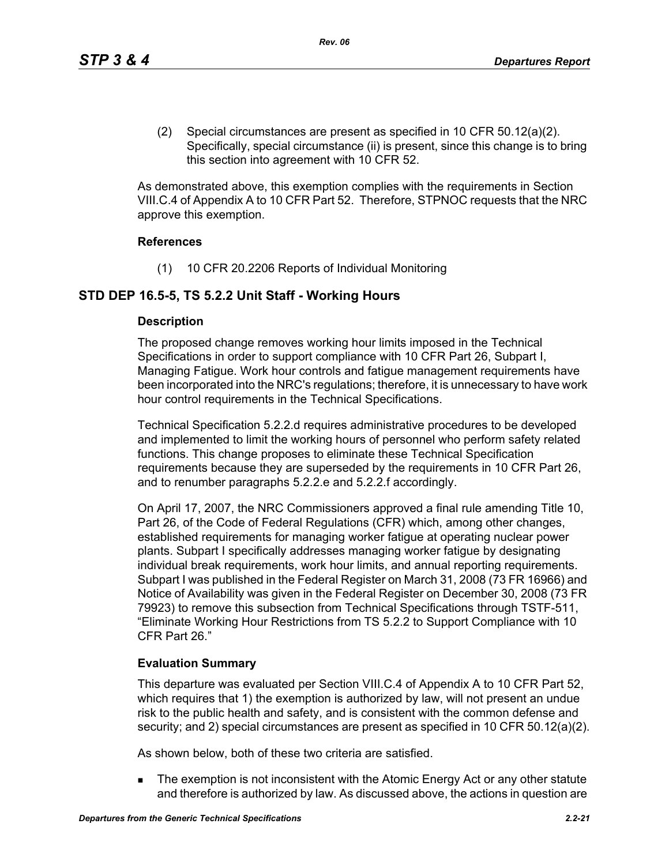(2) Special circumstances are present as specified in 10 CFR 50.12(a)(2). Specifically, special circumstance (ii) is present, since this change is to bring this section into agreement with 10 CFR 52.

As demonstrated above, this exemption complies with the requirements in Section VIII.C.4 of Appendix A to 10 CFR Part 52. Therefore, STPNOC requests that the NRC approve this exemption.

### **References**

(1) 10 CFR 20.2206 Reports of Individual Monitoring

# **STD DEP 16.5-5, TS 5.2.2 Unit Staff - Working Hours**

### **Description**

The proposed change removes working hour limits imposed in the Technical Specifications in order to support compliance with 10 CFR Part 26, Subpart I, Managing Fatigue. Work hour controls and fatigue management requirements have been incorporated into the NRC's regulations; therefore, it is unnecessary to have work hour control requirements in the Technical Specifications.

Technical Specification 5.2.2.d requires administrative procedures to be developed and implemented to limit the working hours of personnel who perform safety related functions. This change proposes to eliminate these Technical Specification requirements because they are superseded by the requirements in 10 CFR Part 26, and to renumber paragraphs 5.2.2.e and 5.2.2.f accordingly.

On April 17, 2007, the NRC Commissioners approved a final rule amending Title 10, Part 26, of the Code of Federal Regulations (CFR) which, among other changes, established requirements for managing worker fatigue at operating nuclear power plants. Subpart I specifically addresses managing worker fatigue by designating individual break requirements, work hour limits, and annual reporting requirements. Subpart I was published in the Federal Register on March 31, 2008 (73 FR 16966) and Notice of Availability was given in the Federal Register on December 30, 2008 (73 FR 79923) to remove this subsection from Technical Specifications through TSTF-511, "Eliminate Working Hour Restrictions from TS 5.2.2 to Support Compliance with 10 CFR Part 26."

### **Evaluation Summary**

This departure was evaluated per Section VIII.C.4 of Appendix A to 10 CFR Part 52, which requires that 1) the exemption is authorized by law, will not present an undue risk to the public health and safety, and is consistent with the common defense and security; and 2) special circumstances are present as specified in 10 CFR 50.12(a)(2).

As shown below, both of these two criteria are satisfied.

The exemption is not inconsistent with the Atomic Energy Act or any other statute and therefore is authorized by law. As discussed above, the actions in question are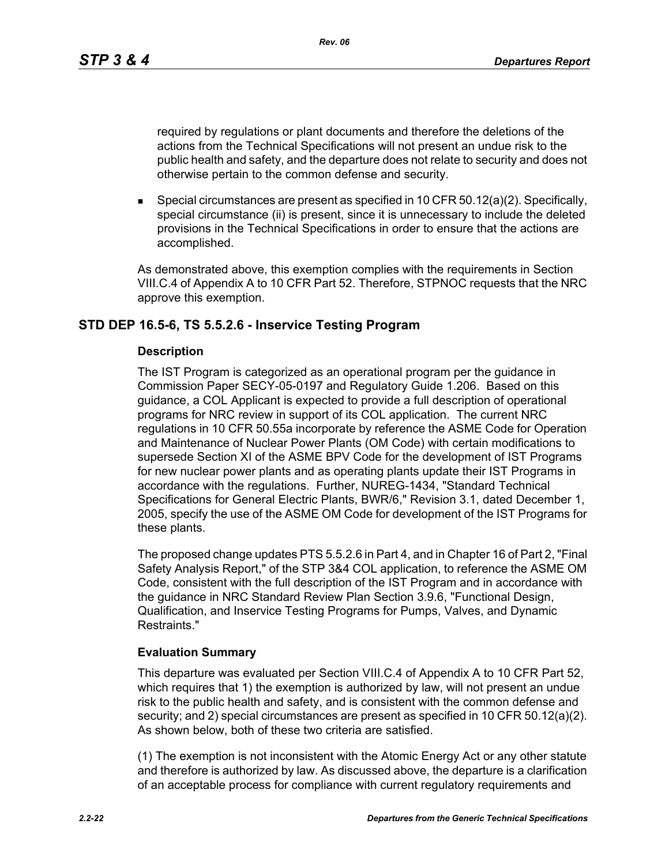*Rev. 06*

required by regulations or plant documents and therefore the deletions of the actions from the Technical Specifications will not present an undue risk to the public health and safety, and the departure does not relate to security and does not otherwise pertain to the common defense and security.

**Special circumstances are present as specified in 10 CFR 50.12(a)(2). Specifically,** special circumstance (ii) is present, since it is unnecessary to include the deleted provisions in the Technical Specifications in order to ensure that the actions are accomplished.

As demonstrated above, this exemption complies with the requirements in Section VIII.C.4 of Appendix A to 10 CFR Part 52. Therefore, STPNOC requests that the NRC approve this exemption.

# **STD DEP 16.5-6, TS 5.5.2.6 - Inservice Testing Program**

### **Description**

The IST Program is categorized as an operational program per the guidance in Commission Paper SECY-05-0197 and Regulatory Guide 1.206. Based on this guidance, a COL Applicant is expected to provide a full description of operational programs for NRC review in support of its COL application. The current NRC regulations in 10 CFR 50.55a incorporate by reference the ASME Code for Operation and Maintenance of Nuclear Power Plants (OM Code) with certain modifications to supersede Section XI of the ASME BPV Code for the development of IST Programs for new nuclear power plants and as operating plants update their IST Programs in accordance with the regulations. Further, NUREG-1434, "Standard Technical Specifications for General Electric Plants, BWR/6," Revision 3.1, dated December 1, 2005, specify the use of the ASME OM Code for development of the IST Programs for these plants.

The proposed change updates PTS 5.5.2.6 in Part 4, and in Chapter 16 of Part 2, "Final Safety Analysis Report," of the STP 3&4 COL application, to reference the ASME OM Code, consistent with the full description of the IST Program and in accordance with the guidance in NRC Standard Review Plan Section 3.9.6, "Functional Design, Qualification, and Inservice Testing Programs for Pumps, Valves, and Dynamic Restraints."

# **Evaluation Summary**

This departure was evaluated per Section VIII.C.4 of Appendix A to 10 CFR Part 52, which requires that 1) the exemption is authorized by law, will not present an undue risk to the public health and safety, and is consistent with the common defense and security; and 2) special circumstances are present as specified in 10 CFR 50.12(a)(2). As shown below, both of these two criteria are satisfied.

(1) The exemption is not inconsistent with the Atomic Energy Act or any other statute and therefore is authorized by law. As discussed above, the departure is a clarification of an acceptable process for compliance with current regulatory requirements and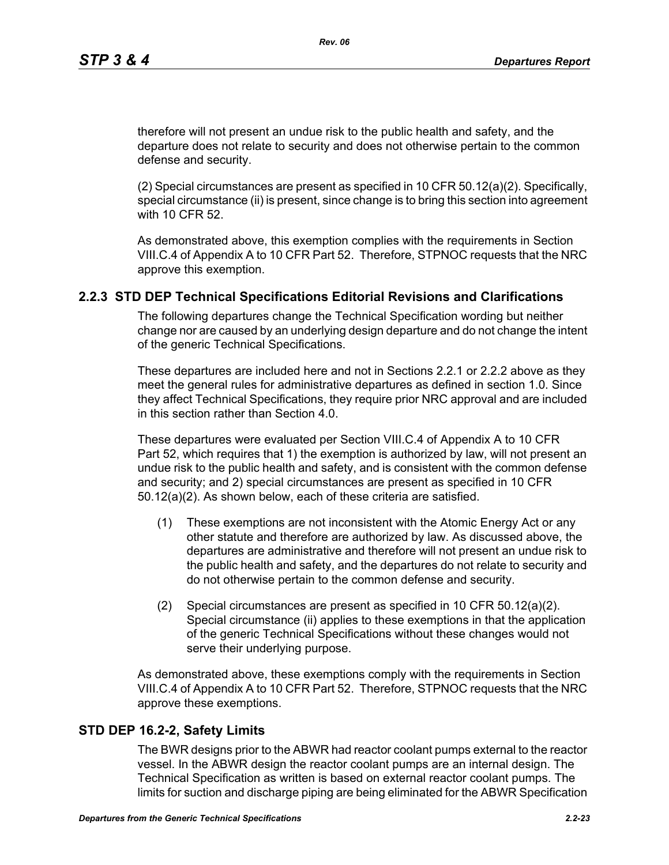therefore will not present an undue risk to the public health and safety, and the departure does not relate to security and does not otherwise pertain to the common defense and security.

(2) Special circumstances are present as specified in 10 CFR 50.12(a)(2). Specifically, special circumstance (ii) is present, since change is to bring this section into agreement with 10 CFR 52.

As demonstrated above, this exemption complies with the requirements in Section VIII.C.4 of Appendix A to 10 CFR Part 52. Therefore, STPNOC requests that the NRC approve this exemption.

### **2.2.3 STD DEP Technical Specifications Editorial Revisions and Clarifications**

The following departures change the Technical Specification wording but neither change nor are caused by an underlying design departure and do not change the intent of the generic Technical Specifications.

These departures are included here and not in Sections 2.2.1 or 2.2.2 above as they meet the general rules for administrative departures as defined in section 1.0. Since they affect Technical Specifications, they require prior NRC approval and are included in this section rather than Section 4.0.

These departures were evaluated per Section VIII.C.4 of Appendix A to 10 CFR Part 52, which requires that 1) the exemption is authorized by law, will not present an undue risk to the public health and safety, and is consistent with the common defense and security; and 2) special circumstances are present as specified in 10 CFR 50.12(a)(2). As shown below, each of these criteria are satisfied.

- (1) These exemptions are not inconsistent with the Atomic Energy Act or any other statute and therefore are authorized by law. As discussed above, the departures are administrative and therefore will not present an undue risk to the public health and safety, and the departures do not relate to security and do not otherwise pertain to the common defense and security.
- (2) Special circumstances are present as specified in 10 CFR 50.12(a)(2). Special circumstance (ii) applies to these exemptions in that the application of the generic Technical Specifications without these changes would not serve their underlying purpose.

As demonstrated above, these exemptions comply with the requirements in Section VIII.C.4 of Appendix A to 10 CFR Part 52. Therefore, STPNOC requests that the NRC approve these exemptions.

### **STD DEP 16.2-2, Safety Limits**

The BWR designs prior to the ABWR had reactor coolant pumps external to the reactor vessel. In the ABWR design the reactor coolant pumps are an internal design. The Technical Specification as written is based on external reactor coolant pumps. The limits for suction and discharge piping are being eliminated for the ABWR Specification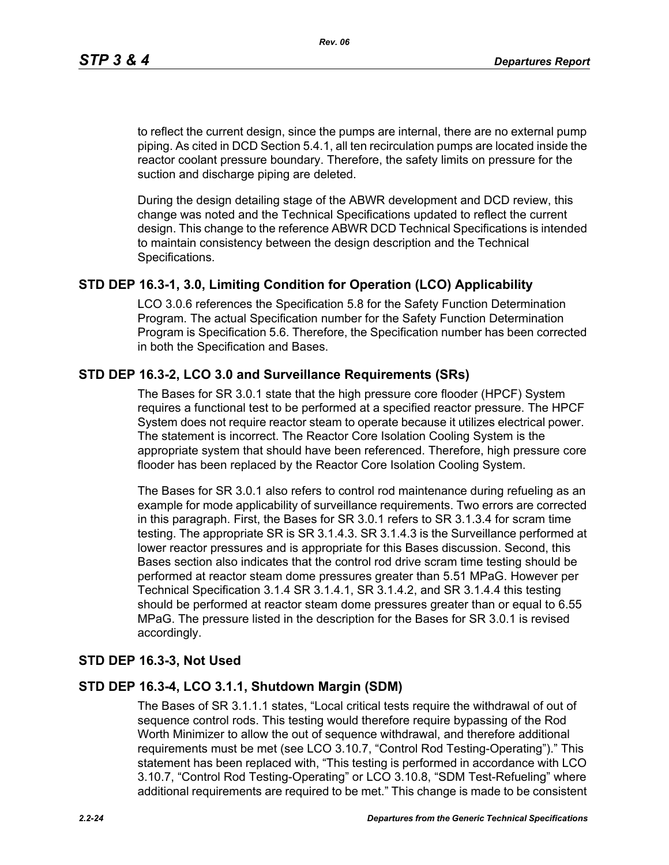to reflect the current design, since the pumps are internal, there are no external pump piping. As cited in DCD Section 5.4.1, all ten recirculation pumps are located inside the reactor coolant pressure boundary. Therefore, the safety limits on pressure for the suction and discharge piping are deleted.

During the design detailing stage of the ABWR development and DCD review, this change was noted and the Technical Specifications updated to reflect the current design. This change to the reference ABWR DCD Technical Specifications is intended to maintain consistency between the design description and the Technical Specifications.

# **STD DEP 16.3-1, 3.0, Limiting Condition for Operation (LCO) Applicability**

LCO 3.0.6 references the Specification 5.8 for the Safety Function Determination Program. The actual Specification number for the Safety Function Determination Program is Specification 5.6. Therefore, the Specification number has been corrected in both the Specification and Bases.

# **STD DEP 16.3-2, LCO 3.0 and Surveillance Requirements (SRs)**

The Bases for SR 3.0.1 state that the high pressure core flooder (HPCF) System requires a functional test to be performed at a specified reactor pressure. The HPCF System does not require reactor steam to operate because it utilizes electrical power. The statement is incorrect. The Reactor Core Isolation Cooling System is the appropriate system that should have been referenced. Therefore, high pressure core flooder has been replaced by the Reactor Core Isolation Cooling System.

The Bases for SR 3.0.1 also refers to control rod maintenance during refueling as an example for mode applicability of surveillance requirements. Two errors are corrected in this paragraph. First, the Bases for SR 3.0.1 refers to SR 3.1.3.4 for scram time testing. The appropriate SR is SR 3.1.4.3. SR 3.1.4.3 is the Surveillance performed at lower reactor pressures and is appropriate for this Bases discussion. Second, this Bases section also indicates that the control rod drive scram time testing should be performed at reactor steam dome pressures greater than 5.51 MPaG. However per Technical Specification 3.1.4 SR 3.1.4.1, SR 3.1.4.2, and SR 3.1.4.4 this testing should be performed at reactor steam dome pressures greater than or equal to 6.55 MPaG. The pressure listed in the description for the Bases for SR 3.0.1 is revised accordingly.

# **STD DEP 16.3-3, Not Used**

# **STD DEP 16.3-4, LCO 3.1.1, Shutdown Margin (SDM)**

The Bases of SR 3.1.1.1 states, "Local critical tests require the withdrawal of out of sequence control rods. This testing would therefore require bypassing of the Rod Worth Minimizer to allow the out of sequence withdrawal, and therefore additional requirements must be met (see LCO 3.10.7, "Control Rod Testing-Operating")." This statement has been replaced with, "This testing is performed in accordance with LCO 3.10.7, "Control Rod Testing-Operating" or LCO 3.10.8, "SDM Test-Refueling" where additional requirements are required to be met." This change is made to be consistent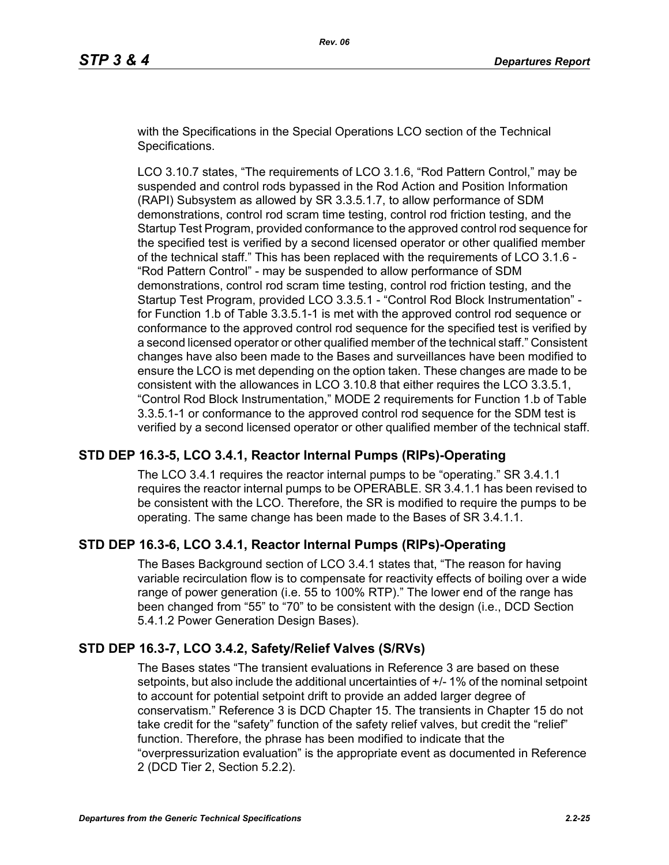with the Specifications in the Special Operations LCO section of the Technical Specifications.

LCO 3.10.7 states, "The requirements of LCO 3.1.6, "Rod Pattern Control," may be suspended and control rods bypassed in the Rod Action and Position Information (RAPI) Subsystem as allowed by SR 3.3.5.1.7, to allow performance of SDM demonstrations, control rod scram time testing, control rod friction testing, and the Startup Test Program, provided conformance to the approved control rod sequence for the specified test is verified by a second licensed operator or other qualified member of the technical staff." This has been replaced with the requirements of LCO 3.1.6 - "Rod Pattern Control" - may be suspended to allow performance of SDM demonstrations, control rod scram time testing, control rod friction testing, and the Startup Test Program, provided LCO 3.3.5.1 - "Control Rod Block Instrumentation" for Function 1.b of Table 3.3.5.1-1 is met with the approved control rod sequence or conformance to the approved control rod sequence for the specified test is verified by a second licensed operator or other qualified member of the technical staff." Consistent changes have also been made to the Bases and surveillances have been modified to ensure the LCO is met depending on the option taken. These changes are made to be consistent with the allowances in LCO 3.10.8 that either requires the LCO 3.3.5.1, "Control Rod Block Instrumentation," MODE 2 requirements for Function 1.b of Table 3.3.5.1-1 or conformance to the approved control rod sequence for the SDM test is verified by a second licensed operator or other qualified member of the technical staff.

# **STD DEP 16.3-5, LCO 3.4.1, Reactor Internal Pumps (RIPs)-Operating**

The LCO 3.4.1 requires the reactor internal pumps to be "operating." SR 3.4.1.1 requires the reactor internal pumps to be OPERABLE. SR 3.4.1.1 has been revised to be consistent with the LCO. Therefore, the SR is modified to require the pumps to be operating. The same change has been made to the Bases of SR 3.4.1.1.

# **STD DEP 16.3-6, LCO 3.4.1, Reactor Internal Pumps (RIPs)-Operating**

The Bases Background section of LCO 3.4.1 states that, "The reason for having variable recirculation flow is to compensate for reactivity effects of boiling over a wide range of power generation (i.e. 55 to 100% RTP)." The lower end of the range has been changed from "55" to "70" to be consistent with the design (i.e., DCD Section 5.4.1.2 Power Generation Design Bases).

# **STD DEP 16.3-7, LCO 3.4.2, Safety/Relief Valves (S/RVs)**

The Bases states "The transient evaluations in Reference 3 are based on these setpoints, but also include the additional uncertainties of +/- 1% of the nominal setpoint to account for potential setpoint drift to provide an added larger degree of conservatism." Reference 3 is DCD Chapter 15. The transients in Chapter 15 do not take credit for the "safety" function of the safety relief valves, but credit the "relief" function. Therefore, the phrase has been modified to indicate that the "overpressurization evaluation" is the appropriate event as documented in Reference 2 (DCD Tier 2, Section 5.2.2).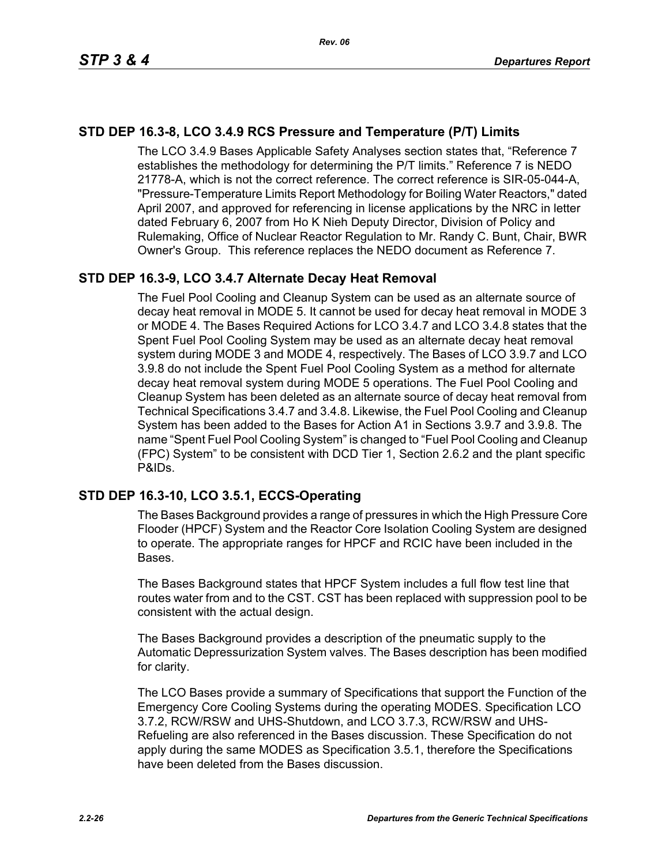# **STD DEP 16.3-8, LCO 3.4.9 RCS Pressure and Temperature (P/T) Limits**

The LCO 3.4.9 Bases Applicable Safety Analyses section states that, "Reference 7 establishes the methodology for determining the P/T limits." Reference 7 is NEDO 21778-A, which is not the correct reference. The correct reference is SIR-05-044-A, "Pressure-Temperature Limits Report Methodology for Boiling Water Reactors," dated April 2007, and approved for referencing in license applications by the NRC in letter dated February 6, 2007 from Ho K Nieh Deputy Director, Division of Policy and Rulemaking, Office of Nuclear Reactor Regulation to Mr. Randy C. Bunt, Chair, BWR Owner's Group. This reference replaces the NEDO document as Reference 7.

# **STD DEP 16.3-9, LCO 3.4.7 Alternate Decay Heat Removal**

The Fuel Pool Cooling and Cleanup System can be used as an alternate source of decay heat removal in MODE 5. It cannot be used for decay heat removal in MODE 3 or MODE 4. The Bases Required Actions for LCO 3.4.7 and LCO 3.4.8 states that the Spent Fuel Pool Cooling System may be used as an alternate decay heat removal system during MODE 3 and MODE 4, respectively. The Bases of LCO 3.9.7 and LCO 3.9.8 do not include the Spent Fuel Pool Cooling System as a method for alternate decay heat removal system during MODE 5 operations. The Fuel Pool Cooling and Cleanup System has been deleted as an alternate source of decay heat removal from Technical Specifications 3.4.7 and 3.4.8. Likewise, the Fuel Pool Cooling and Cleanup System has been added to the Bases for Action A1 in Sections 3.9.7 and 3.9.8. The name "Spent Fuel Pool Cooling System" is changed to "Fuel Pool Cooling and Cleanup (FPC) System" to be consistent with DCD Tier 1, Section 2.6.2 and the plant specific P&IDs.

# **STD DEP 16.3-10, LCO 3.5.1, ECCS-Operating**

The Bases Background provides a range of pressures in which the High Pressure Core Flooder (HPCF) System and the Reactor Core Isolation Cooling System are designed to operate. The appropriate ranges for HPCF and RCIC have been included in the Bases.

The Bases Background states that HPCF System includes a full flow test line that routes water from and to the CST. CST has been replaced with suppression pool to be consistent with the actual design.

The Bases Background provides a description of the pneumatic supply to the Automatic Depressurization System valves. The Bases description has been modified for clarity.

The LCO Bases provide a summary of Specifications that support the Function of the Emergency Core Cooling Systems during the operating MODES. Specification LCO 3.7.2, RCW/RSW and UHS-Shutdown, and LCO 3.7.3, RCW/RSW and UHS-Refueling are also referenced in the Bases discussion. These Specification do not apply during the same MODES as Specification 3.5.1, therefore the Specifications have been deleted from the Bases discussion.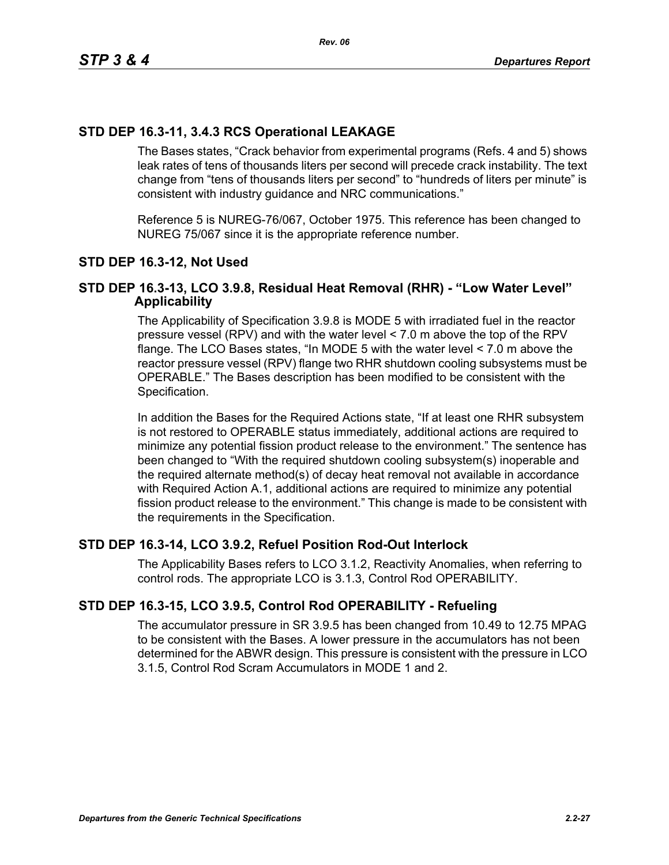# **STD DEP 16.3-11, 3.4.3 RCS Operational LEAKAGE**

The Bases states, "Crack behavior from experimental programs (Refs. 4 and 5) shows leak rates of tens of thousands liters per second will precede crack instability. The text change from "tens of thousands liters per second" to "hundreds of liters per minute" is consistent with industry guidance and NRC communications."

Reference 5 is NUREG-76/067, October 1975. This reference has been changed to NUREG 75/067 since it is the appropriate reference number.

# **STD DEP 16.3-12, Not Used**

# **STD DEP 16.3-13, LCO 3.9.8, Residual Heat Removal (RHR) - "Low Water Level" Applicability**

The Applicability of Specification 3.9.8 is MODE 5 with irradiated fuel in the reactor pressure vessel (RPV) and with the water level < 7.0 m above the top of the RPV flange. The LCO Bases states, "In MODE 5 with the water level < 7.0 m above the reactor pressure vessel (RPV) flange two RHR shutdown cooling subsystems must be OPERABLE." The Bases description has been modified to be consistent with the Specification.

In addition the Bases for the Required Actions state, "If at least one RHR subsystem is not restored to OPERABLE status immediately, additional actions are required to minimize any potential fission product release to the environment." The sentence has been changed to "With the required shutdown cooling subsystem(s) inoperable and the required alternate method(s) of decay heat removal not available in accordance with Required Action A.1, additional actions are required to minimize any potential fission product release to the environment." This change is made to be consistent with the requirements in the Specification.

# **STD DEP 16.3-14, LCO 3.9.2, Refuel Position Rod-Out Interlock**

The Applicability Bases refers to LCO 3.1.2, Reactivity Anomalies, when referring to control rods. The appropriate LCO is 3.1.3, Control Rod OPERABILITY.

# **STD DEP 16.3-15, LCO 3.9.5, Control Rod OPERABILITY - Refueling**

The accumulator pressure in SR 3.9.5 has been changed from 10.49 to 12.75 MPAG to be consistent with the Bases. A lower pressure in the accumulators has not been determined for the ABWR design. This pressure is consistent with the pressure in LCO 3.1.5, Control Rod Scram Accumulators in MODE 1 and 2.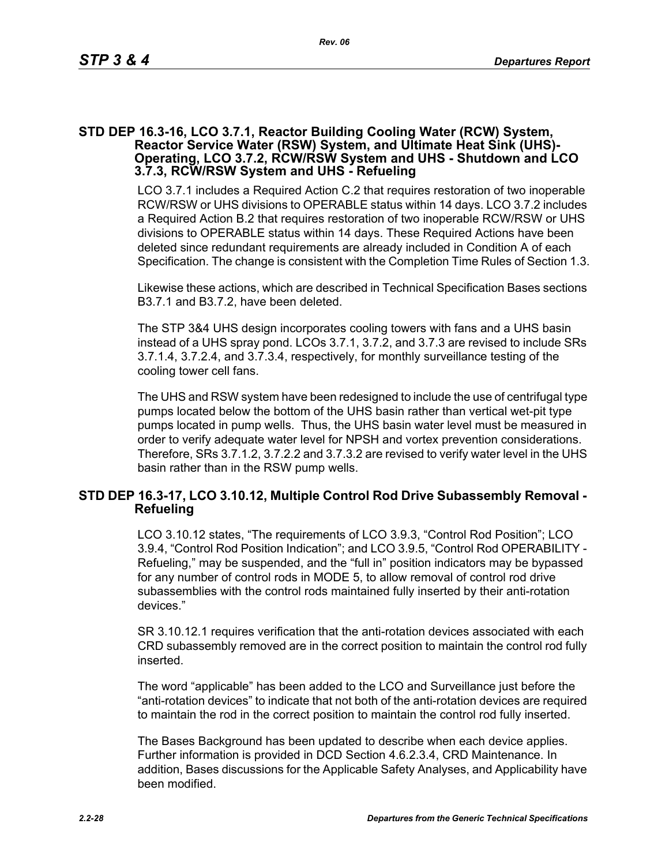### **STD DEP 16.3-16, LCO 3.7.1, Reactor Building Cooling Water (RCW) System, Reactor Service Water (RSW) System, and Ultimate Heat Sink (UHS)- Operating, LCO 3.7.2, RCW/RSW System and UHS - Shutdown and LCO 3.7.3, RCW/RSW System and UHS - Refueling**

LCO 3.7.1 includes a Required Action C.2 that requires restoration of two inoperable RCW/RSW or UHS divisions to OPERABLE status within 14 days. LCO 3.7.2 includes a Required Action B.2 that requires restoration of two inoperable RCW/RSW or UHS divisions to OPERABLE status within 14 days. These Required Actions have been deleted since redundant requirements are already included in Condition A of each Specification. The change is consistent with the Completion Time Rules of Section 1.3.

Likewise these actions, which are described in Technical Specification Bases sections B3.7.1 and B3.7.2, have been deleted.

The STP 3&4 UHS design incorporates cooling towers with fans and a UHS basin instead of a UHS spray pond. LCOs 3.7.1, 3.7.2, and 3.7.3 are revised to include SRs 3.7.1.4, 3.7.2.4, and 3.7.3.4, respectively, for monthly surveillance testing of the cooling tower cell fans.

The UHS and RSW system have been redesigned to include the use of centrifugal type pumps located below the bottom of the UHS basin rather than vertical wet-pit type pumps located in pump wells. Thus, the UHS basin water level must be measured in order to verify adequate water level for NPSH and vortex prevention considerations. Therefore, SRs 3.7.1.2, 3.7.2.2 and 3.7.3.2 are revised to verify water level in the UHS basin rather than in the RSW pump wells.

# **STD DEP 16.3-17, LCO 3.10.12, Multiple Control Rod Drive Subassembly Removal - Refueling**

LCO 3.10.12 states, "The requirements of LCO 3.9.3, "Control Rod Position"; LCO 3.9.4, "Control Rod Position Indication"; and LCO 3.9.5, "Control Rod OPERABILITY - Refueling," may be suspended, and the "full in" position indicators may be bypassed for any number of control rods in MODE 5, to allow removal of control rod drive subassemblies with the control rods maintained fully inserted by their anti-rotation devices."

SR 3.10.12.1 requires verification that the anti-rotation devices associated with each CRD subassembly removed are in the correct position to maintain the control rod fully inserted.

The word "applicable" has been added to the LCO and Surveillance just before the "anti-rotation devices" to indicate that not both of the anti-rotation devices are required to maintain the rod in the correct position to maintain the control rod fully inserted.

The Bases Background has been updated to describe when each device applies. Further information is provided in DCD Section 4.6.2.3.4, CRD Maintenance. In addition, Bases discussions for the Applicable Safety Analyses, and Applicability have been modified.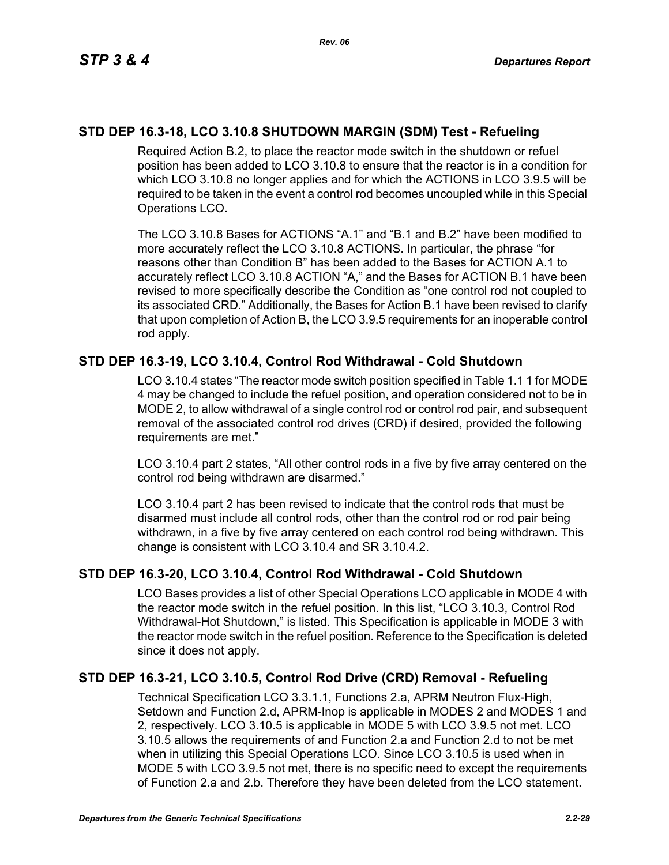# **STD DEP 16.3-18, LCO 3.10.8 SHUTDOWN MARGIN (SDM) Test - Refueling**

Required Action B.2, to place the reactor mode switch in the shutdown or refuel position has been added to LCO 3.10.8 to ensure that the reactor is in a condition for which LCO 3.10.8 no longer applies and for which the ACTIONS in LCO 3.9.5 will be required to be taken in the event a control rod becomes uncoupled while in this Special Operations LCO.

The LCO 3.10.8 Bases for ACTIONS "A.1" and "B.1 and B.2" have been modified to more accurately reflect the LCO 3.10.8 ACTIONS. In particular, the phrase "for reasons other than Condition B" has been added to the Bases for ACTION A.1 to accurately reflect LCO 3.10.8 ACTION "A," and the Bases for ACTION B.1 have been revised to more specifically describe the Condition as "one control rod not coupled to its associated CRD." Additionally, the Bases for Action B.1 have been revised to clarify that upon completion of Action B, the LCO 3.9.5 requirements for an inoperable control rod apply.

# **STD DEP 16.3-19, LCO 3.10.4, Control Rod Withdrawal - Cold Shutdown**

LCO 3.10.4 states "The reactor mode switch position specified in Table 1.1 1 for MODE 4 may be changed to include the refuel position, and operation considered not to be in MODE 2, to allow withdrawal of a single control rod or control rod pair, and subsequent removal of the associated control rod drives (CRD) if desired, provided the following requirements are met."

LCO 3.10.4 part 2 states, "All other control rods in a five by five array centered on the control rod being withdrawn are disarmed."

LCO 3.10.4 part 2 has been revised to indicate that the control rods that must be disarmed must include all control rods, other than the control rod or rod pair being withdrawn, in a five by five array centered on each control rod being withdrawn. This change is consistent with LCO 3.10.4 and SR 3.10.4.2.

# **STD DEP 16.3-20, LCO 3.10.4, Control Rod Withdrawal - Cold Shutdown**

LCO Bases provides a list of other Special Operations LCO applicable in MODE 4 with the reactor mode switch in the refuel position. In this list, "LCO 3.10.3, Control Rod Withdrawal-Hot Shutdown," is listed. This Specification is applicable in MODE 3 with the reactor mode switch in the refuel position. Reference to the Specification is deleted since it does not apply.

# **STD DEP 16.3-21, LCO 3.10.5, Control Rod Drive (CRD) Removal - Refueling**

Technical Specification LCO 3.3.1.1, Functions 2.a, APRM Neutron Flux-High, Setdown and Function 2.d, APRM-Inop is applicable in MODES 2 and MODES 1 and 2, respectively. LCO 3.10.5 is applicable in MODE 5 with LCO 3.9.5 not met. LCO 3.10.5 allows the requirements of and Function 2.a and Function 2.d to not be met when in utilizing this Special Operations LCO. Since LCO 3.10.5 is used when in MODE 5 with LCO 3.9.5 not met, there is no specific need to except the requirements of Function 2.a and 2.b. Therefore they have been deleted from the LCO statement.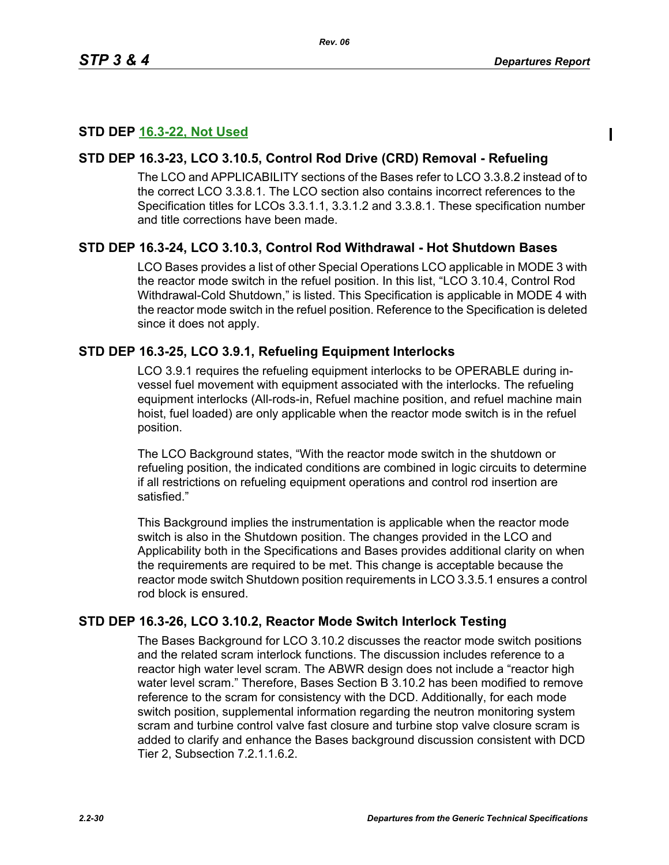# **STD DEP 16.3-22, Not Used**

# **STD DEP 16.3-23, LCO 3.10.5, Control Rod Drive (CRD) Removal - Refueling**

The LCO and APPLICABILITY sections of the Bases refer to LCO 3.3.8.2 instead of to the correct LCO 3.3.8.1. The LCO section also contains incorrect references to the Specification titles for LCOs 3.3.1.1, 3.3.1.2 and 3.3.8.1. These specification number and title corrections have been made.

# **STD DEP 16.3-24, LCO 3.10.3, Control Rod Withdrawal - Hot Shutdown Bases**

LCO Bases provides a list of other Special Operations LCO applicable in MODE 3 with the reactor mode switch in the refuel position. In this list, "LCO 3.10.4, Control Rod Withdrawal-Cold Shutdown," is listed. This Specification is applicable in MODE 4 with the reactor mode switch in the refuel position. Reference to the Specification is deleted since it does not apply.

# **STD DEP 16.3-25, LCO 3.9.1, Refueling Equipment Interlocks**

LCO 3.9.1 requires the refueling equipment interlocks to be OPERABLE during invessel fuel movement with equipment associated with the interlocks. The refueling equipment interlocks (All-rods-in, Refuel machine position, and refuel machine main hoist, fuel loaded) are only applicable when the reactor mode switch is in the refuel position.

The LCO Background states, "With the reactor mode switch in the shutdown or refueling position, the indicated conditions are combined in logic circuits to determine if all restrictions on refueling equipment operations and control rod insertion are satisfied."

This Background implies the instrumentation is applicable when the reactor mode switch is also in the Shutdown position. The changes provided in the LCO and Applicability both in the Specifications and Bases provides additional clarity on when the requirements are required to be met. This change is acceptable because the reactor mode switch Shutdown position requirements in LCO 3.3.5.1 ensures a control rod block is ensured.

# **STD DEP 16.3-26, LCO 3.10.2, Reactor Mode Switch Interlock Testing**

The Bases Background for LCO 3.10.2 discusses the reactor mode switch positions and the related scram interlock functions. The discussion includes reference to a reactor high water level scram. The ABWR design does not include a "reactor high water level scram." Therefore, Bases Section B 3.10.2 has been modified to remove reference to the scram for consistency with the DCD. Additionally, for each mode switch position, supplemental information regarding the neutron monitoring system scram and turbine control valve fast closure and turbine stop valve closure scram is added to clarify and enhance the Bases background discussion consistent with DCD Tier 2, Subsection 7.2.1.1.6.2.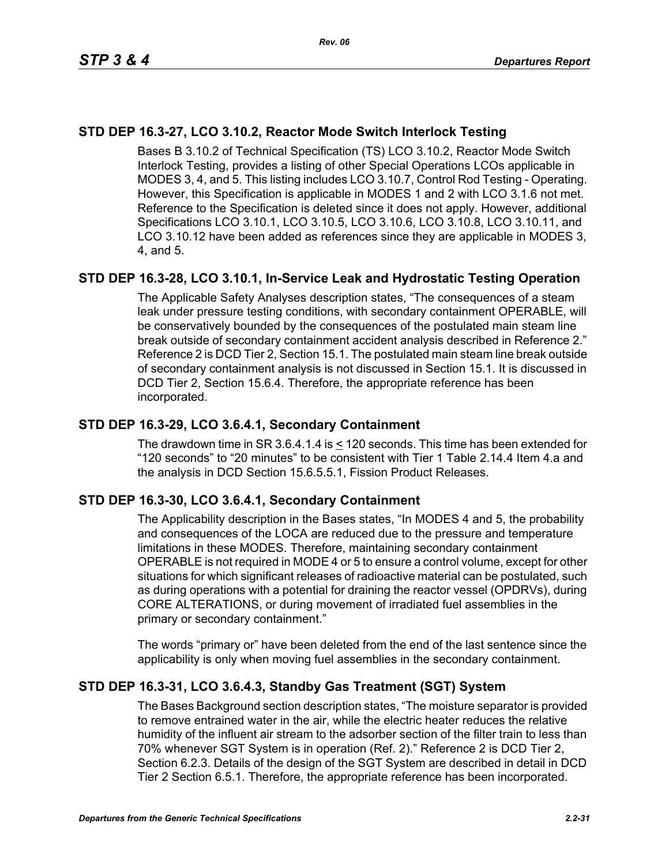# **STD DEP 16.3-27, LCO 3.10.2, Reactor Mode Switch Interlock Testing**

Bases B 3.10.2 of Technical Specification (TS) LCO 3.10.2, Reactor Mode Switch Interlock Testing, provides a listing of other Special Operations LCOs applicable in MODES 3, 4, and 5. This listing includes LCO 3.10.7, Control Rod Testing - Operating. However, this Specification is applicable in MODES 1 and 2 with LCO 3.1.6 not met. Reference to the Specification is deleted since it does not apply. However, additional Specifications LCO 3.10.1, LCO 3.10.5, LCO 3.10.6, LCO 3.10.8, LCO 3.10.11, and LCO 3.10.12 have been added as references since they are applicable in MODES 3, 4, and 5.

# **STD DEP 16.3-28, LCO 3.10.1, In-Service Leak and Hydrostatic Testing Operation**

The Applicable Safety Analyses description states, "The consequences of a steam leak under pressure testing conditions, with secondary containment OPERABLE, will be conservatively bounded by the consequences of the postulated main steam line break outside of secondary containment accident analysis described in Reference 2." Reference 2 is DCD Tier 2, Section 15.1. The postulated main steam line break outside of secondary containment analysis is not discussed in Section 15.1. It is discussed in DCD Tier 2, Section 15.6.4. Therefore, the appropriate reference has been incorporated.

# **STD DEP 16.3-29, LCO 3.6.4.1, Secondary Containment**

The drawdown time in SR 3.6.4.1.4 is < 120 seconds. This time has been extended for "120 seconds" to "20 minutes" to be consistent with Tier 1 Table 2.14.4 Item 4.a and the analysis in DCD Section 15.6.5.5.1, Fission Product Releases.

# **STD DEP 16.3-30, LCO 3.6.4.1, Secondary Containment**

The Applicability description in the Bases states, "In MODES 4 and 5, the probability and consequences of the LOCA are reduced due to the pressure and temperature limitations in these MODES. Therefore, maintaining secondary containment OPERABLE is not required in MODE 4 or 5 to ensure a control volume, except for other situations for which significant releases of radioactive material can be postulated, such as during operations with a potential for draining the reactor vessel (OPDRVs), during CORE ALTERATIONS, or during movement of irradiated fuel assemblies in the primary or secondary containment."

The words "primary or" have been deleted from the end of the last sentence since the applicability is only when moving fuel assemblies in the secondary containment.

# **STD DEP 16.3-31, LCO 3.6.4.3, Standby Gas Treatment (SGT) System**

The Bases Background section description states, "The moisture separator is provided to remove entrained water in the air, while the electric heater reduces the relative humidity of the influent air stream to the adsorber section of the filter train to less than 70% whenever SGT System is in operation (Ref. 2)." Reference 2 is DCD Tier 2, Section 6.2.3. Details of the design of the SGT System are described in detail in DCD Tier 2 Section 6.5.1. Therefore, the appropriate reference has been incorporated.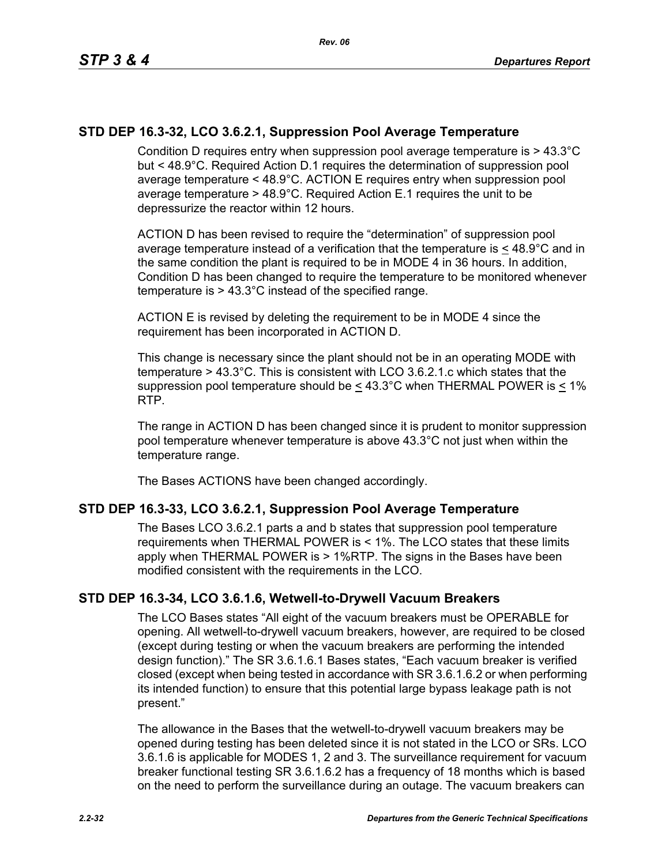# **STD DEP 16.3-32, LCO 3.6.2.1, Suppression Pool Average Temperature**

Condition D requires entry when suppression pool average temperature is > 43.3°C but < 48.9°C. Required Action D.1 requires the determination of suppression pool average temperature < 48.9°C. ACTION E requires entry when suppression pool average temperature > 48.9°C. Required Action E.1 requires the unit to be depressurize the reactor within 12 hours.

ACTION D has been revised to require the "determination" of suppression pool average temperature instead of a verification that the temperature is  $\leq 48.9^{\circ}$ C and in the same condition the plant is required to be in MODE 4 in 36 hours. In addition, Condition D has been changed to require the temperature to be monitored whenever temperature is > 43.3°C instead of the specified range.

ACTION E is revised by deleting the requirement to be in MODE 4 since the requirement has been incorporated in ACTION D.

This change is necessary since the plant should not be in an operating MODE with temperature > 43.3°C. This is consistent with LCO 3.6.2.1.c which states that the suppression pool temperature should be  $\leq 43.3^{\circ}$ C when THERMAL POWER is < 1% RTP.

The range in ACTION D has been changed since it is prudent to monitor suppression pool temperature whenever temperature is above 43.3°C not just when within the temperature range.

The Bases ACTIONS have been changed accordingly.

# **STD DEP 16.3-33, LCO 3.6.2.1, Suppression Pool Average Temperature**

The Bases LCO 3.6.2.1 parts a and b states that suppression pool temperature requirements when THERMAL POWER is < 1%. The LCO states that these limits apply when THERMAL POWER is > 1%RTP. The signs in the Bases have been modified consistent with the requirements in the LCO.

# **STD DEP 16.3-34, LCO 3.6.1.6, Wetwell-to-Drywell Vacuum Breakers**

The LCO Bases states "All eight of the vacuum breakers must be OPERABLE for opening. All wetwell-to-drywell vacuum breakers, however, are required to be closed (except during testing or when the vacuum breakers are performing the intended design function)." The SR 3.6.1.6.1 Bases states, "Each vacuum breaker is verified closed (except when being tested in accordance with SR 3.6.1.6.2 or when performing its intended function) to ensure that this potential large bypass leakage path is not present."

The allowance in the Bases that the wetwell-to-drywell vacuum breakers may be opened during testing has been deleted since it is not stated in the LCO or SRs. LCO 3.6.1.6 is applicable for MODES 1, 2 and 3. The surveillance requirement for vacuum breaker functional testing SR 3.6.1.6.2 has a frequency of 18 months which is based on the need to perform the surveillance during an outage. The vacuum breakers can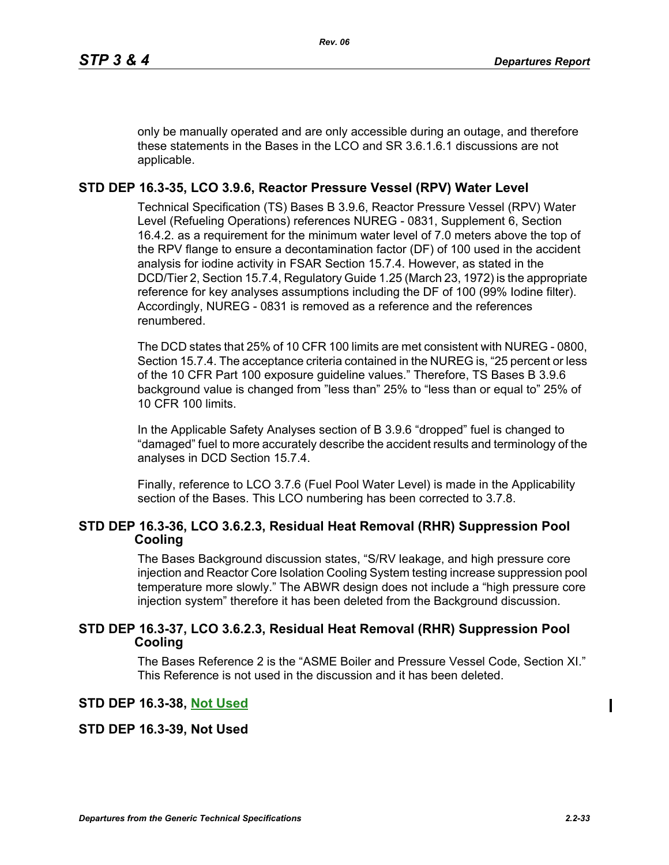only be manually operated and are only accessible during an outage, and therefore these statements in the Bases in the LCO and SR 3.6.1.6.1 discussions are not applicable.

# **STD DEP 16.3-35, LCO 3.9.6, Reactor Pressure Vessel (RPV) Water Level**

Technical Specification (TS) Bases B 3.9.6, Reactor Pressure Vessel (RPV) Water Level (Refueling Operations) references NUREG - 0831, Supplement 6, Section 16.4.2. as a requirement for the minimum water level of 7.0 meters above the top of the RPV flange to ensure a decontamination factor (DF) of 100 used in the accident analysis for iodine activity in FSAR Section 15.7.4. However, as stated in the DCD/Tier 2, Section 15.7.4, Regulatory Guide 1.25 (March 23, 1972) is the appropriate reference for key analyses assumptions including the DF of 100 (99% Iodine filter). Accordingly, NUREG - 0831 is removed as a reference and the references renumbered.

The DCD states that 25% of 10 CFR 100 limits are met consistent with NUREG - 0800, Section 15.7.4. The acceptance criteria contained in the NUREG is, "25 percent or less of the 10 CFR Part 100 exposure guideline values." Therefore, TS Bases B 3.9.6 background value is changed from "less than" 25% to "less than or equal to" 25% of 10 CFR 100 limits.

In the Applicable Safety Analyses section of B 3.9.6 "dropped" fuel is changed to "damaged" fuel to more accurately describe the accident results and terminology of the analyses in DCD Section 15.7.4.

Finally, reference to LCO 3.7.6 (Fuel Pool Water Level) is made in the Applicability section of the Bases. This LCO numbering has been corrected to 3.7.8.

# **STD DEP 16.3-36, LCO 3.6.2.3, Residual Heat Removal (RHR) Suppression Pool Cooling**

The Bases Background discussion states, "S/RV leakage, and high pressure core injection and Reactor Core Isolation Cooling System testing increase suppression pool temperature more slowly." The ABWR design does not include a "high pressure core injection system" therefore it has been deleted from the Background discussion.

# **STD DEP 16.3-37, LCO 3.6.2.3, Residual Heat Removal (RHR) Suppression Pool Cooling**

The Bases Reference 2 is the "ASME Boiler and Pressure Vessel Code, Section XI." This Reference is not used in the discussion and it has been deleted.

# **STD DEP 16.3-38, Not Used**

# **STD DEP 16.3-39, Not Used**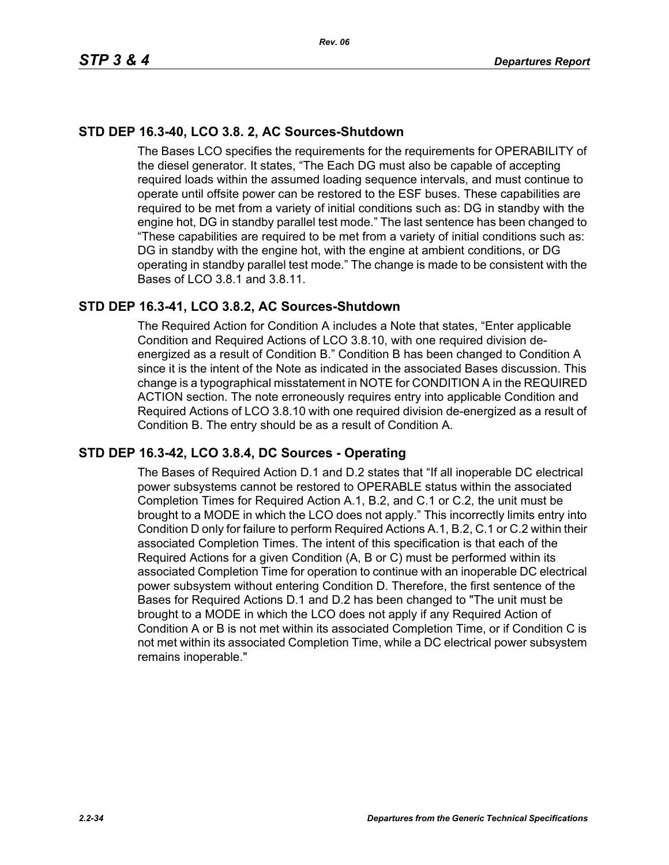# **STD DEP 16.3-40, LCO 3.8. 2, AC Sources-Shutdown**

The Bases LCO specifies the requirements for the requirements for OPERABILITY of the diesel generator. It states, "The Each DG must also be capable of accepting required loads within the assumed loading sequence intervals, and must continue to operate until offsite power can be restored to the ESF buses. These capabilities are required to be met from a variety of initial conditions such as: DG in standby with the engine hot, DG in standby parallel test mode." The last sentence has been changed to "These capabilities are required to be met from a variety of initial conditions such as: DG in standby with the engine hot, with the engine at ambient conditions, or DG operating in standby parallel test mode." The change is made to be consistent with the Bases of LCO 3.8.1 and 3.8.11.

# **STD DEP 16.3-41, LCO 3.8.2, AC Sources-Shutdown**

The Required Action for Condition A includes a Note that states, "Enter applicable Condition and Required Actions of LCO 3.8.10, with one required division deenergized as a result of Condition B." Condition B has been changed to Condition A since it is the intent of the Note as indicated in the associated Bases discussion. This change is a typographical misstatement in NOTE for CONDITION A in the REQUIRED ACTION section. The note erroneously requires entry into applicable Condition and Required Actions of LCO 3.8.10 with one required division de-energized as a result of Condition B. The entry should be as a result of Condition A.

# **STD DEP 16.3-42, LCO 3.8.4, DC Sources - Operating**

The Bases of Required Action D.1 and D.2 states that "If all inoperable DC electrical power subsystems cannot be restored to OPERABLE status within the associated Completion Times for Required Action A.1, B.2, and C.1 or C.2, the unit must be brought to a MODE in which the LCO does not apply." This incorrectly limits entry into Condition D only for failure to perform Required Actions A.1, B.2, C.1 or C.2 within their associated Completion Times. The intent of this specification is that each of the Required Actions for a given Condition (A, B or C) must be performed within its associated Completion Time for operation to continue with an inoperable DC electrical power subsystem without entering Condition D. Therefore, the first sentence of the Bases for Required Actions D.1 and D.2 has been changed to "The unit must be brought to a MODE in which the LCO does not apply if any Required Action of Condition A or B is not met within its associated Completion Time, or if Condition C is not met within its associated Completion Time, while a DC electrical power subsystem remains inoperable."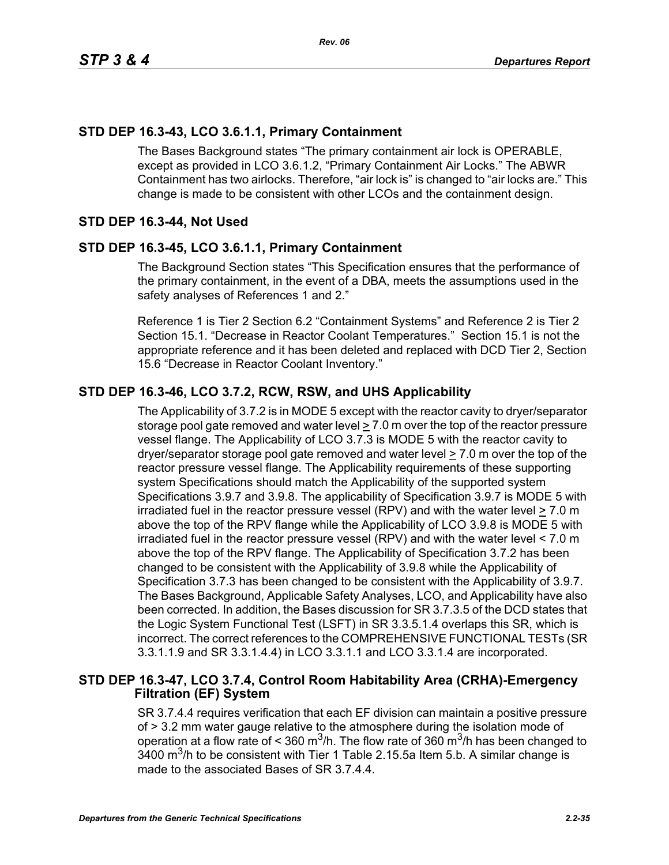# **STD DEP 16.3-43, LCO 3.6.1.1, Primary Containment**

The Bases Background states "The primary containment air lock is OPERABLE, except as provided in LCO 3.6.1.2, "Primary Containment Air Locks." The ABWR Containment has two airlocks. Therefore, "air lock is" is changed to "air locks are." This change is made to be consistent with other LCOs and the containment design.

# **STD DEP 16.3-44, Not Used**

# **STD DEP 16.3-45, LCO 3.6.1.1, Primary Containment**

The Background Section states "This Specification ensures that the performance of the primary containment, in the event of a DBA, meets the assumptions used in the safety analyses of References 1 and 2."

Reference 1 is Tier 2 Section 6.2 "Containment Systems" and Reference 2 is Tier 2 Section 15.1. "Decrease in Reactor Coolant Temperatures." Section 15.1 is not the appropriate reference and it has been deleted and replaced with DCD Tier 2, Section 15.6 "Decrease in Reactor Coolant Inventory."

# **STD DEP 16.3-46, LCO 3.7.2, RCW, RSW, and UHS Applicability**

The Applicability of 3.7.2 is in MODE 5 except with the reactor cavity to dryer/separator storage pool gate removed and water level  $\geq 7.0$  m over the top of the reactor pressure vessel flange. The Applicability of LCO 3.7.3 is MODE 5 with the reactor cavity to dryer/separator storage pool gate removed and water level > 7.0 m over the top of the reactor pressure vessel flange. The Applicability requirements of these supporting system Specifications should match the Applicability of the supported system Specifications 3.9.7 and 3.9.8. The applicability of Specification 3.9.7 is MODE 5 with irradiated fuel in the reactor pressure vessel (RPV) and with the water level  $\geq 7.0$  m above the top of the RPV flange while the Applicability of LCO 3.9.8 is MODE 5 with irradiated fuel in the reactor pressure vessel (RPV) and with the water level < 7.0 m above the top of the RPV flange. The Applicability of Specification 3.7.2 has been changed to be consistent with the Applicability of 3.9.8 while the Applicability of Specification 3.7.3 has been changed to be consistent with the Applicability of 3.9.7. The Bases Background, Applicable Safety Analyses, LCO, and Applicability have also been corrected. In addition, the Bases discussion for SR 3.7.3.5 of the DCD states that the Logic System Functional Test (LSFT) in SR 3.3.5.1.4 overlaps this SR, which is incorrect. The correct references to the COMPREHENSIVE FUNCTIONAL TESTs (SR 3.3.1.1.9 and SR 3.3.1.4.4) in LCO 3.3.1.1 and LCO 3.3.1.4 are incorporated.

# **STD DEP 16.3-47, LCO 3.7.4, Control Room Habitability Area (CRHA)-Emergency Filtration (EF) System**

SR 3.7.4.4 requires verification that each EF division can maintain a positive pressure of > 3.2 mm water gauge relative to the atmosphere during the isolation mode of operation at a flow rate of < 360 m<sup>3</sup>/h. The flow rate of 360 m<sup>3</sup>/h has been changed to 3400 m<sup>3</sup>/h to be consistent with Tier 1 Table 2.15.5a Item 5.b. A similar change is made to the associated Bases of SR 3.7.4.4.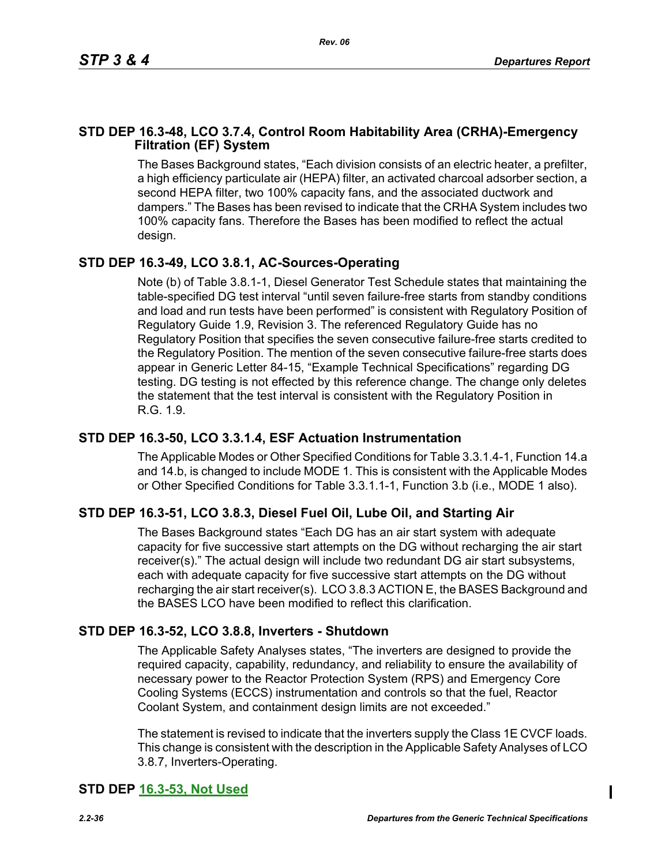# **STD DEP 16.3-48, LCO 3.7.4, Control Room Habitability Area (CRHA)-Emergency Filtration (EF) System**

The Bases Background states, "Each division consists of an electric heater, a prefilter, a high efficiency particulate air (HEPA) filter, an activated charcoal adsorber section, a second HEPA filter, two 100% capacity fans, and the associated ductwork and dampers." The Bases has been revised to indicate that the CRHA System includes two 100% capacity fans. Therefore the Bases has been modified to reflect the actual design.

# **STD DEP 16.3-49, LCO 3.8.1, AC-Sources-Operating**

Note (b) of Table 3.8.1-1, Diesel Generator Test Schedule states that maintaining the table-specified DG test interval "until seven failure-free starts from standby conditions and load and run tests have been performed" is consistent with Regulatory Position of Regulatory Guide 1.9, Revision 3. The referenced Regulatory Guide has no Regulatory Position that specifies the seven consecutive failure-free starts credited to the Regulatory Position. The mention of the seven consecutive failure-free starts does appear in Generic Letter 84-15, "Example Technical Specifications" regarding DG testing. DG testing is not effected by this reference change. The change only deletes the statement that the test interval is consistent with the Regulatory Position in R.G. 1.9.

# **STD DEP 16.3-50, LCO 3.3.1.4, ESF Actuation Instrumentation**

The Applicable Modes or Other Specified Conditions for Table 3.3.1.4-1, Function 14.a and 14.b, is changed to include MODE 1. This is consistent with the Applicable Modes or Other Specified Conditions for Table 3.3.1.1-1, Function 3.b (i.e., MODE 1 also).

# **STD DEP 16.3-51, LCO 3.8.3, Diesel Fuel Oil, Lube Oil, and Starting Air**

The Bases Background states "Each DG has an air start system with adequate capacity for five successive start attempts on the DG without recharging the air start receiver(s)." The actual design will include two redundant DG air start subsystems, each with adequate capacity for five successive start attempts on the DG without recharging the air start receiver(s). LCO 3.8.3 ACTION E, the BASES Background and the BASES LCO have been modified to reflect this clarification.

# **STD DEP 16.3-52, LCO 3.8.8, Inverters - Shutdown**

The Applicable Safety Analyses states, "The inverters are designed to provide the required capacity, capability, redundancy, and reliability to ensure the availability of necessary power to the Reactor Protection System (RPS) and Emergency Core Cooling Systems (ECCS) instrumentation and controls so that the fuel, Reactor Coolant System, and containment design limits are not exceeded."

The statement is revised to indicate that the inverters supply the Class 1E CVCF loads. This change is consistent with the description in the Applicable Safety Analyses of LCO 3.8.7, Inverters-Operating.

# **STD DEP 16.3-53, Not Used**

Ι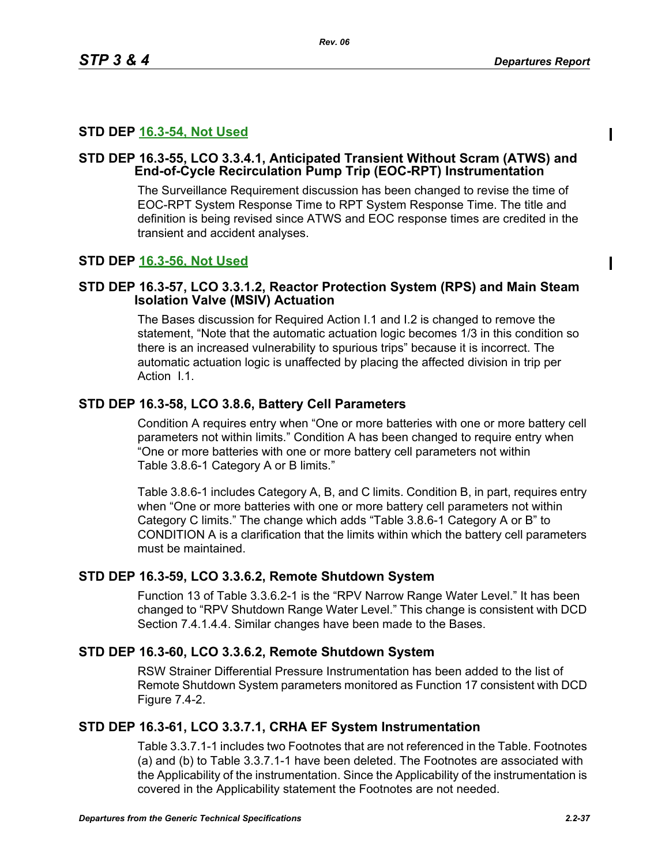Π

# **STD DEP 16.3-54, Not Used**

# **STD DEP 16.3-55, LCO 3.3.4.1, Anticipated Transient Without Scram (ATWS) and End-of-Cycle Recirculation Pump Trip (EOC-RPT) Instrumentation**

The Surveillance Requirement discussion has been changed to revise the time of EOC-RPT System Response Time to RPT System Response Time. The title and definition is being revised since ATWS and EOC response times are credited in the transient and accident analyses.

# **STD DEP 16.3-56, Not Used**

# **STD DEP 16.3-57, LCO 3.3.1.2, Reactor Protection System (RPS) and Main Steam Isolation Valve (MSIV) Actuation**

The Bases discussion for Required Action I.1 and I.2 is changed to remove the statement, "Note that the automatic actuation logic becomes 1/3 in this condition so there is an increased vulnerability to spurious trips" because it is incorrect. The automatic actuation logic is unaffected by placing the affected division in trip per Action 11

# **STD DEP 16.3-58, LCO 3.8.6, Battery Cell Parameters**

Condition A requires entry when "One or more batteries with one or more battery cell parameters not within limits." Condition A has been changed to require entry when "One or more batteries with one or more battery cell parameters not within Table 3.8.6-1 Category A or B limits."

Table 3.8.6-1 includes Category A, B, and C limits. Condition B, in part, requires entry when "One or more batteries with one or more battery cell parameters not within Category C limits." The change which adds "Table 3.8.6-1 Category A or B" to CONDITION A is a clarification that the limits within which the battery cell parameters must be maintained.

# **STD DEP 16.3-59, LCO 3.3.6.2, Remote Shutdown System**

Function 13 of Table 3.3.6.2-1 is the "RPV Narrow Range Water Level." It has been changed to "RPV Shutdown Range Water Level." This change is consistent with DCD Section 7.4.1.4.4. Similar changes have been made to the Bases.

# **STD DEP 16.3-60, LCO 3.3.6.2, Remote Shutdown System**

RSW Strainer Differential Pressure Instrumentation has been added to the list of Remote Shutdown System parameters monitored as Function 17 consistent with DCD Figure 7.4-2.

# **STD DEP 16.3-61, LCO 3.3.7.1, CRHA EF System Instrumentation**

Table 3.3.7.1-1 includes two Footnotes that are not referenced in the Table. Footnotes (a) and (b) to Table 3.3.7.1-1 have been deleted. The Footnotes are associated with the Applicability of the instrumentation. Since the Applicability of the instrumentation is covered in the Applicability statement the Footnotes are not needed.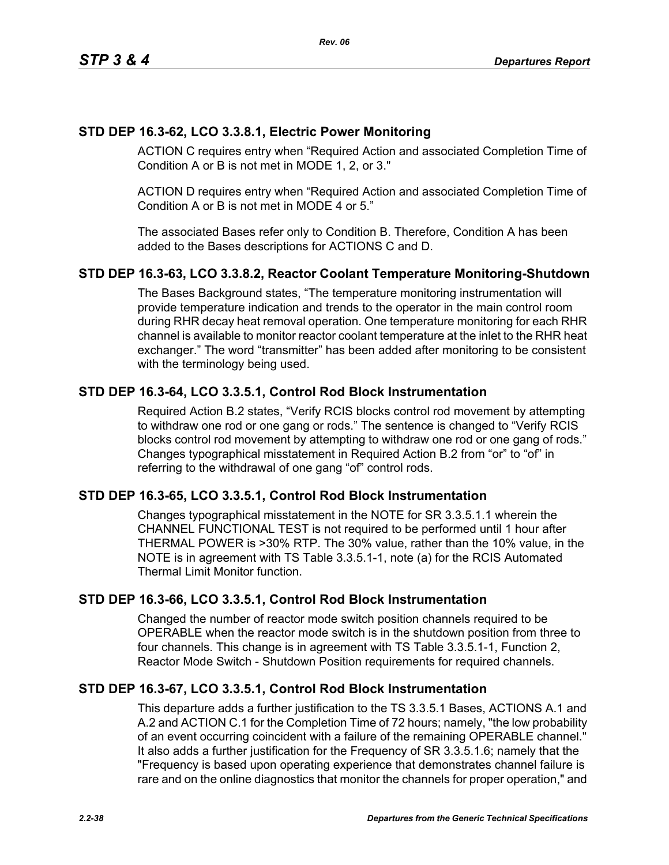# **STD DEP 16.3-62, LCO 3.3.8.1, Electric Power Monitoring**

ACTION C requires entry when "Required Action and associated Completion Time of Condition A or B is not met in MODE 1, 2, or 3."

ACTION D requires entry when "Required Action and associated Completion Time of Condition A or B is not met in MODE 4 or 5."

The associated Bases refer only to Condition B. Therefore, Condition A has been added to the Bases descriptions for ACTIONS C and D.

# **STD DEP 16.3-63, LCO 3.3.8.2, Reactor Coolant Temperature Monitoring-Shutdown**

The Bases Background states, "The temperature monitoring instrumentation will provide temperature indication and trends to the operator in the main control room during RHR decay heat removal operation. One temperature monitoring for each RHR channel is available to monitor reactor coolant temperature at the inlet to the RHR heat exchanger." The word "transmitter" has been added after monitoring to be consistent with the terminology being used.

# **STD DEP 16.3-64, LCO 3.3.5.1, Control Rod Block Instrumentation**

Required Action B.2 states, "Verify RCIS blocks control rod movement by attempting to withdraw one rod or one gang or rods." The sentence is changed to "Verify RCIS blocks control rod movement by attempting to withdraw one rod or one gang of rods." Changes typographical misstatement in Required Action B.2 from "or" to "of" in referring to the withdrawal of one gang "of" control rods.

# **STD DEP 16.3-65, LCO 3.3.5.1, Control Rod Block Instrumentation**

Changes typographical misstatement in the NOTE for SR 3.3.5.1.1 wherein the CHANNEL FUNCTIONAL TEST is not required to be performed until 1 hour after THERMAL POWER is >30% RTP. The 30% value, rather than the 10% value, in the NOTE is in agreement with TS Table 3.3.5.1-1, note (a) for the RCIS Automated Thermal Limit Monitor function.

# **STD DEP 16.3-66, LCO 3.3.5.1, Control Rod Block Instrumentation**

Changed the number of reactor mode switch position channels required to be OPERABLE when the reactor mode switch is in the shutdown position from three to four channels. This change is in agreement with TS Table 3.3.5.1-1, Function 2, Reactor Mode Switch - Shutdown Position requirements for required channels.

# **STD DEP 16.3-67, LCO 3.3.5.1, Control Rod Block Instrumentation**

This departure adds a further justification to the TS 3.3.5.1 Bases, ACTIONS A.1 and A.2 and ACTION C.1 for the Completion Time of 72 hours; namely, "the low probability of an event occurring coincident with a failure of the remaining OPERABLE channel." It also adds a further justification for the Frequency of SR 3.3.5.1.6; namely that the "Frequency is based upon operating experience that demonstrates channel failure is rare and on the online diagnostics that monitor the channels for proper operation," and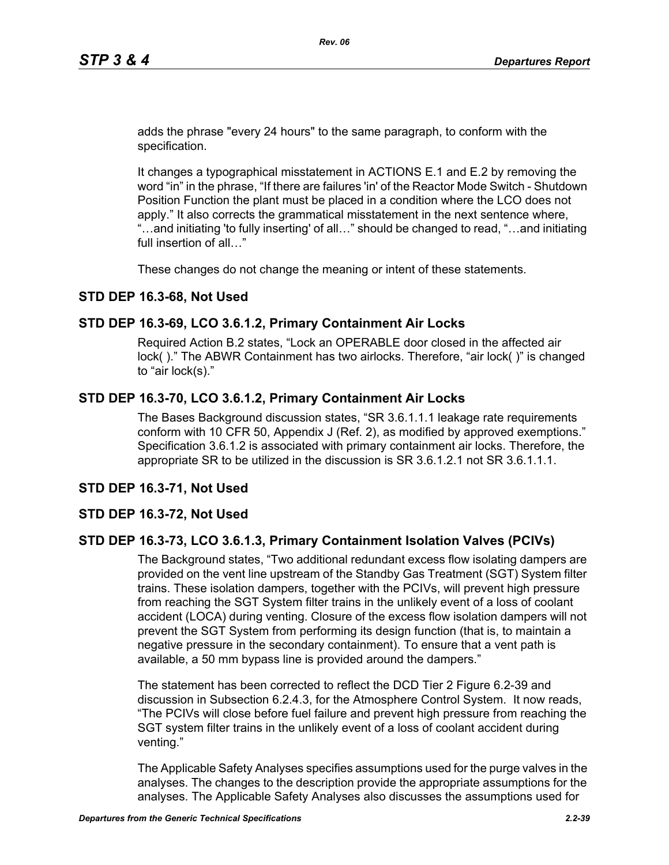adds the phrase "every 24 hours" to the same paragraph, to conform with the specification.

It changes a typographical misstatement in ACTIONS E.1 and E.2 by removing the word "in" in the phrase, "If there are failures 'in' of the Reactor Mode Switch - Shutdown Position Function the plant must be placed in a condition where the LCO does not apply." It also corrects the grammatical misstatement in the next sentence where, "…and initiating 'to fully inserting' of all…" should be changed to read, "…and initiating full insertion of all…"

These changes do not change the meaning or intent of these statements.

### **STD DEP 16.3-68, Not Used**

### **STD DEP 16.3-69, LCO 3.6.1.2, Primary Containment Air Locks**

Required Action B.2 states, "Lock an OPERABLE door closed in the affected air lock( )." The ABWR Containment has two airlocks. Therefore, "air lock( )" is changed to "air lock(s)."

### **STD DEP 16.3-70, LCO 3.6.1.2, Primary Containment Air Locks**

The Bases Background discussion states, "SR 3.6.1.1.1 leakage rate requirements conform with 10 CFR 50, Appendix J (Ref. 2), as modified by approved exemptions." Specification 3.6.1.2 is associated with primary containment air locks. Therefore, the appropriate SR to be utilized in the discussion is SR 3.6.1.2.1 not SR 3.6.1.1.1.

### **STD DEP 16.3-71, Not Used**

### **STD DEP 16.3-72, Not Used**

### **STD DEP 16.3-73, LCO 3.6.1.3, Primary Containment Isolation Valves (PCIVs)**

The Background states, "Two additional redundant excess flow isolating dampers are provided on the vent line upstream of the Standby Gas Treatment (SGT) System filter trains. These isolation dampers, together with the PCIVs, will prevent high pressure from reaching the SGT System filter trains in the unlikely event of a loss of coolant accident (LOCA) during venting. Closure of the excess flow isolation dampers will not prevent the SGT System from performing its design function (that is, to maintain a negative pressure in the secondary containment). To ensure that a vent path is available, a 50 mm bypass line is provided around the dampers."

The statement has been corrected to reflect the DCD Tier 2 Figure 6.2-39 and discussion in Subsection 6.2.4.3, for the Atmosphere Control System. It now reads, "The PCIVs will close before fuel failure and prevent high pressure from reaching the SGT system filter trains in the unlikely event of a loss of coolant accident during venting."

The Applicable Safety Analyses specifies assumptions used for the purge valves in the analyses. The changes to the description provide the appropriate assumptions for the analyses. The Applicable Safety Analyses also discusses the assumptions used for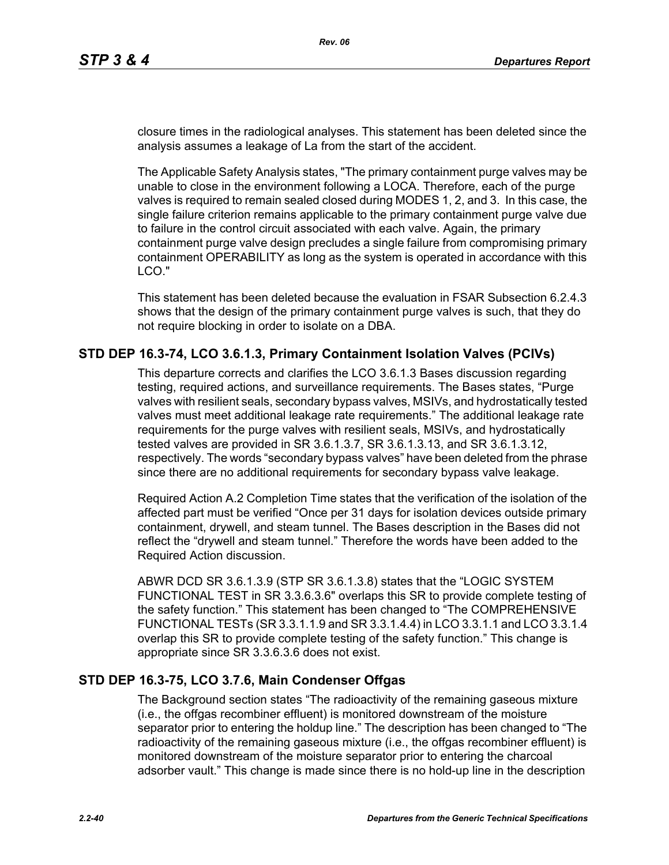closure times in the radiological analyses. This statement has been deleted since the analysis assumes a leakage of La from the start of the accident.

The Applicable Safety Analysis states, "The primary containment purge valves may be unable to close in the environment following a LOCA. Therefore, each of the purge valves is required to remain sealed closed during MODES 1, 2, and 3. In this case, the single failure criterion remains applicable to the primary containment purge valve due to failure in the control circuit associated with each valve. Again, the primary containment purge valve design precludes a single failure from compromising primary containment OPERABILITY as long as the system is operated in accordance with this LCO."

This statement has been deleted because the evaluation in FSAR Subsection 6.2.4.3 shows that the design of the primary containment purge valves is such, that they do not require blocking in order to isolate on a DBA.

# **STD DEP 16.3-74, LCO 3.6.1.3, Primary Containment Isolation Valves (PCIVs)**

This departure corrects and clarifies the LCO 3.6.1.3 Bases discussion regarding testing, required actions, and surveillance requirements. The Bases states, "Purge valves with resilient seals, secondary bypass valves, MSIVs, and hydrostatically tested valves must meet additional leakage rate requirements." The additional leakage rate requirements for the purge valves with resilient seals, MSIVs, and hydrostatically tested valves are provided in SR 3.6.1.3.7, SR 3.6.1.3.13, and SR 3.6.1.3.12, respectively. The words "secondary bypass valves" have been deleted from the phrase since there are no additional requirements for secondary bypass valve leakage.

Required Action A.2 Completion Time states that the verification of the isolation of the affected part must be verified "Once per 31 days for isolation devices outside primary containment, drywell, and steam tunnel. The Bases description in the Bases did not reflect the "drywell and steam tunnel." Therefore the words have been added to the Required Action discussion.

ABWR DCD SR 3.6.1.3.9 (STP SR 3.6.1.3.8) states that the "LOGIC SYSTEM FUNCTIONAL TEST in SR 3.3.6.3.6" overlaps this SR to provide complete testing of the safety function." This statement has been changed to "The COMPREHENSIVE FUNCTIONAL TESTs (SR 3.3.1.1.9 and SR 3.3.1.4.4) in LCO 3.3.1.1 and LCO 3.3.1.4 overlap this SR to provide complete testing of the safety function." This change is appropriate since SR 3.3.6.3.6 does not exist.

# **STD DEP 16.3-75, LCO 3.7.6, Main Condenser Offgas**

The Background section states "The radioactivity of the remaining gaseous mixture (i.e., the offgas recombiner effluent) is monitored downstream of the moisture separator prior to entering the holdup line." The description has been changed to "The radioactivity of the remaining gaseous mixture (i.e., the offgas recombiner effluent) is monitored downstream of the moisture separator prior to entering the charcoal adsorber vault." This change is made since there is no hold-up line in the description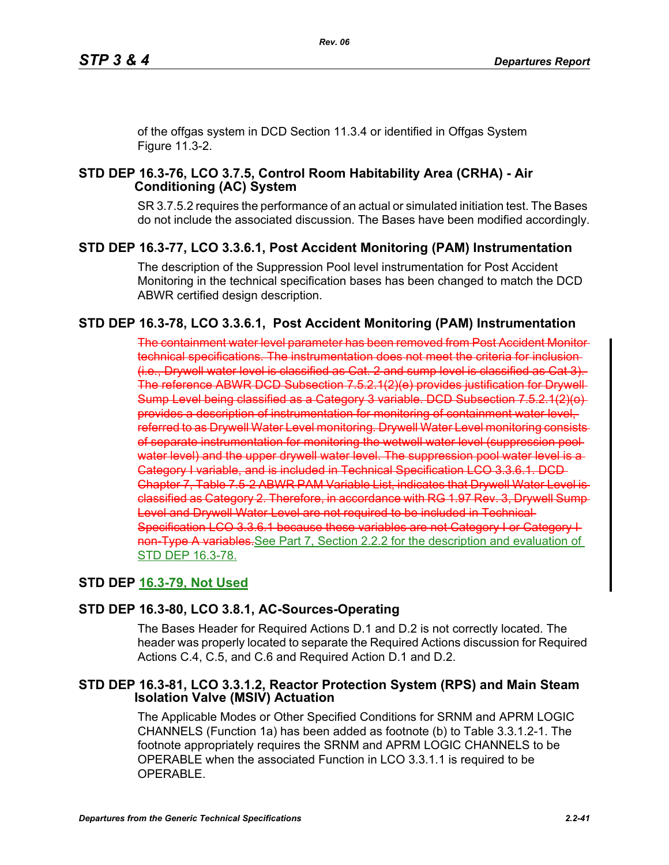of the offgas system in DCD Section 11.3.4 or identified in Offgas System Figure 11.3-2.

# **STD DEP 16.3-76, LCO 3.7.5, Control Room Habitability Area (CRHA) - Air Conditioning (AC) System**

SR 3.7.5.2 requires the performance of an actual or simulated initiation test. The Bases do not include the associated discussion. The Bases have been modified accordingly.

# **STD DEP 16.3-77, LCO 3.3.6.1, Post Accident Monitoring (PAM) Instrumentation**

The description of the Suppression Pool level instrumentation for Post Accident Monitoring in the technical specification bases has been changed to match the DCD ABWR certified design description.

# **STD DEP 16.3-78, LCO 3.3.6.1, Post Accident Monitoring (PAM) Instrumentation**

The containment water level parameter has been removed from Post Accident Monitor technical specifications. The instrumentation does not meet the criteria for inclusion (i.e., Drywell water level is classified as Cat. 2 and sump level is classified as Cat 3). The reference ABWR DCD Subsection 7.5.2.1(2)(e) provides justification for Drywell Sump Level being classified as a Category 3 variable. DCD Subsection 7.5.2.1(2)(o) provides a description of instrumentation for monitoring of containment water level, referred to as Drywell Water Level monitoring. Drywell Water Level monitoring consist of separate instrumentation for monitoring the wetwell water level (suppression pool water level) and the upper drywell water level. The suppression pool water level is a Category I variable, and is included in Technical Specification LCO 3.3.6.1. DCD Chapter 7, Table 7.5-2 ABWR PAM Variable List, indicates that Drywell Water Level is classified as Category 2. Therefore, in accordance with RG 1.97 Rev. 3, Drywell Sump Level and Drywell Water Level are not required to be included in Technical Specification LCO 3.3.6.1 because these variables are not Category I or Category I non-Type A variables. See Part 7, Section 2.2.2 for the description and evaluation of STD DEP 16.3-78.

# **STD DEP 16.3-79, Not Used**

# **STD DEP 16.3-80, LCO 3.8.1, AC-Sources-Operating**

The Bases Header for Required Actions D.1 and D.2 is not correctly located. The header was properly located to separate the Required Actions discussion for Required Actions C.4, C.5, and C.6 and Required Action D.1 and D.2.

# **STD DEP 16.3-81, LCO 3.3.1.2, Reactor Protection System (RPS) and Main Steam Isolation Valve (MSIV) Actuation**

The Applicable Modes or Other Specified Conditions for SRNM and APRM LOGIC CHANNELS (Function 1a) has been added as footnote (b) to Table 3.3.1.2-1. The footnote appropriately requires the SRNM and APRM LOGIC CHANNELS to be OPERABLE when the associated Function in LCO 3.3.1.1 is required to be OPERABLE.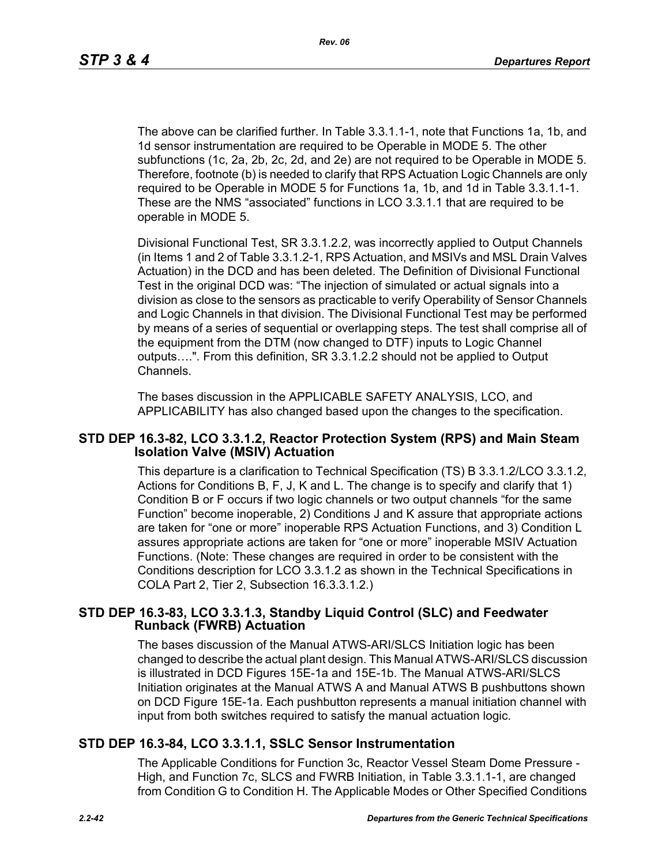The above can be clarified further. In Table 3.3.1.1-1, note that Functions 1a, 1b, and 1d sensor instrumentation are required to be Operable in MODE 5. The other subfunctions (1c, 2a, 2b, 2c, 2d, and 2e) are not required to be Operable in MODE 5. Therefore, footnote (b) is needed to clarify that RPS Actuation Logic Channels are only required to be Operable in MODE 5 for Functions 1a, 1b, and 1d in Table 3.3.1.1-1. These are the NMS "associated" functions in LCO 3.3.1.1 that are required to be operable in MODE 5.

Divisional Functional Test, SR 3.3.1.2.2, was incorrectly applied to Output Channels (in Items 1 and 2 of Table 3.3.1.2-1, RPS Actuation, and MSIVs and MSL Drain Valves Actuation) in the DCD and has been deleted. The Definition of Divisional Functional Test in the original DCD was: "The injection of simulated or actual signals into a division as close to the sensors as practicable to verify Operability of Sensor Channels and Logic Channels in that division. The Divisional Functional Test may be performed by means of a series of sequential or overlapping steps. The test shall comprise all of the equipment from the DTM (now changed to DTF) inputs to Logic Channel outputs….". From this definition, SR 3.3.1.2.2 should not be applied to Output Channels.

The bases discussion in the APPLICABLE SAFETY ANALYSIS, LCO, and APPLICABILITY has also changed based upon the changes to the specification.

### **STD DEP 16.3-82, LCO 3.3.1.2, Reactor Protection System (RPS) and Main Steam Isolation Valve (MSIV) Actuation**

This departure is a clarification to Technical Specification (TS) B 3.3.1.2/LCO 3.3.1.2, Actions for Conditions B, F, J, K and L. The change is to specify and clarify that 1) Condition B or F occurs if two logic channels or two output channels "for the same Function" become inoperable, 2) Conditions J and K assure that appropriate actions are taken for "one or more" inoperable RPS Actuation Functions, and 3) Condition L assures appropriate actions are taken for "one or more" inoperable MSIV Actuation Functions. (Note: These changes are required in order to be consistent with the Conditions description for LCO 3.3.1.2 as shown in the Technical Specifications in COLA Part 2, Tier 2, Subsection 16.3.3.1.2.)

### **STD DEP 16.3-83, LCO 3.3.1.3, Standby Liquid Control (SLC) and Feedwater Runback (FWRB) Actuation**

The bases discussion of the Manual ATWS-ARI/SLCS Initiation logic has been changed to describe the actual plant design. This Manual ATWS-ARI/SLCS discussion is illustrated in DCD Figures 15E-1a and 15E-1b. The Manual ATWS-ARI/SLCS Initiation originates at the Manual ATWS A and Manual ATWS B pushbuttons shown on DCD Figure 15E-1a. Each pushbutton represents a manual initiation channel with input from both switches required to satisfy the manual actuation logic.

# **STD DEP 16.3-84, LCO 3.3.1.1, SSLC Sensor Instrumentation**

The Applicable Conditions for Function 3c, Reactor Vessel Steam Dome Pressure - High, and Function 7c, SLCS and FWRB Initiation, in Table 3.3.1.1-1, are changed from Condition G to Condition H. The Applicable Modes or Other Specified Conditions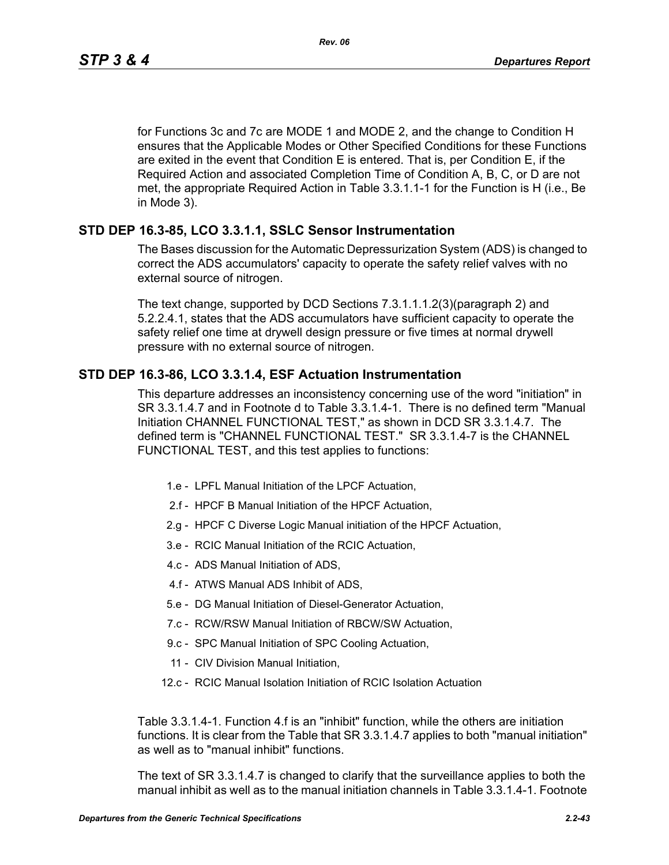for Functions 3c and 7c are MODE 1 and MODE 2, and the change to Condition H ensures that the Applicable Modes or Other Specified Conditions for these Functions are exited in the event that Condition E is entered. That is, per Condition E, if the Required Action and associated Completion Time of Condition A, B, C, or D are not met, the appropriate Required Action in Table 3.3.1.1-1 for the Function is H (i.e., Be in Mode 3).

# **STD DEP 16.3-85, LCO 3.3.1.1, SSLC Sensor Instrumentation**

The Bases discussion for the Automatic Depressurization System (ADS) is changed to correct the ADS accumulators' capacity to operate the safety relief valves with no external source of nitrogen.

The text change, supported by DCD Sections 7.3.1.1.1.2(3)(paragraph 2) and 5.2.2.4.1, states that the ADS accumulators have sufficient capacity to operate the safety relief one time at drywell design pressure or five times at normal drywell pressure with no external source of nitrogen.

# **STD DEP 16.3-86, LCO 3.3.1.4, ESF Actuation Instrumentation**

This departure addresses an inconsistency concerning use of the word "initiation" in SR 3.3.1.4.7 and in Footnote d to Table 3.3.1.4-1. There is no defined term "Manual Initiation CHANNEL FUNCTIONAL TEST," as shown in DCD SR 3.3.1.4.7. The defined term is "CHANNEL FUNCTIONAL TEST." SR 3.3.1.4-7 is the CHANNEL FUNCTIONAL TEST, and this test applies to functions:

- 1.e LPFL Manual Initiation of the LPCF Actuation,
- 2.f HPCF B Manual Initiation of the HPCF Actuation,
- 2.g HPCF C Diverse Logic Manual initiation of the HPCF Actuation,
- 3.e RCIC Manual Initiation of the RCIC Actuation,
- 4.c ADS Manual Initiation of ADS,
- 4.f ATWS Manual ADS Inhibit of ADS,
- 5.e DG Manual Initiation of Diesel-Generator Actuation,
- 7.c RCW/RSW Manual Initiation of RBCW/SW Actuation,
- 9.c SPC Manual Initiation of SPC Cooling Actuation,
- 11 CIV Division Manual Initiation,
- 12.c RCIC Manual Isolation Initiation of RCIC Isolation Actuation

Table 3.3.1.4-1. Function 4.f is an "inhibit" function, while the others are initiation functions. It is clear from the Table that SR 3.3.1.4.7 applies to both "manual initiation" as well as to "manual inhibit" functions.

The text of SR 3.3.1.4.7 is changed to clarify that the surveillance applies to both the manual inhibit as well as to the manual initiation channels in Table 3.3.1.4-1. Footnote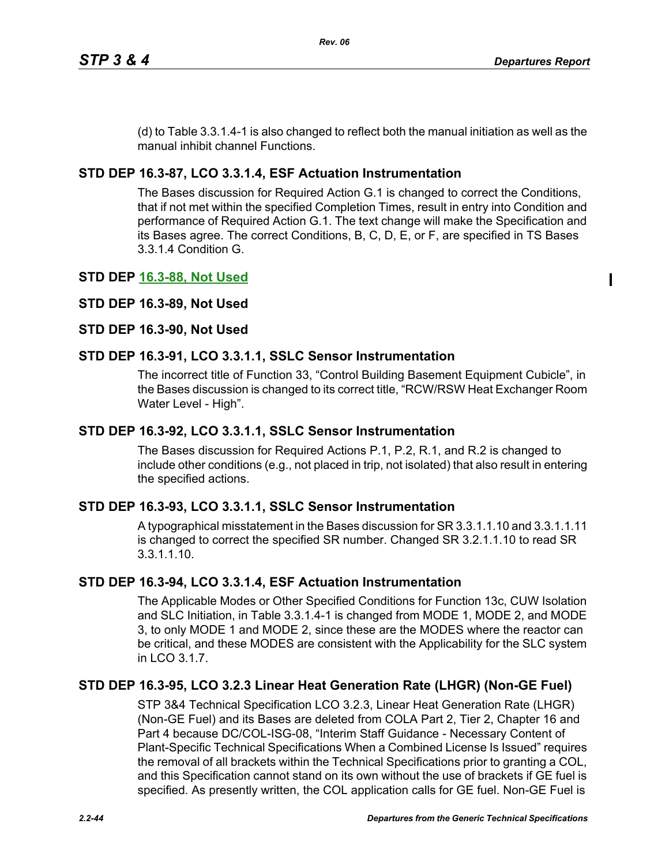$\blacksquare$ 

(d) to Table 3.3.1.4-1 is also changed to reflect both the manual initiation as well as the manual inhibit channel Functions.

# **STD DEP 16.3-87, LCO 3.3.1.4, ESF Actuation Instrumentation**

The Bases discussion for Required Action G.1 is changed to correct the Conditions, that if not met within the specified Completion Times, result in entry into Condition and performance of Required Action G.1. The text change will make the Specification and its Bases agree. The correct Conditions, B, C, D, E, or F, are specified in TS Bases 3.3.1.4 Condition G.

# **STD DEP 16.3-88, Not Used**

# **STD DEP 16.3-89, Not Used**

# **STD DEP 16.3-90, Not Used**

# **STD DEP 16.3-91, LCO 3.3.1.1, SSLC Sensor Instrumentation**

The incorrect title of Function 33, "Control Building Basement Equipment Cubicle", in the Bases discussion is changed to its correct title, "RCW/RSW Heat Exchanger Room Water Level - High".

# **STD DEP 16.3-92, LCO 3.3.1.1, SSLC Sensor Instrumentation**

The Bases discussion for Required Actions P.1, P.2, R.1, and R.2 is changed to include other conditions (e.g., not placed in trip, not isolated) that also result in entering the specified actions.

# **STD DEP 16.3-93, LCO 3.3.1.1, SSLC Sensor Instrumentation**

A typographical misstatement in the Bases discussion for SR 3.3.1.1.10 and 3.3.1.1.11 is changed to correct the specified SR number. Changed SR 3.2.1.1.10 to read SR 3.3.1.1.10.

# **STD DEP 16.3-94, LCO 3.3.1.4, ESF Actuation Instrumentation**

The Applicable Modes or Other Specified Conditions for Function 13c, CUW Isolation and SLC Initiation, in Table 3.3.1.4-1 is changed from MODE 1, MODE 2, and MODE 3, to only MODE 1 and MODE 2, since these are the MODES where the reactor can be critical, and these MODES are consistent with the Applicability for the SLC system in  $ICO$  3.1.7.

# **STD DEP 16.3-95, LCO 3.2.3 Linear Heat Generation Rate (LHGR) (Non-GE Fuel)**

STP 3&4 Technical Specification LCO 3.2.3, Linear Heat Generation Rate (LHGR) (Non-GE Fuel) and its Bases are deleted from COLA Part 2, Tier 2, Chapter 16 and Part 4 because DC/COL-ISG-08, "Interim Staff Guidance - Necessary Content of Plant-Specific Technical Specifications When a Combined License Is Issued" requires the removal of all brackets within the Technical Specifications prior to granting a COL, and this Specification cannot stand on its own without the use of brackets if GE fuel is specified. As presently written, the COL application calls for GE fuel. Non-GE Fuel is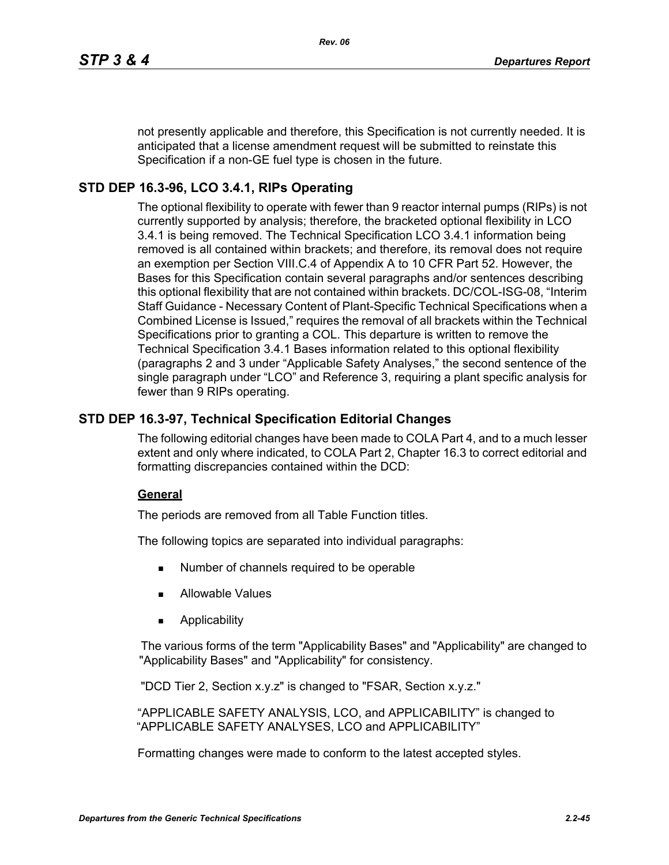not presently applicable and therefore, this Specification is not currently needed. It is anticipated that a license amendment request will be submitted to reinstate this Specification if a non-GE fuel type is chosen in the future.

# **STD DEP 16.3-96, LCO 3.4.1, RIPs Operating**

The optional flexibility to operate with fewer than 9 reactor internal pumps (RIPs) is not currently supported by analysis; therefore, the bracketed optional flexibility in LCO 3.4.1 is being removed. The Technical Specification LCO 3.4.1 information being removed is all contained within brackets; and therefore, its removal does not require an exemption per Section VIII.C.4 of Appendix A to 10 CFR Part 52. However, the Bases for this Specification contain several paragraphs and/or sentences describing this optional flexibility that are not contained within brackets. DC/COL-ISG-08, "Interim Staff Guidance - Necessary Content of Plant-Specific Technical Specifications when a Combined License is Issued," requires the removal of all brackets within the Technical Specifications prior to granting a COL. This departure is written to remove the Technical Specification 3.4.1 Bases information related to this optional flexibility (paragraphs 2 and 3 under "Applicable Safety Analyses," the second sentence of the single paragraph under "LCO" and Reference 3, requiring a plant specific analysis for fewer than 9 RIPs operating.

# **STD DEP 16.3-97, Technical Specification Editorial Changes**

The following editorial changes have been made to COLA Part 4, and to a much lesser extent and only where indicated, to COLA Part 2, Chapter 16.3 to correct editorial and formatting discrepancies contained within the DCD:

# **General**

The periods are removed from all Table Function titles.

The following topics are separated into individual paragraphs:

- Number of channels required to be operable
- Allowable Values
- Applicability

The various forms of the term "Applicability Bases" and "Applicability" are changed to "Applicability Bases" and "Applicability" for consistency.

"DCD Tier 2, Section x.y.z" is changed to "FSAR, Section x.y.z."

"APPLICABLE SAFETY ANALYSIS, LCO, and APPLICABILITY" is changed to "APPLICABLE SAFETY ANALYSES, LCO and APPLICABILITY"

Formatting changes were made to conform to the latest accepted styles.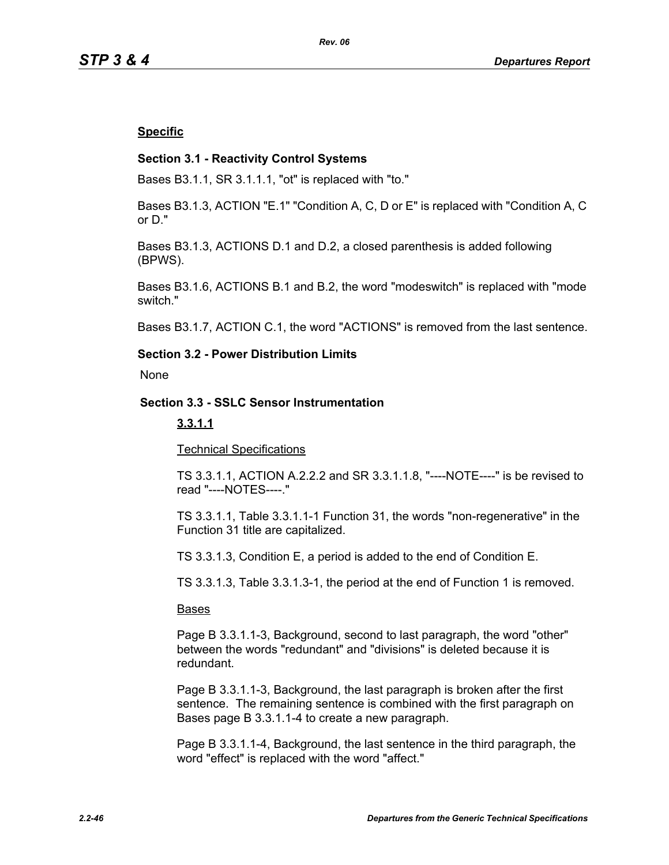### **Specific**

### **Section 3.1 - Reactivity Control Systems**

Bases B3.1.1, SR 3.1.1.1, "ot" is replaced with "to."

Bases B3.1.3, ACTION "E.1" "Condition A, C, D or E" is replaced with "Condition A, C or D."

Bases B3.1.3, ACTIONS D.1 and D.2, a closed parenthesis is added following (BPWS).

Bases B3.1.6, ACTIONS B.1 and B.2, the word "modeswitch" is replaced with "mode switch."

Bases B3.1.7, ACTION C.1, the word "ACTIONS" is removed from the last sentence.

# **Section 3.2 - Power Distribution Limits**

None

### **Section 3.3 - SSLC Sensor Instrumentation**

### **3.3.1.1**

Technical Specifications

TS 3.3.1.1, ACTION A.2.2.2 and SR 3.3.1.1.8, "----NOTE----" is be revised to read "----NOTES----."

TS 3.3.1.1, Table 3.3.1.1-1 Function 31, the words "non-regenerative" in the Function 31 title are capitalized.

TS 3.3.1.3, Condition E, a period is added to the end of Condition E.

TS 3.3.1.3, Table 3.3.1.3-1, the period at the end of Function 1 is removed.

#### Bases

Page B 3.3.1.1-3, Background, second to last paragraph, the word "other" between the words "redundant" and "divisions" is deleted because it is redundant.

Page B 3.3.1.1-3, Background, the last paragraph is broken after the first sentence. The remaining sentence is combined with the first paragraph on Bases page B 3.3.1.1-4 to create a new paragraph.

Page B 3.3.1.1-4, Background, the last sentence in the third paragraph, the word "effect" is replaced with the word "affect."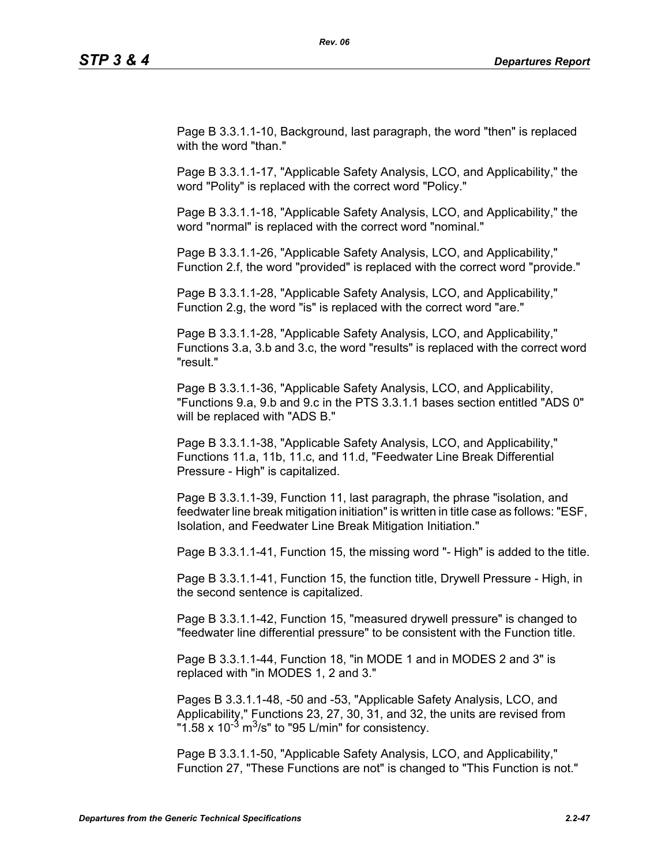Page B 3.3.1.1-10, Background, last paragraph, the word "then" is replaced with the word "than."

Page B 3.3.1.1-17, "Applicable Safety Analysis, LCO, and Applicability," the word "Polity" is replaced with the correct word "Policy."

Page B 3.3.1.1-18, "Applicable Safety Analysis, LCO, and Applicability," the word "normal" is replaced with the correct word "nominal."

Page B 3.3.1.1-26, "Applicable Safety Analysis, LCO, and Applicability," Function 2.f, the word "provided" is replaced with the correct word "provide."

Page B 3.3.1.1-28, "Applicable Safety Analysis, LCO, and Applicability," Function 2.g, the word "is" is replaced with the correct word "are."

Page B 3.3.1.1-28, "Applicable Safety Analysis, LCO, and Applicability," Functions 3.a, 3.b and 3.c, the word "results" is replaced with the correct word "result."

Page B 3.3.1.1-36, "Applicable Safety Analysis, LCO, and Applicability, "Functions 9.a, 9.b and 9.c in the PTS 3.3.1.1 bases section entitled "ADS 0" will be replaced with "ADS B."

Page B 3.3.1.1-38, "Applicable Safety Analysis, LCO, and Applicability," Functions 11.a, 11b, 11.c, and 11.d, "Feedwater Line Break Differential Pressure - High" is capitalized.

Page B 3.3.1.1-39, Function 11, last paragraph, the phrase "isolation, and feedwater line break mitigation initiation" is written in title case as follows: "ESF, Isolation, and Feedwater Line Break Mitigation Initiation."

Page B 3.3.1.1-41, Function 15, the missing word "- High" is added to the title.

Page B 3.3.1.1-41, Function 15, the function title, Drywell Pressure - High, in the second sentence is capitalized.

Page B 3.3.1.1-42, Function 15, "measured drywell pressure" is changed to "feedwater line differential pressure" to be consistent with the Function title.

Page B 3.3.1.1-44, Function 18, "in MODE 1 and in MODES 2 and 3" is replaced with "in MODES 1, 2 and 3."

Pages B 3.3.1.1-48, -50 and -53, "Applicable Safety Analysis, LCO, and Applicability," Functions 23, 27, 30, 31, and 32, the units are revised from "1.58 x  $10^{-3}$  m<sup>3</sup>/s" to "95 L/min" for consistency.

Page B 3.3.1.1-50, "Applicable Safety Analysis, LCO, and Applicability," Function 27, "These Functions are not" is changed to "This Function is not."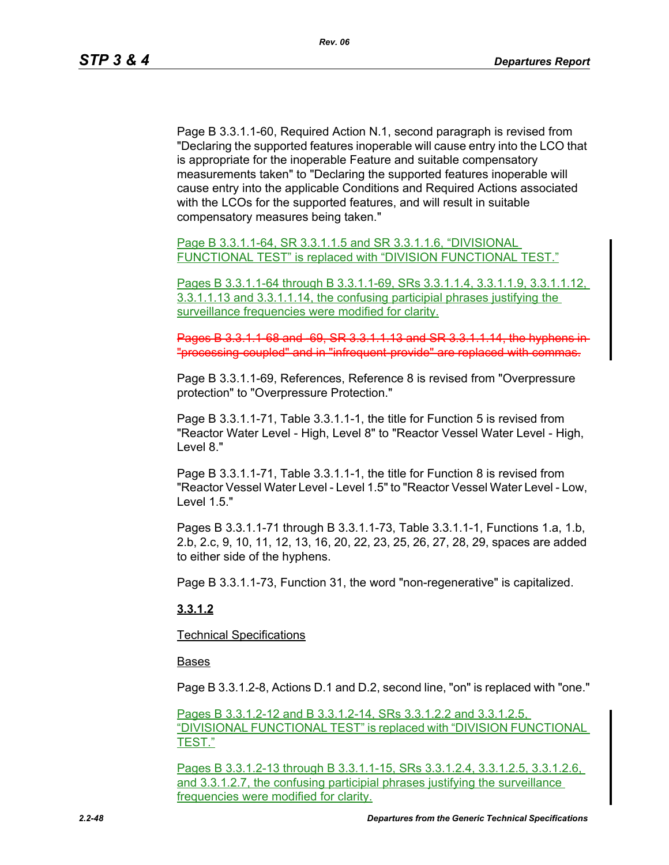Page B 3.3.1.1-60, Required Action N.1, second paragraph is revised from "Declaring the supported features inoperable will cause entry into the LCO that is appropriate for the inoperable Feature and suitable compensatory measurements taken" to "Declaring the supported features inoperable will cause entry into the applicable Conditions and Required Actions associated with the LCOs for the supported features, and will result in suitable compensatory measures being taken."

Page B 3.3.1.1-64, SR 3.3.1.1.5 and SR 3.3.1.1.6, "DIVISIONAL FUNCTIONAL TEST" is replaced with "DIVISION FUNCTIONAL TEST."

Pages B 3.3.1.1-64 through B 3.3.1.1-69, SRs 3.3.1.1.4, 3.3.1.1.9, 3.3.1.1.12, 3.3.1.1.13 and 3.3.1.1.14, the confusing participial phrases justifying the surveillance frequencies were modified for clarity.

Pages B 3.3.1.1-68 and -69, SR 3.3.1.1.13 and SR 3.3.1.1.14, the hyph "processing-coupled" and in "infrequent-provide" are replaced with commas.

Page B 3.3.1.1-69, References, Reference 8 is revised from "Overpressure protection" to "Overpressure Protection."

Page B 3.3.1.1-71, Table 3.3.1.1-1, the title for Function 5 is revised from "Reactor Water Level - High, Level 8" to "Reactor Vessel Water Level - High, Level 8."

Page B 3.3.1.1-71, Table 3.3.1.1-1, the title for Function 8 is revised from "Reactor Vessel Water Level - Level 1.5" to "Reactor Vessel Water Level - Low, Level 1.5."

Pages B 3.3.1.1-71 through B 3.3.1.1-73, Table 3.3.1.1-1, Functions 1.a, 1.b, 2.b, 2.c, 9, 10, 11, 12, 13, 16, 20, 22, 23, 25, 26, 27, 28, 29, spaces are added to either side of the hyphens.

Page B 3.3.1.1-73, Function 31, the word "non-regenerative" is capitalized.

# **3.3.1.2**

Technical Specifications

#### Bases

Page B 3.3.1.2-8, Actions D.1 and D.2, second line, "on" is replaced with "one."

Pages B 3.3.1.2-12 and B 3.3.1.2-14, SRs 3.3.1.2.2 and 3.3.1.2.5, "DIVISIONAL FUNCTIONAL TEST" is replaced with "DIVISION FUNCTIONAL TEST."

Pages B 3.3.1.2-13 through B 3.3.1.1-15, SRs 3.3.1.2.4, 3.3.1.2.5, 3.3.1.2.6, and 3.3.1.2.7, the confusing participial phrases justifying the surveillance frequencies were modified for clarity.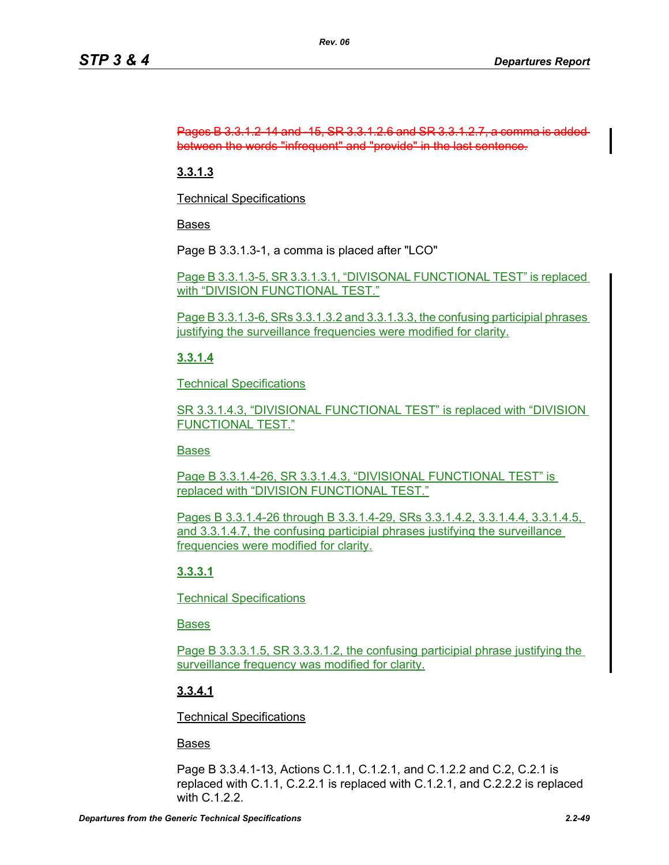### Pages B 3.3.1.2-14 and -15, SR 3.3.1.2.6 and SR 3.3.1.2.7, a comma is added between the words "infrequent" and "provide" in the last sentence.

# **3.3.1.3**

Technical Specifications

Bases

Page B 3.3.1.3-1, a comma is placed after "LCO"

Page B 3.3.1.3-5, SR 3.3.1.3.1, "DIVISONAL FUNCTIONAL TEST" is replaced with "DIVISION FUNCTIONAL TEST."

Page B 3.3.1.3-6, SRs 3.3.1.3.2 and 3.3.1.3.3, the confusing participial phrases justifying the surveillance frequencies were modified for clarity.

# **3.3.1.4**

Technical Specifications

SR 3.3.1.4.3, "DIVISIONAL FUNCTIONAL TEST" is replaced with "DIVISION FUNCTIONAL TEST."

# Bases

Page B 3.3.1.4-26, SR 3.3.1.4.3, "DIVISIONAL FUNCTIONAL TEST" is replaced with "DIVISION FUNCTIONAL TEST."

Pages B 3.3.1.4-26 through B 3.3.1.4-29, SRs 3.3.1.4.2, 3.3.1.4.4, 3.3.1.4.5, and 3.3.1.4.7, the confusing participial phrases justifying the surveillance frequencies were modified for clarity.

# **3.3.3.1**

Technical Specifications

Bases

Page B 3.3.3.1.5, SR 3.3.3.1.2, the confusing participial phrase justifying the surveillance frequency was modified for clarity.

# **3.3.4.1**

Technical Specifications

# Bases

Page B 3.3.4.1-13, Actions C.1.1, C.1.2.1, and C.1.2.2 and C.2, C.2.1 is replaced with C.1.1, C.2.2.1 is replaced with C.1.2.1, and C.2.2.2 is replaced with C.1.2.2.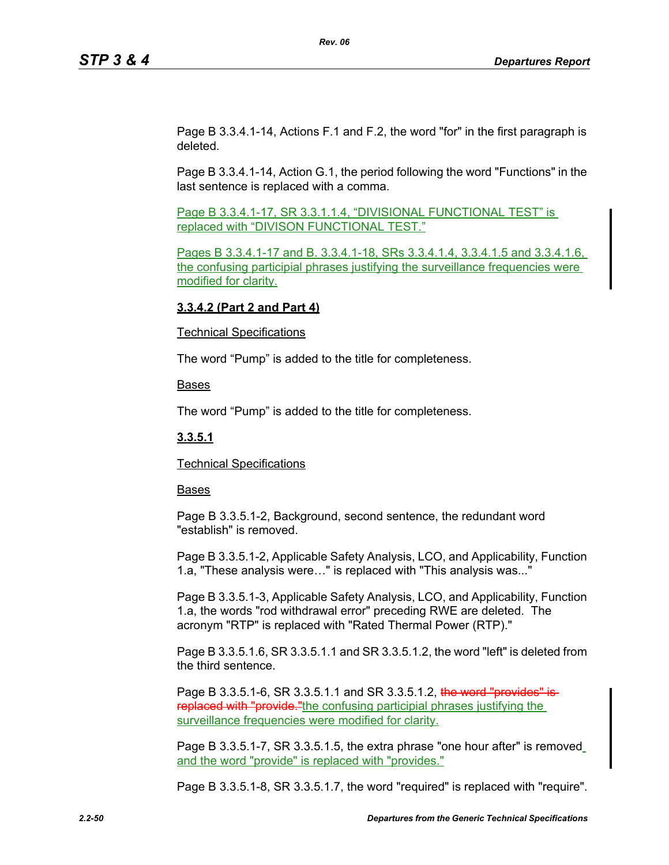Page B 3.3.4.1-14, Actions F.1 and F.2, the word "for" in the first paragraph is deleted.

Page B 3.3.4.1-14, Action G.1, the period following the word "Functions" in the last sentence is replaced with a comma.

Page B 3.3.4.1-17, SR 3.3.1.1.4, "DIVISIONAL FUNCTIONAL TEST" is replaced with "DIVISON FUNCTIONAL TEST."

Pages B 3.3.4.1-17 and B. 3.3.4.1-18, SRs 3.3.4.1.4, 3.3.4.1.5 and 3.3.4.1.6, the confusing participial phrases justifying the surveillance frequencies were modified for clarity.

### **3.3.4.2 (Part 2 and Part 4)**

### Technical Specifications

The word "Pump" is added to the title for completeness.

Bases

The word "Pump" is added to the title for completeness.

# **3.3.5.1**

Technical Specifications

### Bases

Page B 3.3.5.1-2, Background, second sentence, the redundant word "establish" is removed.

Page B 3.3.5.1-2, Applicable Safety Analysis, LCO, and Applicability, Function 1.a, "These analysis were…" is replaced with "This analysis was..."

Page B 3.3.5.1-3, Applicable Safety Analysis, LCO, and Applicability, Function 1.a, the words "rod withdrawal error" preceding RWE are deleted. The acronym "RTP" is replaced with "Rated Thermal Power (RTP)."

Page B 3.3.5.1.6, SR 3.3.5.1.1 and SR 3.3.5.1.2, the word "left" is deleted from the third sentence.

Page B 3.3.5.1-6, SR 3.3.5.1.1 and SR 3.3.5.1.2, the word "provides" is replaced with "provide." the confusing participial phrases justifying the surveillance frequencies were modified for clarity.

Page B 3.3.5.1-7, SR 3.3.5.1.5, the extra phrase "one hour after" is removed and the word "provide" is replaced with "provides."

Page B 3.3.5.1-8, SR 3.3.5.1.7, the word "required" is replaced with "require".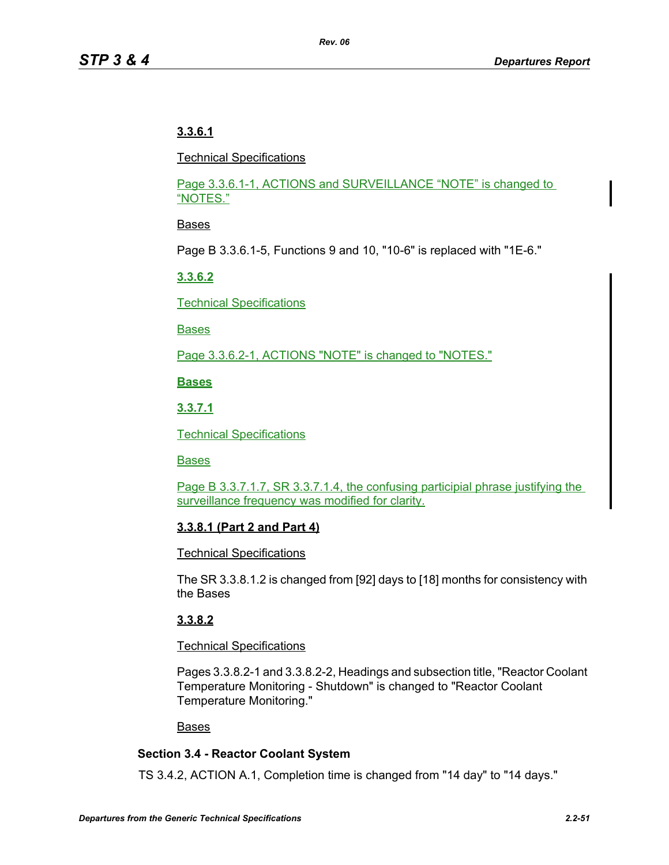# **3.3.6.1**

Technical Specifications

Page 3.3.6.1-1, ACTIONS and SURVEILLANCE "NOTE" is changed to "NOTES."

# Bases

Page B 3.3.6.1-5, Functions 9 and 10, "10-6" is replaced with "1E-6."

# **3.3.6.2**

Technical Specifications

Bases

Page 3.3.6.2-1, ACTIONS "NOTE" is changed to "NOTES."

**Bases**

**3.3.7.1**

Technical Specifications

Bases

Page B 3.3.7.1.7, SR 3.3.7.1.4, the confusing participial phrase justifying the surveillance frequency was modified for clarity.

# **3.3.8.1 (Part 2 and Part 4)**

Technical Specifications

The SR 3.3.8.1.2 is changed from [92] days to [18] months for consistency with the Bases

# **3.3.8.2**

# Technical Specifications

Pages 3.3.8.2-1 and 3.3.8.2-2, Headings and subsection title, "Reactor Coolant Temperature Monitoring - Shutdown" is changed to "Reactor Coolant Temperature Monitoring."

# Bases

# **Section 3.4 - Reactor Coolant System**

TS 3.4.2, ACTION A.1, Completion time is changed from "14 day" to "14 days."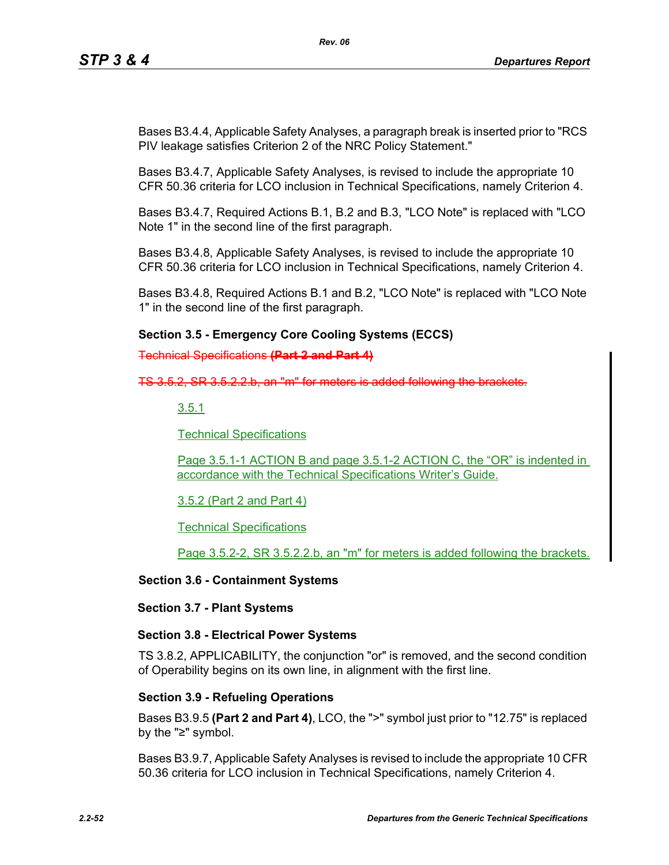Bases B3.4.4, Applicable Safety Analyses, a paragraph break is inserted prior to "RCS PIV leakage satisfies Criterion 2 of the NRC Policy Statement."

Bases B3.4.7, Applicable Safety Analyses, is revised to include the appropriate 10 CFR 50.36 criteria for LCO inclusion in Technical Specifications, namely Criterion 4.

Bases B3.4.7, Required Actions B.1, B.2 and B.3, "LCO Note" is replaced with "LCO Note 1" in the second line of the first paragraph.

Bases B3.4.8, Applicable Safety Analyses, is revised to include the appropriate 10 CFR 50.36 criteria for LCO inclusion in Technical Specifications, namely Criterion 4.

Bases B3.4.8, Required Actions B.1 and B.2, "LCO Note" is replaced with "LCO Note 1" in the second line of the first paragraph.

# **Section 3.5 - Emergency Core Cooling Systems (ECCS)**

Technical Specifications **(Part 2 and Part 4)**

 $TS$  3.5.2, SR 3.5.2.2.b, an "m" for meters is

3.5.1

Technical Specifications

Page 3.5.1-1 ACTION B and page 3.5.1-2 ACTION C, the "OR" is indented in accordance with the Technical Specifications Writer's Guide.

3.5.2 (Part 2 and Part 4)

Technical Specifications

Page 3.5.2-2, SR 3.5.2.2.b, an "m" for meters is added following the brackets.

### **Section 3.6 - Containment Systems**

### **Section 3.7 - Plant Systems**

# **Section 3.8 - Electrical Power Systems**

TS 3.8.2, APPLICABILITY, the conjunction "or" is removed, and the second condition of Operability begins on its own line, in alignment with the first line.

# **Section 3.9 - Refueling Operations**

Bases B3.9.5 **(Part 2 and Part 4)**, LCO, the ">" symbol just prior to "12.75" is replaced by the "≥" symbol.

Bases B3.9.7, Applicable Safety Analyses is revised to include the appropriate 10 CFR 50.36 criteria for LCO inclusion in Technical Specifications, namely Criterion 4.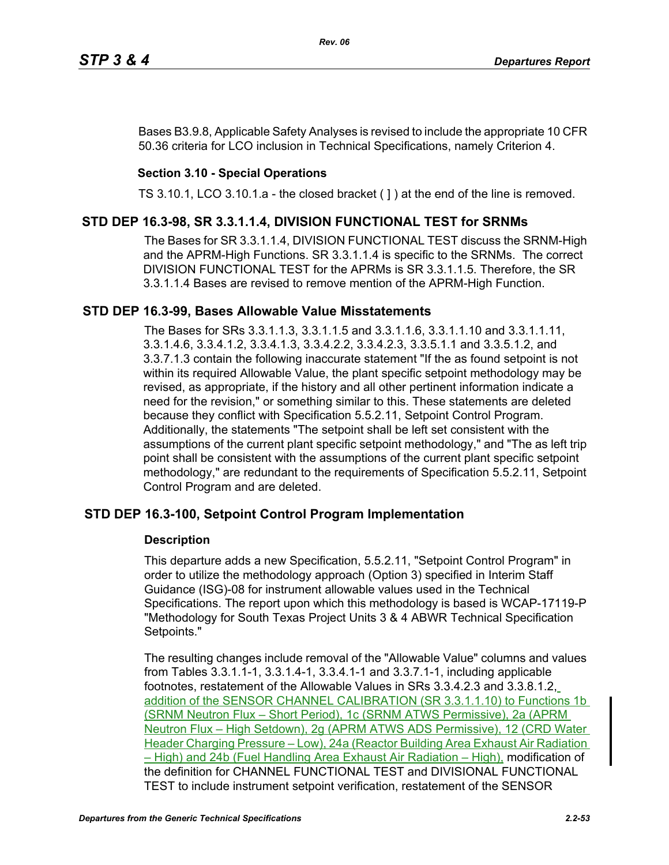Bases B3.9.8, Applicable Safety Analyses is revised to include the appropriate 10 CFR 50.36 criteria for LCO inclusion in Technical Specifications, namely Criterion 4.

# **Section 3.10 - Special Operations**

TS 3.10.1, LCO 3.10.1.a - the closed bracket ( ] ) at the end of the line is removed.

# **STD DEP 16.3-98, SR 3.3.1.1.4, DIVISION FUNCTIONAL TEST for SRNMs**

The Bases for SR 3.3.1.1.4, DIVISION FUNCTIONAL TEST discuss the SRNM-High and the APRM-High Functions. SR 3.3.1.1.4 is specific to the SRNMs. The correct DIVISION FUNCTIONAL TEST for the APRMs is SR 3.3.1.1.5. Therefore, the SR 3.3.1.1.4 Bases are revised to remove mention of the APRM-High Function.

# **STD DEP 16.3-99, Bases Allowable Value Misstatements**

The Bases for SRs 3.3.1.1.3, 3.3.1.1.5 and 3.3.1.1.6, 3.3.1.1.10 and 3.3.1.1.11, 3.3.1.4.6, 3.3.4.1.2, 3.3.4.1.3, 3.3.4.2.2, 3.3.4.2.3, 3.3.5.1.1 and 3.3.5.1.2, and 3.3.7.1.3 contain the following inaccurate statement "If the as found setpoint is not within its required Allowable Value, the plant specific setpoint methodology may be revised, as appropriate, if the history and all other pertinent information indicate a need for the revision," or something similar to this. These statements are deleted because they conflict with Specification 5.5.2.11, Setpoint Control Program. Additionally, the statements "The setpoint shall be left set consistent with the assumptions of the current plant specific setpoint methodology," and "The as left trip point shall be consistent with the assumptions of the current plant specific setpoint methodology," are redundant to the requirements of Specification 5.5.2.11, Setpoint Control Program and are deleted.

# **STD DEP 16.3-100, Setpoint Control Program Implementation**

# **Description**

This departure adds a new Specification, 5.5.2.11, "Setpoint Control Program" in order to utilize the methodology approach (Option 3) specified in Interim Staff Guidance (ISG)-08 for instrument allowable values used in the Technical Specifications. The report upon which this methodology is based is WCAP-17119-P "Methodology for South Texas Project Units 3 & 4 ABWR Technical Specification Setpoints."

The resulting changes include removal of the "Allowable Value" columns and values from Tables 3.3.1.1-1, 3.3.1.4-1, 3.3.4.1-1 and 3.3.7.1-1, including applicable footnotes, restatement of the Allowable Values in SRs 3.3.4.2.3 and 3.3.8.1.2, addition of the SENSOR CHANNEL CALIBRATION (SR 3.3.1.1.10) to Functions 1b (SRNM Neutron Flux – Short Period), 1c (SRNM ATWS Permissive), 2a (APRM Neutron Flux – High Setdown), 2g (APRM ATWS ADS Permissive), 12 (CRD Water Header Charging Pressure – Low), 24a (Reactor Building Area Exhaust Air Radiation – High) and 24b (Fuel Handling Area Exhaust Air Radiation – High), modification of the definition for CHANNEL FUNCTIONAL TEST and DIVISIONAL FUNCTIONAL TEST to include instrument setpoint verification, restatement of the SENSOR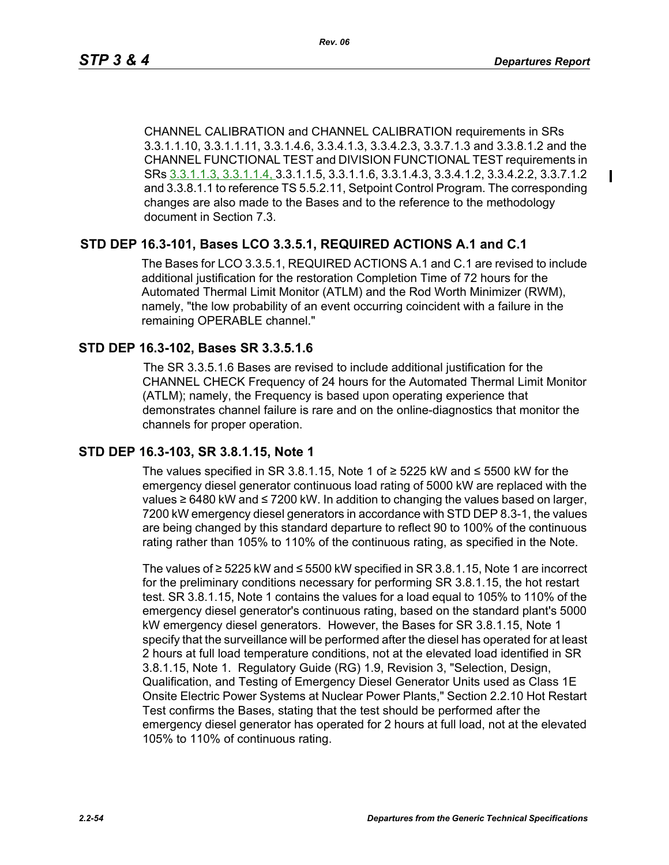Ш

CHANNEL CALIBRATION and CHANNEL CALIBRATION requirements in SRs 3.3.1.1.10, 3.3.1.1.11, 3.3.1.4.6, 3.3.4.1.3, 3.3.4.2.3, 3.3.7.1.3 and 3.3.8.1.2 and the CHANNEL FUNCTIONAL TEST and DIVISION FUNCTIONAL TEST requirements in SRs 3.3.1.1.3, 3.3.1.1.4, 3.3.1.1.5, 3.3.1.1.6, 3.3.1.4.3, 3.3.4.1.2, 3.3.4.2.2, 3.3.7.1.2 and 3.3.8.1.1 to reference TS 5.5.2.11, Setpoint Control Program. The corresponding changes are also made to the Bases and to the reference to the methodology document in Section 7.3.

# **STD DEP 16.3-101, Bases LCO 3.3.5.1, REQUIRED ACTIONS A.1 and C.1**

The Bases for LCO 3.3.5.1, REQUIRED ACTIONS A.1 and C.1 are revised to include additional justification for the restoration Completion Time of 72 hours for the Automated Thermal Limit Monitor (ATLM) and the Rod Worth Minimizer (RWM), namely, "the low probability of an event occurring coincident with a failure in the remaining OPERABLE channel."

# **STD DEP 16.3-102, Bases SR 3.3.5.1.6**

The SR 3.3.5.1.6 Bases are revised to include additional justification for the CHANNEL CHECK Frequency of 24 hours for the Automated Thermal Limit Monitor (ATLM); namely, the Frequency is based upon operating experience that demonstrates channel failure is rare and on the online-diagnostics that monitor the channels for proper operation.

# **STD DEP 16.3-103, SR 3.8.1.15, Note 1**

The values specified in SR 3.8.1.15, Note 1 of  $≥$  5225 kW and  $≤$  5500 kW for the emergency diesel generator continuous load rating of 5000 kW are replaced with the values ≥ 6480 kW and ≤ 7200 kW. In addition to changing the values based on larger, 7200 kW emergency diesel generators in accordance with STD DEP 8.3-1, the values are being changed by this standard departure to reflect 90 to 100% of the continuous rating rather than 105% to 110% of the continuous rating, as specified in the Note.

The values of ≥ 5225 kW and ≤ 5500 kW specified in SR 3.8.1.15, Note 1 are incorrect for the preliminary conditions necessary for performing SR 3.8.1.15, the hot restart test. SR 3.8.1.15, Note 1 contains the values for a load equal to 105% to 110% of the emergency diesel generator's continuous rating, based on the standard plant's 5000 kW emergency diesel generators. However, the Bases for SR 3.8.1.15, Note 1 specify that the surveillance will be performed after the diesel has operated for at least 2 hours at full load temperature conditions, not at the elevated load identified in SR 3.8.1.15, Note 1. Regulatory Guide (RG) 1.9, Revision 3, "Selection, Design, Qualification, and Testing of Emergency Diesel Generator Units used as Class 1E Onsite Electric Power Systems at Nuclear Power Plants," Section 2.2.10 Hot Restart Test confirms the Bases, stating that the test should be performed after the emergency diesel generator has operated for 2 hours at full load, not at the elevated 105% to 110% of continuous rating.